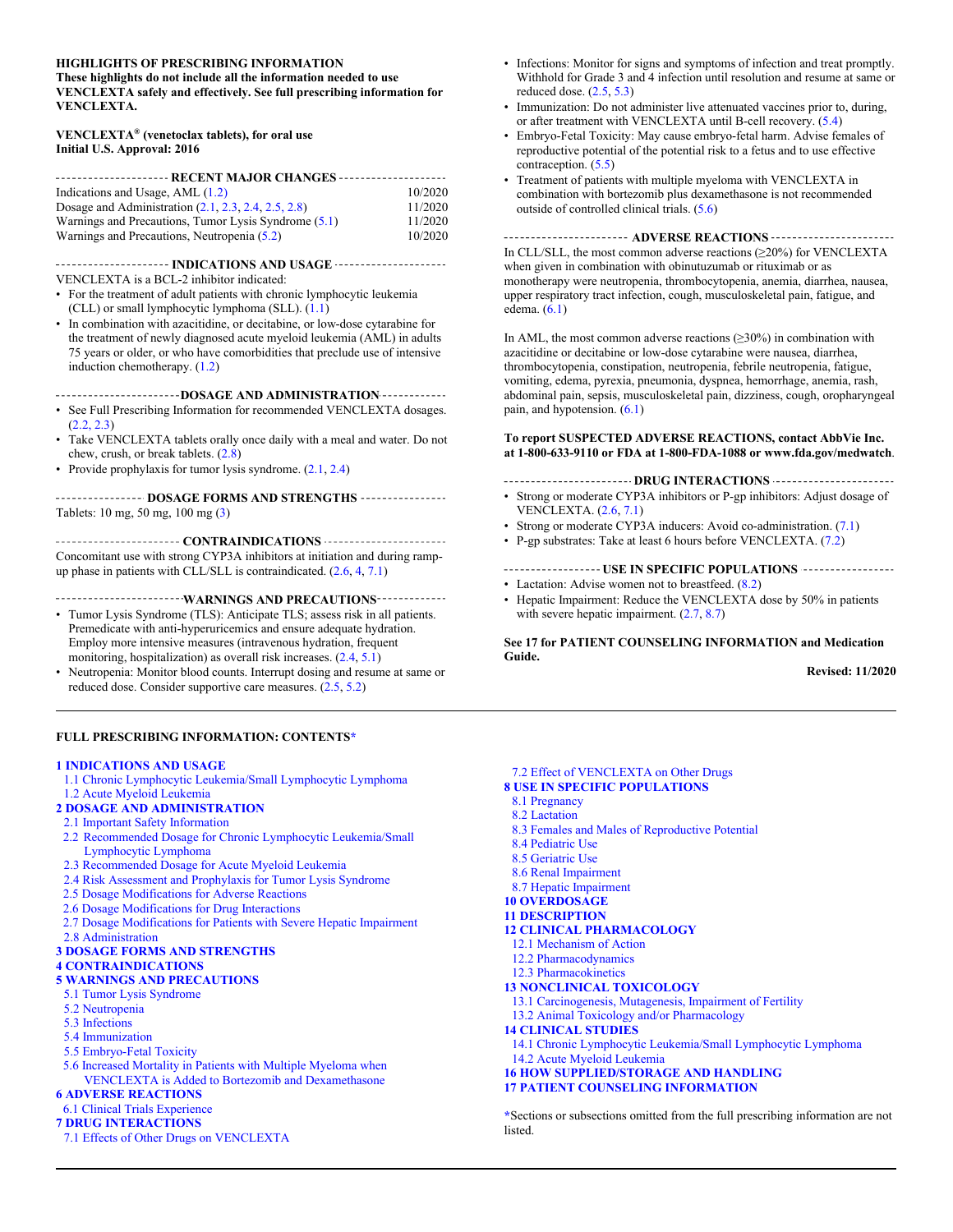#### **HIGHLIGHTS OF PRESCRIBING INFORMATION These highlights do not include all the information needed to use**

**VENCLEXTA safely and effectively. See full prescribing information for VENCLEXTA.** 

#### **VENCLEXTA® (venetoclax tablets), for oral use Initial U.S. Approval: 2016**

| ---------------------- RECENT MAJOR CHANGES -------------------- |         |  |
|------------------------------------------------------------------|---------|--|
| Indications and Usage, AML $(1.2)$                               | 10/2020 |  |
| Dosage and Administration $(2.1, 2.3, 2.4, 2.5, 2.8)$            | 11/2020 |  |
| Warnings and Precautions, Tumor Lysis Syndrome (5.1)             | 11/2020 |  |
| Warnings and Precautions, Neutropenia (5.2)                      | 10/2020 |  |

**INDICATIONS AND USAGE** ......................

VENCLEXTA is a BCL-2 inhibitor indicated:

- For the treatment of adult patients with chronic lymphocytic leukemia (CLL) or small lymphocytic lymphoma (SLL). [\(1.1\)](#page-1-4)
- In combination with azacitidine, or decitabine, or low-dose cytarabine for the treatment of newly diagnosed acute myeloid leukemia (AML) in adults 75 years or older, or who have comorbidities that preclude use of intensive induction chemotherapy. [\(1.2\)](#page-1-3)

**DOSAGE AND ADMINISTRATION DESCRIPTION** 

- See Full Prescribing Information for recommended VENCLEXTA dosages.  $(2.2, 2.3)$  $(2.2, 2.3)$
- Take VENCLEXTA tablets orally once daily with a meal and water. Do not chew, crush, or break tablets. [\(2.8\)](#page-8-2)
- Provide prophylaxis for tumor lysis syndrome. [\(2.1,](#page-1-1) [2.4\)](#page-3-0)

**DOSAGE FORMS AND STRENGTHS** ----------------Tablets: 10 mg, 50 mg, 100 mg [\(3\)](#page-8-1)

**CONTRAINDICATIONS** Concomitant use with strong CYP3A inhibitors at initiation and during rampup phase in patients with CLL/SLL is contraindicated. [\(2.6,](#page-7-0) [4,](#page-8-0) [7.1\)](#page-26-3)

**WARNINGS AND PRECAUTIONS**

- Tumor Lysis Syndrome (TLS): Anticipate TLS; assess risk in all patients. Premedicate with anti-hyperuricemics and ensure adequate hydration. Employ more intensive measures (intravenous hydration, frequent monitoring, hospitalization) as overall risk increases. [\(2.4,](#page-3-0) 5.1)
- Neutropenia: Monitor blood counts. Interrupt dosing and resume at same or reduced dose. Consider supportive care measures. [\(2.5,](#page-5-0) [5.2\)](#page-10-5)

#### <span id="page-0-0"></span>**FULL PRESCRIBING INFORMATION: CONTENT[S\\*](#page-0-1)**

#### **[1 INDICATIONS AND USAGE](#page-1-5)**

[1.1 Chronic Lymphocytic Leukemia/Small Lymphocytic Lymphoma](#page-1-4) [1.2 Acute Myeloid Leukemia](#page-1-3)

#### **[2 DOSAGE AND ADMINISTRATION](#page-1-2)**

- [2.1 Important Safety Information](#page-1-1)
- 2.2 [Recommended Dosage for Chronic Lymphocytic Leukemia/Small](#page-1-0)  [Lymphocytic Lymphoma](#page-1-0)
- [2.3 Recommended Dosage for Acute Myeloid Leukemia](#page-2-0)
- [2.4 Risk Assessment and Prophylaxis for Tumor Lysis Syndrome](#page-3-0)
- [2.5 Dosage Modifications for Adverse Reactions](#page-5-0)
- [2.6 Dosage Modifications for Drug Interactions](#page-7-0)
- [2.7 Dosage Modifications for Patients with Severe Hepatic Impairment](#page-8-3)
- [2.8 Administration](#page-8-2)

#### **[3 DOSAGE FORMS AND STRENGTHS](#page-8-1)**

#### **[4 CONTRAINDICATIONS](#page-8-0)**

#### **[5 WARNINGS AND PRECAUTIONS](#page-9-0)**

- 5.1 Tumor Lysis Syndrome
- [5.2 Neutropenia](#page-10-5)
- [5.3 Infections](#page-10-4)
- [5.4 Immunization](#page-10-3)
- [5.5 Embryo-Fetal Toxicity](#page-10-2)
- [5.6 Increased Mortality in Patients with Multiple Myeloma when](#page-10-1)  [VENCLEXTA is Added to Bortezomib and Dexamethasone](#page-10-1)

#### **[6 ADVERSE REACTIONS](#page-10-0)**

- <span id="page-0-1"></span>[6.1 Clinical Trials Experience](#page-11-0)  **[7 DRUG INTERACTIONS](#page-26-4)**
- [7.1 Effects of Other Drugs on VENCLEXTA](#page-26-3)
- Infections: Monitor for signs and symptoms of infection and treat promptly. Withhold for Grade 3 and 4 infection until resolution and resume at same or reduced dose. [\(2.5,](#page-5-0) [5.3\)](#page-10-4)
- Immunization: Do not administer live attenuated vaccines prior to, during, or after treatment with VENCLEXTA until B-cell recovery. [\(5.4\)](#page-10-3)
- Embryo-Fetal Toxicity: May cause embryo-fetal harm. Advise females of reproductive potential of the potential risk to a fetus and to use effective contraception. [\(5.5\)](#page-10-2)
- Treatment of patients with multiple myeloma with VENCLEXTA in combination with bortezomib plus dexamethasone is not recommended outside of controlled clinical trials. [\(5.6\)](#page-10-1)

------------------------ ADVERSE REACTIONS ------------------------

In CLL/SLL, the most common adverse reactions (≥20%) for VENCLEXTA when given in combination with obinutuzumab or rituximab or as monotherapy were neutropenia, thrombocytopenia, anemia, diarrhea, nausea, upper respiratory tract infection, cough, musculoskeletal pain, fatigue, and edema.  $(6.1)$ 

In AML, the most common adverse reactions  $(\geq 30\%)$  in combination with azacitidine or decitabine or low-dose cytarabine were nausea, diarrhea, thrombocytopenia, constipation, neutropenia, febrile neutropenia, fatigue, vomiting, edema, pyrexia, pneumonia, dyspnea, hemorrhage, anemia, rash, abdominal pain, sepsis, musculoskeletal pain, dizziness, cough, oropharyngeal pain, and hypotension. [\(6.1\)](#page-11-0)

#### **To report SUSPECTED ADVERSE REACTIONS, contact AbbVie Inc. at 1-800-633-9110 or FDA at 1-800-FDA-1088 or www.fda.gov/medwatch**.

- -------------------------- DRUG INTERACTIONS -------------------------
- Strong or moderate CYP3A inhibitors or P-gp inhibitors: Adjust dosage of VENCLEXTA. [\(2.6,](#page-7-0) [7.1\)](#page-26-3)
- Strong or moderate CYP3A inducers: Avoid co-administration. [\(7.1\)](#page-26-3)
- P-gp substrates: Take at least 6 hours before VENCLEXTA. [\(7.2\)](#page-26-2)

------------------- USE IN SPECIFIC POPULATIONS -------------------

• Lactation: Advise women not to breastfeed. [\(8.2\)](#page-27-1) • Hepatic Impairment: Reduce the VENCLEXTA dose by 50% in patients with severe hepatic impairment.  $(2.7, 8.7)$  $(2.7, 8.7)$ 

**See 17 for PATIENT COUNSELING INFORMATION and Medication Guide.**

**Revised: 11/2020**

- [7.2 Effect of VENCLEXTA](#page-26-2) on Other Drugs **[8 USE IN SPECIFIC POPULATIONS](#page-26-1)**
- [8.1 Pregnancy](#page-26-0)
- [8.2 Lactation](#page-27-1)
- [8.3 Females and Males of Reproductive Potential](#page-27-0)
- [8.4 Pediatric Use](#page-28-3)
- [8.5 Geriatric Use](#page-28-2)
- [8.6 Renal Impairment](#page-28-1)
- [8.7 Hepatic Impairment](#page-28-0)
- **[10 OVERDOSAGE](#page-29-1)**

#### **[11 DESCRIPTION](#page-29-0)**

- **[12 CLINICAL PHARMACOLOGY](#page-30-3)**
- [12.1 Mechanism of Action](#page-30-2)
- [12.2 Pharmacodynamics](#page-30-1)
- [12.3 Pharmacokinetics](#page-30-0)
- **[13 NONCLINICAL TOXICOLOGY](#page-32-1)**
- [13.1 Carcinogenesis, Mutagenesis, Impairment of Fertility](#page-32-0)
- [13.2 Animal Toxicology and/or Pharmacology](#page-33-2)
- **[14 CLINICAL STUDIES](#page-33-1)**
- [14.1 Chronic Lymphocytic Leukemia/Small Lymphocytic Lymphoma](#page-33-0) [14.2 Acute Myeloid Leukemia](#page-40-0)
- **[16 HOW SUPPLIED/STORAGE AND HANDLING](#page-49-1)**

#### **[17 PATIENT COUNSELING INFORMATION](#page-49-0)**

**[\\*](#page-0-0)**Sections or subsections omitted from the full prescribing information are not listed.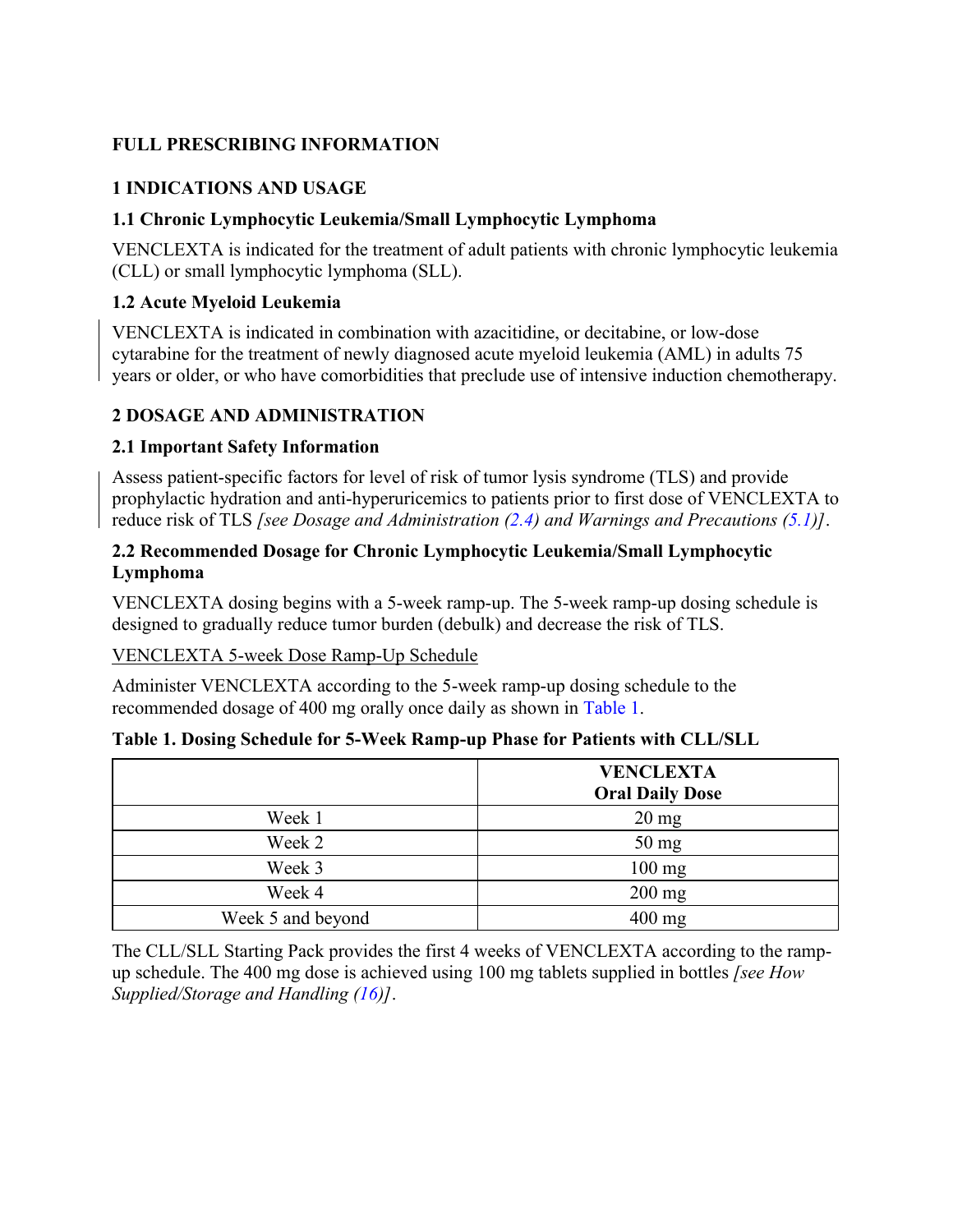## <span id="page-1-3"></span>**FULL PRESCRIBING INFORMATION**

## <span id="page-1-5"></span>**1 INDICATIONS AND USAGE**

### <span id="page-1-4"></span>**1.1 Chronic Lymphocytic Leukemia/Small Lymphocytic Lymphoma**

VENCLEXTA is indicated for the treatment of adult patients with chronic lymphocytic leukemia (CLL) or small lymphocytic lymphoma (SLL).

### **1.2 Acute Myeloid Leukemia**

VENCLEXTA is indicated in combination with azacitidine, or decitabine, or low-dose cytarabine for the treatment of newly diagnosed acute myeloid leukemia (AML) in adults 75 years or older, or who have comorbidities that preclude use of intensive induction chemotherapy.

### <span id="page-1-2"></span>**2 DOSAGE AND ADMINISTRATION**

### <span id="page-1-1"></span>**2.1 Important Safety Information**

Assess patient-specific factors for level of risk of tumor lysis syndrome (TLS) and provide prophylactic hydration and anti-hyperuricemics to patients prior to first dose of VENCLEXTA to reduce risk of TLS *[see Dosage and Administration [\(2.4\)](#page-3-0) and Warnings and Precautions (5.1)]*.

### <span id="page-1-0"></span>**2.2 Recommended Dosage for Chronic Lymphocytic Leukemia/Small Lymphocytic Lymphoma**

VENCLEXTA dosing begins with a 5-week ramp-up. The 5-week ramp-up dosing schedule is designed to gradually reduce tumor burden (debulk) and decrease the risk of TLS.

## VENCLEXTA 5-week Dose Ramp-Up Schedule

Administer VENCLEXTA according to the 5-week ramp-up dosing schedule to the recommended dosage of 400 mg orally once daily as shown in [Table 1.](#page-1-6)

### <span id="page-1-6"></span>**Table 1. Dosing Schedule for 5-Week Ramp-up Phase for Patients with CLL/SLL**

|                   | <b>VENCLEXTA</b><br><b>Oral Daily Dose</b> |
|-------------------|--------------------------------------------|
| Week 1            | $20 \text{ mg}$                            |
| Week 2            | $50 \text{ mg}$                            |
| Week 3            | $100$ mg                                   |
| Week 4            | $200$ mg                                   |
| Week 5 and beyond | $400$ mg                                   |

The CLL/SLL Starting Pack provides the first 4 weeks of VENCLEXTA according to the rampup schedule. The 400 mg dose is achieved using 100 mg tablets supplied in bottles *[see How Supplied/Storage and Handling [\(16\)](#page-49-1)]*.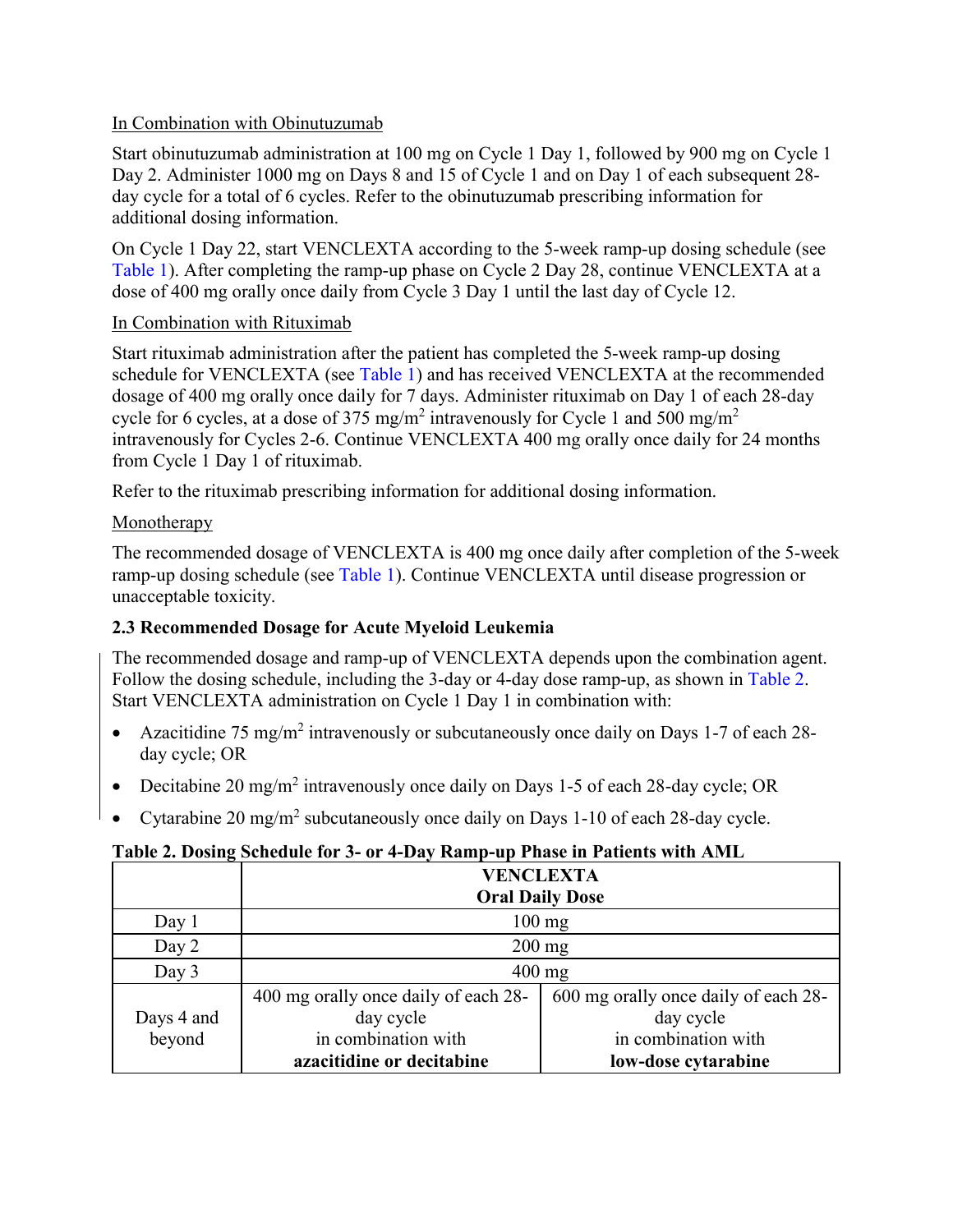### In Combination with Obinutuzumab

Start obinutuzumab administration at 100 mg on Cycle 1 Day 1, followed by 900 mg on Cycle 1 Day 2. Administer 1000 mg on Days 8 and 15 of Cycle 1 and on Day 1 of each subsequent 28 day cycle for a total of 6 cycles. Refer to the obinutuzumab prescribing information for additional dosing information.

On Cycle 1 Day 22, start VENCLEXTA according to the 5-week ramp-up dosing schedule (see [Table 1\)](#page-1-6). After completing the ramp-up phase on Cycle 2 Day 28, continue VENCLEXTA at a dose of 400 mg orally once daily from Cycle 3 Day 1 until the last day of Cycle 12.

## In Combination with Rituximab

Start rituximab administration after the patient has completed the 5-week ramp-up dosing schedule for VENCLEXTA (see [Table 1\)](#page-1-6) and has received VENCLEXTA at the recommended dosage of 400 mg orally once daily for 7 days. Administer rituximab on Day 1 of each 28-day cycle for 6 cycles, at a dose of 375 mg/m<sup>2</sup> intravenously for Cycle 1 and 500 mg/m<sup>2</sup> intravenously for Cycles 2-6. Continue VENCLEXTA 400 mg orally once daily for 24 months from Cycle 1 Day 1 of rituximab.

Refer to the rituximab prescribing information for additional dosing information.

### Monotherapy

The recommended dosage of VENCLEXTA is 400 mg once daily after completion of the 5-week ramp-up dosing schedule (see [Table 1\)](#page-1-6). Continue VENCLEXTA until disease progression or unacceptable toxicity.

## <span id="page-2-0"></span>**2.3 Recommended Dosage for Acute Myeloid Leukemia**

The recommended dosage and ramp-up of VENCLEXTA depends upon the combination agent. Follow the dosing schedule, including the 3-day or 4-day dose ramp-up, as shown in [Table 2.](#page-2-1) Start VENCLEXTA administration on Cycle 1 Day 1 in combination with:

- Azacitidine 75 mg/m<sup>2</sup> intravenously or subcutaneously once daily on Days 1-7 of each 28day cycle; OR
- Decitabine 20 mg/m<sup>2</sup> intravenously once daily on Days 1-5 of each 28-day cycle; OR
- Cytarabine 20 mg/m<sup>2</sup> subcutaneously once daily on Days 1-10 of each 28-day cycle.

### <span id="page-2-1"></span>**Table 2. Dosing Schedule for 3- or 4-Day Ramp-up Phase in Patients with AML**

|            | <b>VENCLEXTA</b><br><b>Oral Daily Dose</b>       |                                      |  |
|------------|--------------------------------------------------|--------------------------------------|--|
| Day 1      | $100$ mg                                         |                                      |  |
| Day 2      | $200 \text{ mg}$                                 |                                      |  |
| Day 3      | $400$ mg                                         |                                      |  |
|            | 400 mg orally once daily of each 28-             | 600 mg orally once daily of each 28- |  |
| Days 4 and | day cycle                                        | day cycle                            |  |
| beyond     | in combination with<br>in combination with       |                                      |  |
|            | azacitidine or decitabine<br>low-dose cytarabine |                                      |  |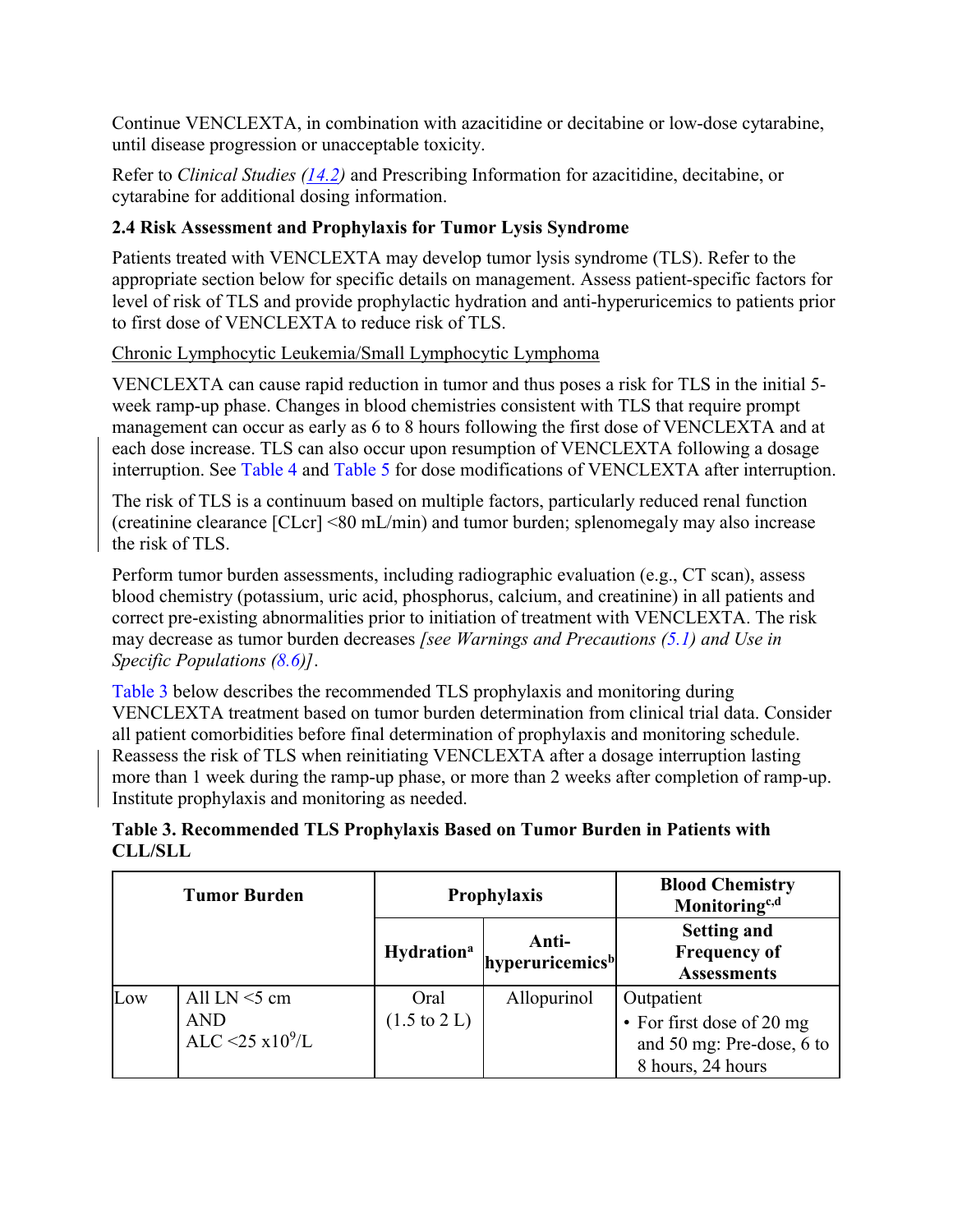Continue VENCLEXTA, in combination with azacitidine or decitabine or low-dose cytarabine, until disease progression or unacceptable toxicity.

Refer to *Clinical Studies [\(14.2\)](#page-40-0)* and Prescribing Information for azacitidine, decitabine, or cytarabine for additional dosing information.

### <span id="page-3-0"></span>**2.4 Risk Assessment and Prophylaxis for Tumor Lysis Syndrome**

Patients treated with VENCLEXTA may develop tumor lysis syndrome (TLS). Refer to the appropriate section below for specific details on management. Assess patient-specific factors for level of risk of TLS and provide prophylactic hydration and anti-hyperuricemics to patients prior to first dose of VENCLEXTA to reduce risk of TLS.

Chronic Lymphocytic Leukemia/Small Lymphocytic Lymphoma

VENCLEXTA can cause rapid reduction in tumor and thus poses a risk for TLS in the initial 5 week ramp-up phase. Changes in blood chemistries consistent with TLS that require prompt management can occur as early as 6 to 8 hours following the first dose of VENCLEXTA and at each dose increase. TLS can also occur upon resumption of VENCLEXTA following a dosage interruption. See [Table 4](#page-5-1) and [Table](#page-6-0) 5 for dose modifications of VENCLEXTA after interruption.

The risk of TLS is a continuum based on multiple factors, particularly reduced renal function (creatinine clearance [CLcr] <80 mL/min) and tumor burden; splenomegaly may also increase the risk of TLS.

Perform tumor burden assessments, including radiographic evaluation (e.g., CT scan), assess blood chemistry (potassium, uric acid, phosphorus, calcium, and creatinine) in all patients and correct pre-existing abnormalities prior to initiation of treatment with VENCLEXTA. The risk may decrease as tumor burden decreases *[see Warnings and Precautions (5.1) and Use in Specific Populations [\(8.6\)](#page-28-1)]*.

[Table 3](#page-3-1) below describes the recommended TLS prophylaxis and monitoring during VENCLEXTA treatment based on tumor burden determination from clinical trial data. Consider all patient comorbidities before final determination of prophylaxis and monitoring schedule. Reassess the risk of TLS when reinitiating VENCLEXTA after a dosage interruption lasting more than 1 week during the ramp-up phase, or more than 2 weeks after completion of ramp-up. Institute prophylaxis and monitoring as needed.

<span id="page-3-1"></span>

| Table 3. Recommended TLS Prophylaxis Based on Tumor Burden in Patients with |  |  |
|-----------------------------------------------------------------------------|--|--|
| <b>CLL/SLL</b>                                                              |  |  |

|     | <b>Tumor Burden</b>                                                       | <b>Prophylaxis</b>                      |                                      | <b>Blood Chemistry</b><br>Monitoring <sup>c,d</sup>                                       |
|-----|---------------------------------------------------------------------------|-----------------------------------------|--------------------------------------|-------------------------------------------------------------------------------------------|
|     |                                                                           | <b>Hydration</b> <sup>a</sup>           | Anti-<br>hyperuricemics <sup>b</sup> | <b>Setting and</b><br><b>Frequency of</b><br><b>Assessments</b>                           |
| Low | All LN $<$ 5 cm<br><b>AND</b><br>ALC $\langle 25 \times 10^9 / L \rangle$ | Oral<br>$(1.5 \text{ to } 2 \text{ L})$ | Allopurinol                          | Outpatient<br>• For first dose of 20 mg<br>and 50 mg: Pre-dose, 6 to<br>8 hours, 24 hours |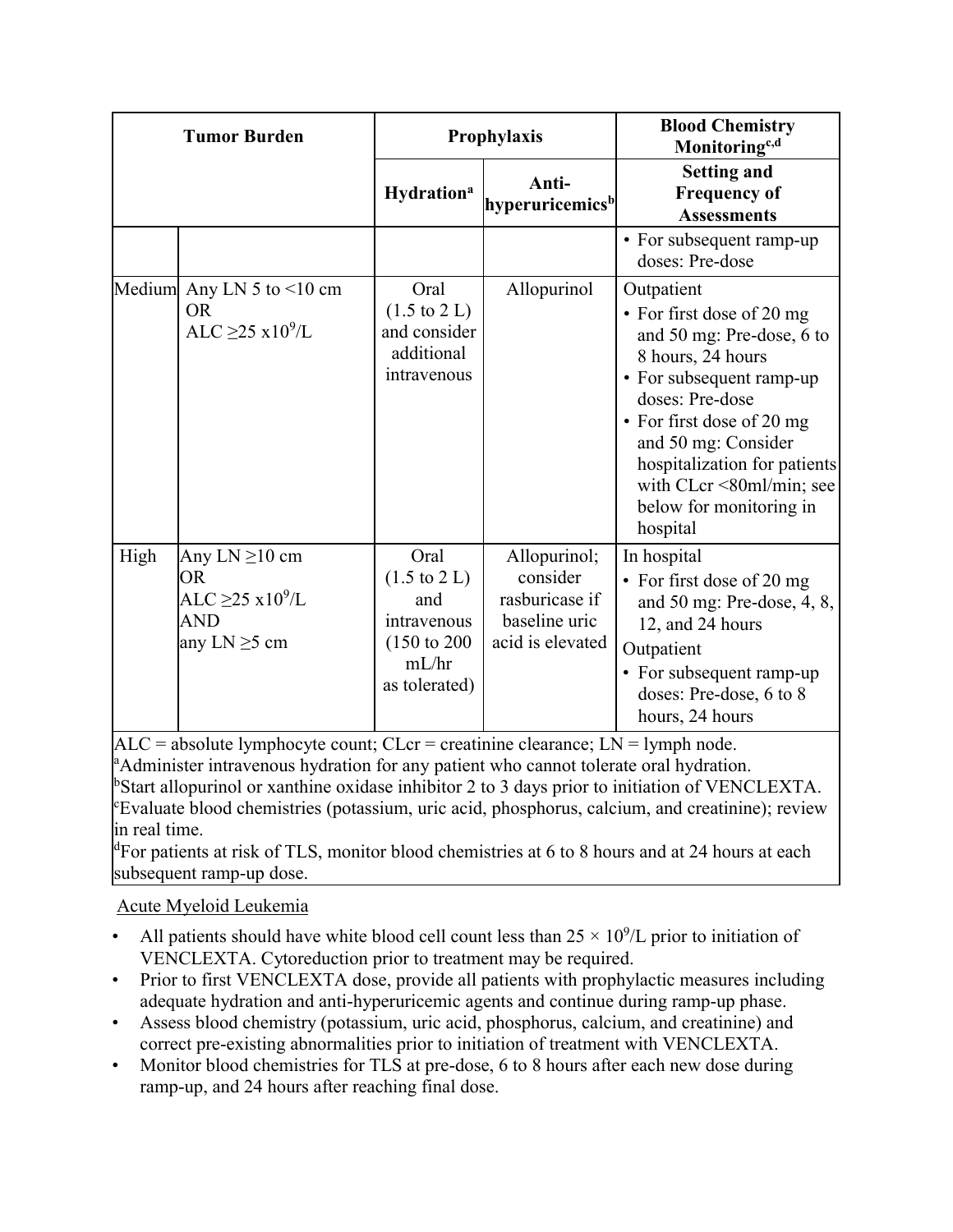|      | <b>Tumor Burden</b>                                                                                      | Prophylaxis                                                                                                        |                                                                                 | <b>Blood Chemistry</b><br>Monitoring <sup>c,d</sup>                                                                                                                                                                                                                                                 |
|------|----------------------------------------------------------------------------------------------------------|--------------------------------------------------------------------------------------------------------------------|---------------------------------------------------------------------------------|-----------------------------------------------------------------------------------------------------------------------------------------------------------------------------------------------------------------------------------------------------------------------------------------------------|
|      |                                                                                                          | <b>Hydration</b> <sup>a</sup>                                                                                      | Anti-<br>hyperuricemics <sup>b</sup>                                            | <b>Setting and</b><br><b>Frequency of</b><br><b>Assessments</b>                                                                                                                                                                                                                                     |
|      |                                                                                                          |                                                                                                                    |                                                                                 | • For subsequent ramp-up<br>doses: Pre-dose                                                                                                                                                                                                                                                         |
|      | Medium Any LN 5 to $\leq 10$ cm<br><b>OR</b><br>ALC $\geq$ 25 x10 <sup>9</sup> /L                        | Oral<br>$(1.5 \text{ to } 2 \text{ L})$<br>and consider<br>additional<br>intravenous                               | Allopurinol                                                                     | Outpatient<br>• For first dose of 20 mg<br>and 50 mg: Pre-dose, 6 to<br>8 hours, 24 hours<br>• For subsequent ramp-up<br>doses: Pre-dose<br>• For first dose of 20 mg<br>and 50 mg: Consider<br>hospitalization for patients<br>with $CLcr < 80ml/min$ ; see<br>below for monitoring in<br>hospital |
| High | Any $LN \ge 10$ cm<br><b>OR</b><br>ALC $\geq$ 25 x10 <sup>9</sup> /L<br><b>AND</b><br>any LN $\geq$ 5 cm | Oral<br>$(1.5 \text{ to } 2 \text{ L})$<br>and<br>intravenous<br>$(150 \text{ to } 200)$<br>mL/hr<br>as tolerated) | Allopurinol;<br>consider<br>rasburicase if<br>baseline uric<br>acid is elevated | In hospital<br>• For first dose of 20 mg<br>and 50 mg: Pre-dose, 4, 8,<br>12, and 24 hours<br>Outpatient<br>• For subsequent ramp-up<br>doses: Pre-dose, 6 to 8<br>hours, 24 hours                                                                                                                  |

 $ALC = absolute$  lymphocyte count;  $CLcr =$  creatinine clearance;  $LN =$  lymph node. <sup>a</sup>Administer intravenous hydration for any patient who cannot tolerate oral hydration. <sup>b</sup>Start allopurinol or xanthine oxidase inhibitor 2 to 3 days prior to initiation of VENCLEXTA. Evaluate blood chemistries (potassium, uric acid, phosphorus, calcium, and creatinine); review in real time.

<sup>d</sup>For patients at risk of TLS, monitor blood chemistries at 6 to 8 hours and at 24 hours at each subsequent ramp-up dose.

## Acute Myeloid Leukemia

- All patients should have white blood cell count less than  $25 \times 10^9$ /L prior to initiation of VENCLEXTA. Cytoreduction prior to treatment may be required.
- Prior to first VENCLEXTA dose, provide all patients with prophylactic measures including adequate hydration and anti-hyperuricemic agents and continue during ramp-up phase.
- Assess blood chemistry (potassium, uric acid, phosphorus, calcium, and creatinine) and correct pre-existing abnormalities prior to initiation of treatment with VENCLEXTA.
- Monitor blood chemistries for TLS at pre-dose, 6 to 8 hours after each new dose during ramp-up, and 24 hours after reaching final dose.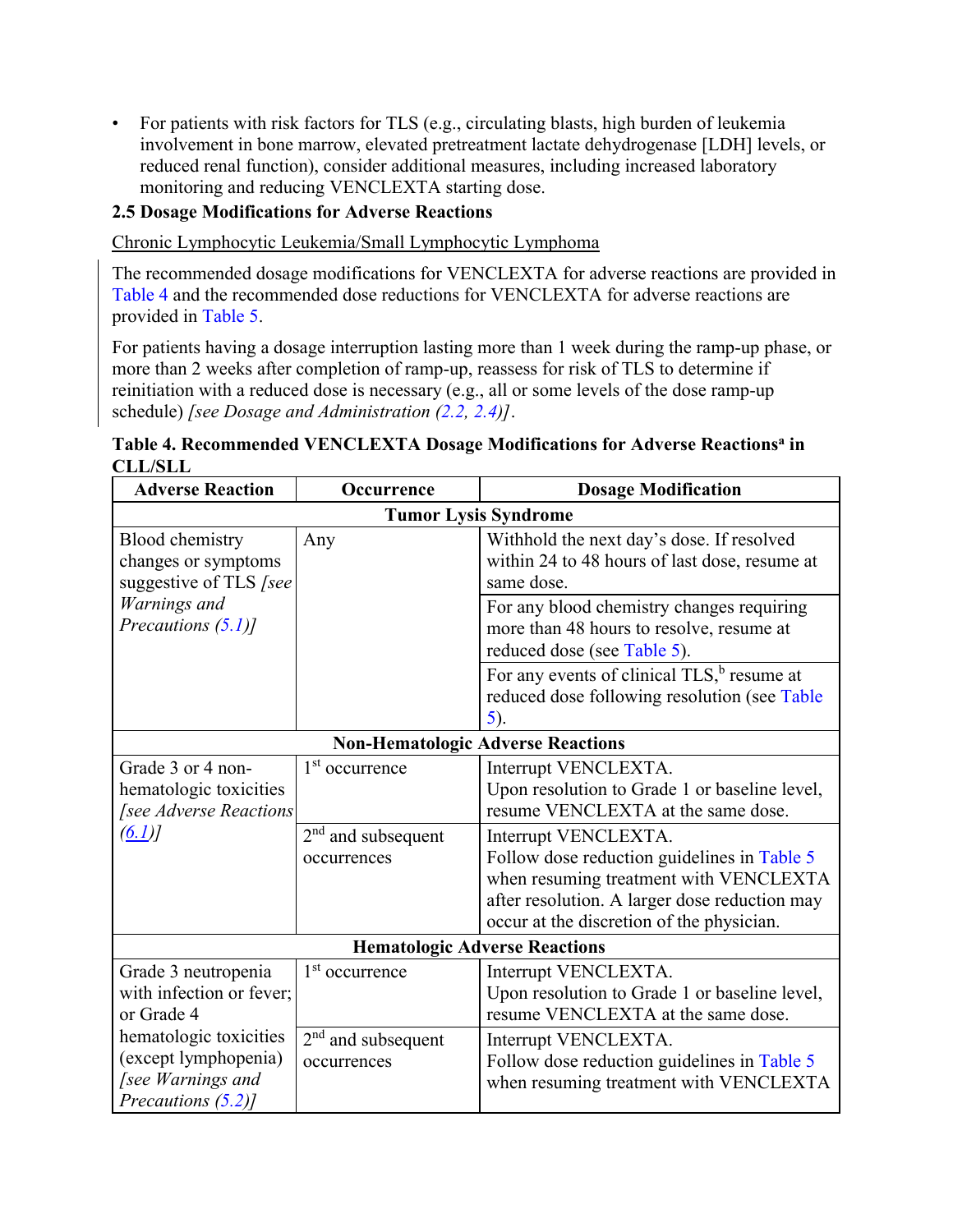• For patients with risk factors for TLS (e.g., circulating blasts, high burden of leukemia involvement in bone marrow, elevated pretreatment lactate dehydrogenase [LDH] levels, or reduced renal function), consider additional measures, including increased laboratory monitoring and reducing VENCLEXTA starting dose.

### <span id="page-5-0"></span>**2.5 Dosage Modifications for Adverse Reactions**

Chronic Lymphocytic Leukemia/Small Lymphocytic Lymphoma

The recommended dosage modifications for VENCLEXTA for adverse reactions are provided in [Table 4](#page-5-1) and the recommended dose reductions for VENCLEXTA for adverse reactions are provided in [Table 5.](#page-6-0)

For patients having a dosage interruption lasting more than 1 week during the ramp-up phase, or more than 2 weeks after completion of ramp-up, reassess for risk of TLS to determine if reinitiation with a reduced dose is necessary (e.g., all or some levels of the dose ramp-up schedule) *[see Dosage and Administration [\(2.2,](#page-1-0) [2.4\)](#page-3-0)]*.

### <span id="page-5-1"></span>**Table 4. Recommended VENCLEXTA Dosage Modifications for Adverse Reactions<sup>a</sup> in CLL/SLL**

| <b>Adverse Reaction</b>                                                                      | Occurrence                          | <b>Dosage Modification</b>                                                                                                                                                                                  |
|----------------------------------------------------------------------------------------------|-------------------------------------|-------------------------------------------------------------------------------------------------------------------------------------------------------------------------------------------------------------|
|                                                                                              |                                     | <b>Tumor Lysis Syndrome</b>                                                                                                                                                                                 |
| <b>Blood</b> chemistry<br>changes or symptoms<br>suggestive of TLS [see                      | Any                                 | Withhold the next day's dose. If resolved<br>within 24 to 48 hours of last dose, resume at<br>same dose.                                                                                                    |
| Warnings and<br>Precautions $(5.1)$ ]                                                        |                                     | For any blood chemistry changes requiring<br>more than 48 hours to resolve, resume at<br>reduced dose (see Table 5).                                                                                        |
|                                                                                              |                                     | For any events of clinical TLS, <sup>b</sup> resume at<br>reduced dose following resolution (see Table<br>5).                                                                                               |
|                                                                                              |                                     | <b>Non-Hematologic Adverse Reactions</b>                                                                                                                                                                    |
| Grade 3 or 4 non-<br>hematologic toxicities<br>[see Adverse Reactions]                       | 1 <sup>st</sup> occurrence          | Interrupt VENCLEXTA.<br>Upon resolution to Grade 1 or baseline level,<br>resume VENCLEXTA at the same dose.                                                                                                 |
| (6.1)                                                                                        | $2nd$ and subsequent<br>occurrences | Interrupt VENCLEXTA.<br>Follow dose reduction guidelines in Table 5<br>when resuming treatment with VENCLEXTA<br>after resolution. A larger dose reduction may<br>occur at the discretion of the physician. |
|                                                                                              |                                     | <b>Hematologic Adverse Reactions</b>                                                                                                                                                                        |
| Grade 3 neutropenia<br>with infection or fever;<br>or Grade 4                                | 1 <sup>st</sup> occurrence          | Interrupt VENCLEXTA.<br>Upon resolution to Grade 1 or baseline level,<br>resume VENCLEXTA at the same dose.                                                                                                 |
| hematologic toxicities<br>(except lymphopenia)<br>[see Warnings and<br>Precautions $(5.2)$ ] | $2nd$ and subsequent<br>occurrences | Interrupt VENCLEXTA.<br>Follow dose reduction guidelines in Table 5<br>when resuming treatment with VENCLEXTA                                                                                               |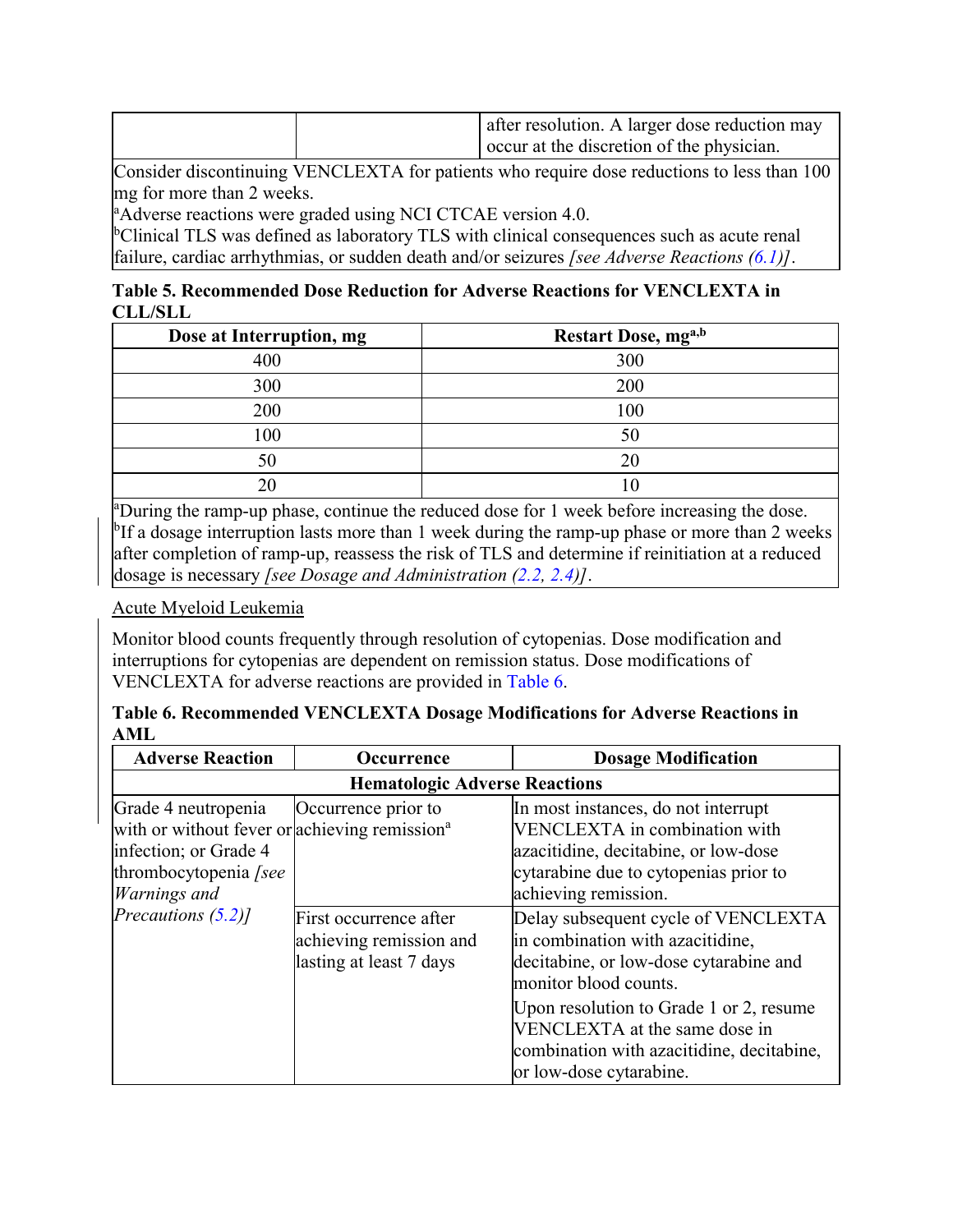<span id="page-6-0"></span>

|  | after resolution. A larger dose reduction may |
|--|-----------------------------------------------|
|  | occur at the discretion of the physician.     |

Consider discontinuing VENCLEXTA for patients who require dose reductions to less than 100 mg for more than 2 weeks.

<sup>a</sup>Adverse reactions were graded using NCI CTCAE version 4.0.

<sup>b</sup>Clinical TLS was defined as laboratory TLS with clinical consequences such as acute renal failure, cardiac arrhythmias, or sudden death and/or seizures *[see Adverse Reactions [\(6.1\)](#page-11-0)]*.

### **Table 5. Recommended Dose Reduction for Adverse Reactions for VENCLEXTA in CLL/SLL**

| Dose at Interruption, mg | Restart Dose, mg <sup>a,b</sup> |
|--------------------------|---------------------------------|
| 400                      | 300                             |
| 300                      | 200                             |
| 200                      | 100                             |
| 100                      |                                 |
| 50                       |                                 |
|                          |                                 |

<sup>a</sup>During the ramp-up phase, continue the reduced dose for 1 week before increasing the dose. <sup>b</sup>If a dosage interruption lasts more than 1 week during the ramp-up phase or more than 2 weeks after completion of ramp-up, reassess the risk of TLS and determine if reinitiation at a reduced dosage is necessary *[see Dosage and Administration [\(2.2,](#page-1-0) [2.4\)](#page-3-0)]*.

Acute Myeloid Leukemia

Monitor blood counts frequently through resolution of cytopenias. Dose modification and interruptions for cytopenias are dependent on remission status. Dose modifications of VENCLEXTA for adverse reactions are provided in [Table 6.](#page-6-1)

<span id="page-6-1"></span>

| Table 6. Recommended VENCLEXTA Dosage Modifications for Adverse Reactions in |  |
|------------------------------------------------------------------------------|--|
| AML                                                                          |  |

| <b>Adverse Reaction</b>                                                                                                                                   | Occurrence                                                                   | <b>Dosage Modification</b>                                                                                                                                                                                                                                                                     |
|-----------------------------------------------------------------------------------------------------------------------------------------------------------|------------------------------------------------------------------------------|------------------------------------------------------------------------------------------------------------------------------------------------------------------------------------------------------------------------------------------------------------------------------------------------|
|                                                                                                                                                           | <b>Hematologic Adverse Reactions</b>                                         |                                                                                                                                                                                                                                                                                                |
| Grade 4 neutropenia<br>with or without fever or achieving remission <sup>a</sup><br>infection; or Grade 4<br>thrombocytopenia [see<br><i>Warnings and</i> | Occurrence prior to                                                          | In most instances, do not interrupt<br>VENCLEXTA in combination with<br>azacitidine, decitabine, or low-dose<br>cytarabine due to cytopenias prior to<br>achieving remission.                                                                                                                  |
| Precautions $(5.2)$ ]                                                                                                                                     | First occurrence after<br>achieving remission and<br>lasting at least 7 days | Delay subsequent cycle of VENCLEXTA<br>in combination with azacitidine,<br>decitabine, or low-dose cytarabine and<br>monitor blood counts.<br>Upon resolution to Grade 1 or 2, resume<br>VENCLEXTA at the same dose in<br>combination with azacitidine, decitabine,<br>or low-dose cytarabine. |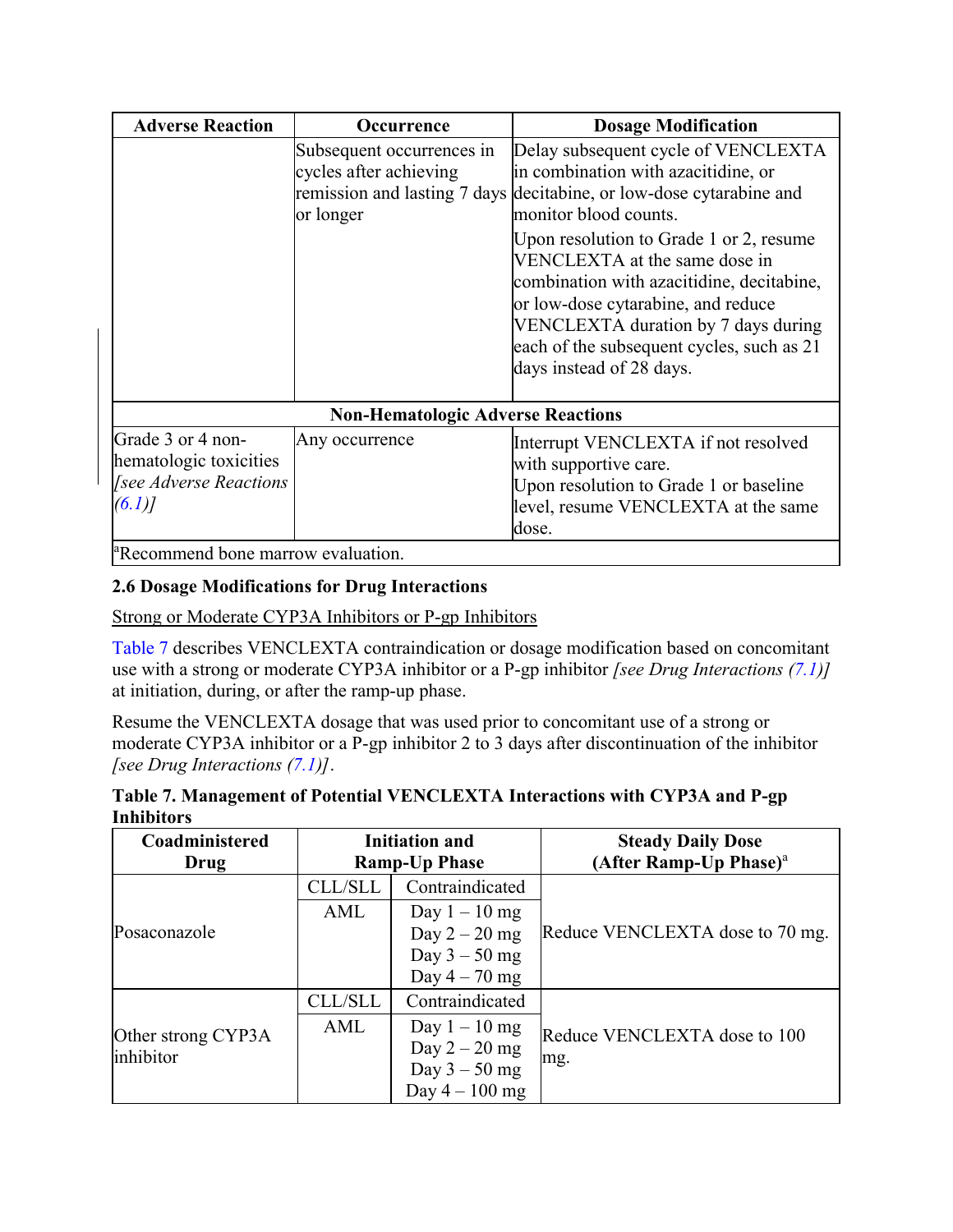<span id="page-7-0"></span>

| <b>Adverse Reaction</b>                                                       | <b>Occurrence</b>                                                | <b>Dosage Modification</b>                                                                                                                                                                                                                                                                                                                                                                                                                                |
|-------------------------------------------------------------------------------|------------------------------------------------------------------|-----------------------------------------------------------------------------------------------------------------------------------------------------------------------------------------------------------------------------------------------------------------------------------------------------------------------------------------------------------------------------------------------------------------------------------------------------------|
|                                                                               | Subsequent occurrences in<br>cycles after achieving<br>or longer | Delay subsequent cycle of VENCLEXTA<br>in combination with azacitidine, or<br>remission and lasting 7 days decitabine, or low-dose cytarabine and<br>monitor blood counts.<br>Upon resolution to Grade 1 or 2, resume<br>VENCLEXTA at the same dose in<br>combination with azacitidine, decitabine,<br>or low-dose cytarabine, and reduce<br>VENCLEXTA duration by 7 days during<br>each of the subsequent cycles, such as 21<br>days instead of 28 days. |
|                                                                               | <b>Non-Hematologic Adverse Reactions</b>                         |                                                                                                                                                                                                                                                                                                                                                                                                                                                           |
| Grade 3 or 4 non-<br>hematologic toxicities<br>See Adverse Reactions<br>(6.1) | Any occurrence                                                   | Interrupt VENCLEXTA if not resolved<br>with supportive care.<br>Upon resolution to Grade 1 or baseline<br>level, resume VENCLEXTA at the same<br>dose.                                                                                                                                                                                                                                                                                                    |
| <sup>a</sup> Recommend bone marrow evaluation.                                |                                                                  |                                                                                                                                                                                                                                                                                                                                                                                                                                                           |

### **2.6 Dosage Modifications for Drug Interactions**

Strong or Moderate CYP3A Inhibitors or P-gp Inhibitors

[Table 7](#page-7-1) describes VENCLEXTA contraindication or dosage modification based on concomitant use with a strong or moderate CYP3A inhibitor or a P-gp inhibitor *[see Drug Interactions [\(7.1\)](#page-26-3)]* at initiation, during, or after the ramp-up phase.

Resume the VENCLEXTA dosage that was used prior to concomitant use of a strong or moderate CYP3A inhibitor or a P-gp inhibitor 2 to 3 days after discontinuation of the inhibitor *[see Drug Interactions [\(7.1\)](#page-26-3)]*.

<span id="page-7-1"></span>

| Table 7. Management of Potential VENCLEXTA Interactions with CYP3A and P-gp |  |
|-----------------------------------------------------------------------------|--|
| <b>Inhibitors</b>                                                           |  |

| Coadministered                  | <b>Initiation and</b> |                      | <b>Steady Daily Dose</b>           |
|---------------------------------|-----------------------|----------------------|------------------------------------|
| Drug                            |                       | <b>Ramp-Up Phase</b> | (After Ramp-Up Phase) <sup>a</sup> |
|                                 | <b>CLL/SLL</b>        | Contraindicated      |                                    |
|                                 | AML                   | Day $1 - 10$ mg      |                                    |
| Posaconazole                    |                       | Day $2 - 20$ mg      | Reduce VENCLEXTA dose to 70 mg.    |
|                                 |                       | Day $3 - 50$ mg      |                                    |
|                                 |                       | Day $4-70$ mg        |                                    |
|                                 | <b>CLL/SLL</b>        | Contraindicated      |                                    |
| Other strong CYP3A<br>inhibitor | AML                   | Day $1 - 10$ mg      | Reduce VENCLEXTA dose to 100       |
|                                 |                       | Day $2 - 20$ mg      |                                    |
|                                 |                       | Day $3 - 50$ mg      | mg.                                |
|                                 |                       | Day $4-100$ mg       |                                    |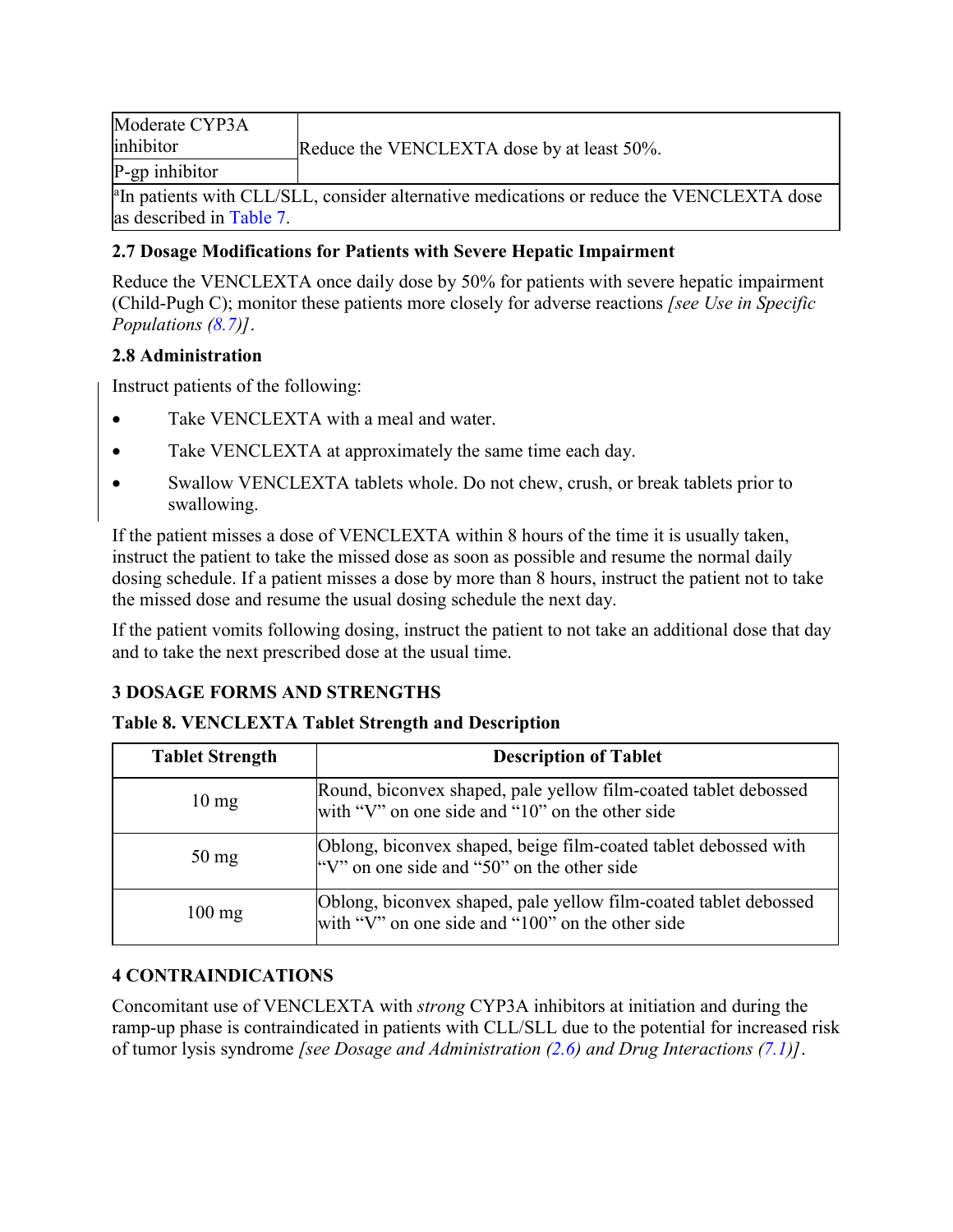| Moderate CYP3A           |                                                                                                      |
|--------------------------|------------------------------------------------------------------------------------------------------|
| inhibitor                | Reduce the VENCLEXTA dose by at least 50%.                                                           |
| $P$ -gp inhibitor        |                                                                                                      |
|                          | <sup>a</sup> In patients with CLL/SLL, consider alternative medications or reduce the VENCLEXTA dose |
| as described in Table 7. |                                                                                                      |

## <span id="page-8-3"></span>**2.7 Dosage Modifications for Patients with Severe Hepatic Impairment**

Reduce the VENCLEXTA once daily dose by 50% for patients with severe hepatic impairment (Child-Pugh C); monitor these patients more closely for adverse reactions *[see Use in Specific Populations [\(8.7\)](#page-28-0)]*.

## <span id="page-8-2"></span>**2.8 Administration**

Instruct patients of the following:

- Take VENCLEXTA with a meal and water.
- Take VENCLEXTA at approximately the same time each day.
- Swallow VENCLEXTA tablets whole. Do not chew, crush, or break tablets prior to swallowing.

If the patient misses a dose of VENCLEXTA within 8 hours of the time it is usually taken, instruct the patient to take the missed dose as soon as possible and resume the normal daily dosing schedule. If a patient misses a dose by more than 8 hours, instruct the patient not to take the missed dose and resume the usual dosing schedule the next day.

If the patient vomits following dosing, instruct the patient to not take an additional dose that day and to take the next prescribed dose at the usual time.

# <span id="page-8-1"></span>**3 DOSAGE FORMS AND STRENGTHS**

## **Table 8. VENCLEXTA Tablet Strength and Description**

| <b>Tablet Strength</b> | <b>Description of Tablet</b>                                                                                         |
|------------------------|----------------------------------------------------------------------------------------------------------------------|
| $10 \text{ mg}$        | Round, biconvex shaped, pale yellow film-coated tablet debossed<br>with "V" on one side and "10" on the other side   |
| $50 \text{ mg}$        | Oblong, biconvex shaped, beige film-coated tablet debossed with<br>"V" on one side and "50" on the other side"       |
| $100 \text{ mg}$       | Oblong, biconvex shaped, pale yellow film-coated tablet debossed<br>with "V" on one side and "100" on the other side |

# <span id="page-8-0"></span>**4 CONTRAINDICATIONS**

Concomitant use of VENCLEXTA with *strong* CYP3A inhibitors at initiation and during the ramp-up phase is contraindicated in patients with CLL/SLL due to the potential for increased risk of tumor lysis syndrome *[see Dosage and Administration [\(2.6\)](#page-7-0) and Drug Interactions [\(7.1\)](#page-26-3)]*.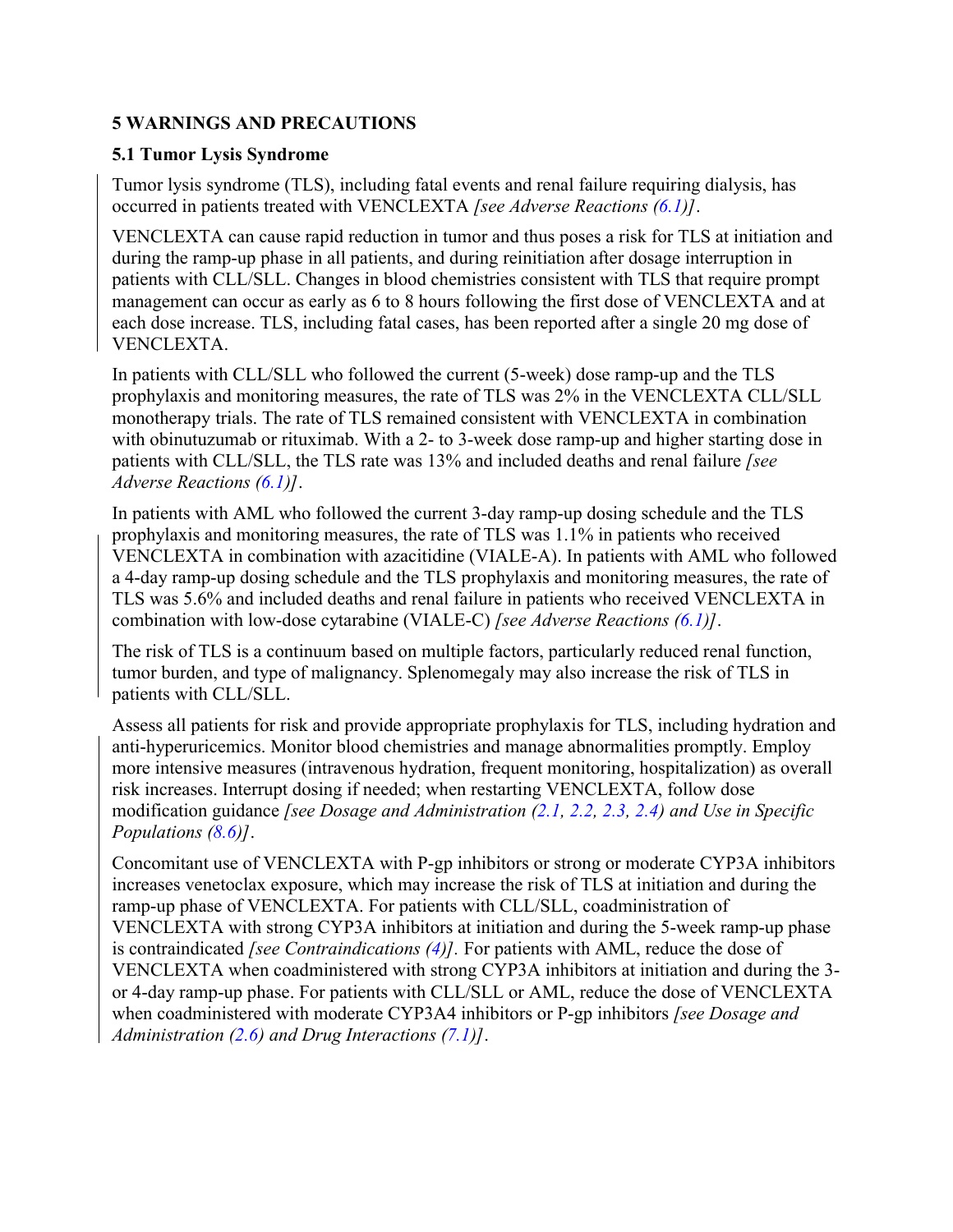### <span id="page-9-0"></span>**5 WARNINGS AND PRECAUTIONS**

### **5.1 Tumor Lysis Syndrome**

Tumor lysis syndrome (TLS), including fatal events and renal failure requiring dialysis, has occurred in patients treated with VENCLEXTA *[see Adverse Reactions [\(6.1\)](#page-11-0)]*.

VENCLEXTA can cause rapid reduction in tumor and thus poses a risk for TLS at initiation and during the ramp-up phase in all patients, and during reinitiation after dosage interruption in patients with CLL/SLL. Changes in blood chemistries consistent with TLS that require prompt management can occur as early as 6 to 8 hours following the first dose of VENCLEXTA and at each dose increase. TLS, including fatal cases, has been reported after a single 20 mg dose of VENCLEXTA.

In patients with CLL/SLL who followed the current (5-week) dose ramp-up and the TLS prophylaxis and monitoring measures, the rate of TLS was 2% in the VENCLEXTA CLL/SLL monotherapy trials. The rate of TLS remained consistent with VENCLEXTA in combination with obinutuzumab or rituximab. With a 2- to 3-week dose ramp-up and higher starting dose in patients with CLL/SLL, the TLS rate was 13% and included deaths and renal failure *[see Adverse Reactions [\(6.1\)](#page-11-0)]*.

In patients with AML who followed the current 3-day ramp-up dosing schedule and the TLS prophylaxis and monitoring measures, the rate of TLS was 1.1% in patients who received VENCLEXTA in combination with azacitidine (VIALE-A). In patients with AML who followed a 4-day ramp-up dosing schedule and the TLS prophylaxis and monitoring measures, the rate of TLS was 5.6% and included deaths and renal failure in patients who received VENCLEXTA in combination with low-dose cytarabine (VIALE-C) *[see Adverse Reactions [\(6.1\)](#page-11-0)]*.

The risk of TLS is a continuum based on multiple factors, particularly reduced renal function, tumor burden, and type of malignancy. Splenomegaly may also increase the risk of TLS in patients with CLL/SLL.

Assess all patients for risk and provide appropriate prophylaxis for TLS, including hydration and anti-hyperuricemics. Monitor blood chemistries and manage abnormalities promptly. Employ more intensive measures (intravenous hydration, frequent monitoring, hospitalization) as overall risk increases. Interrupt dosing if needed; when restarting VENCLEXTA, follow dose modification guidance *[see Dosage and Administration [\(2.1,](#page-1-1) [2.2,](#page-1-0) [2.3,](#page-2-0) [2.4\)](#page-3-0) and Use in Specific Populations [\(8.6\)](#page-28-1)]*.

Concomitant use of VENCLEXTA with P-gp inhibitors or strong or moderate CYP3A inhibitors increases venetoclax exposure, which may increase the risk of TLS at initiation and during the ramp-up phase of VENCLEXTA. For patients with CLL/SLL, coadministration of VENCLEXTA with strong CYP3A inhibitors at initiation and during the 5-week ramp-up phase is contraindicated *[see Contraindications [\(4\)](#page-8-0)].* For patients with AML, reduce the dose of VENCLEXTA when coadministered with strong CYP3A inhibitors at initiation and during the 3 or 4-day ramp-up phase. For patients with CLL/SLL or AML, reduce the dose of VENCLEXTA when coadministered with moderate CYP3A4 inhibitors or P-gp inhibitors *[see Dosage and Administration [\(2.6\)](#page-7-0) and Drug Interactions [\(7.1\)](#page-26-3)]*.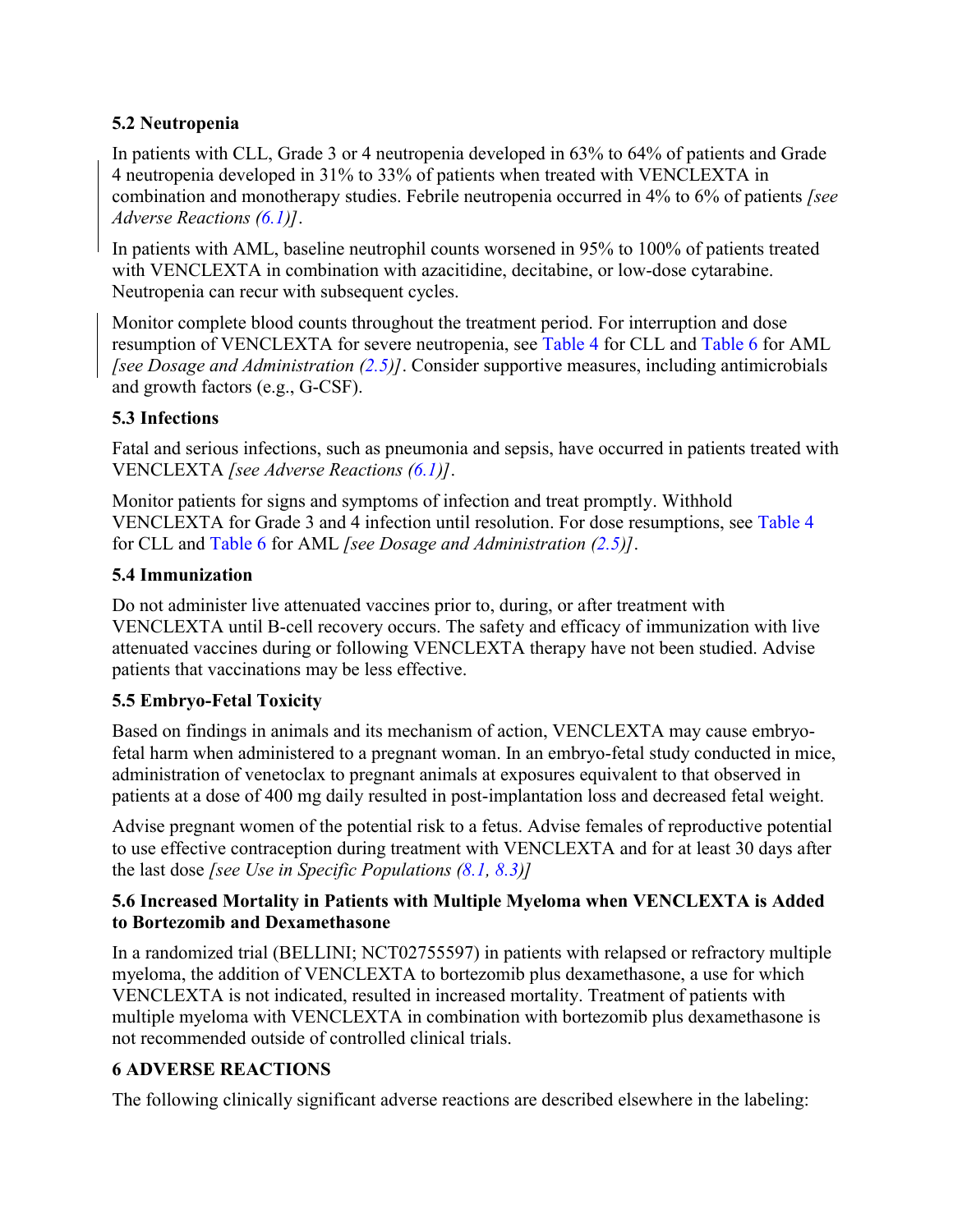## <span id="page-10-5"></span>**5.2 Neutropenia**

In patients with CLL, Grade 3 or 4 neutropenia developed in 63% to 64% of patients and Grade 4 neutropenia developed in 31% to 33% of patients when treated with VENCLEXTA in combination and monotherapy studies. Febrile neutropenia occurred in 4% to 6% of patients *[see Adverse Reactions [\(6.1\)](#page-11-0)]*.

In patients with AML, baseline neutrophil counts worsened in 95% to 100% of patients treated with VENCLEXTA in combination with azacitidine, decitabine, or low-dose cytarabine. Neutropenia can recur with subsequent cycles.

Monitor complete blood counts throughout the treatment period. For interruption and dose resumption of VENCLEXTA for severe neutropenia, see [Table 4](#page-5-1) for CLL and [Table 6](#page-6-1) for AML *[see Dosage and Administration [\(2.5\)](#page-5-0)]*. Consider supportive measures, including antimicrobials and growth factors (e.g., G-CSF).

# <span id="page-10-4"></span>**5.3 Infections**

Fatal and serious infections, such as pneumonia and sepsis, have occurred in patients treated with VENCLEXTA *[see Adverse Reactions [\(6.1\)](#page-11-0)]*.

Monitor patients for signs and symptoms of infection and treat promptly. Withhold VENCLEXTA for Grade 3 and 4 infection until resolution. For dose resumptions, see [Table 4](#page-5-1) for CLL and [Table 6](#page-6-1) for AML *[see Dosage and Administration [\(2.5\)](#page-5-0)]*.

# <span id="page-10-3"></span>**5.4 Immunization**

Do not administer live attenuated vaccines prior to, during, or after treatment with VENCLEXTA until B-cell recovery occurs. The safety and efficacy of immunization with live attenuated vaccines during or following VENCLEXTA therapy have not been studied. Advise patients that vaccinations may be less effective.

# <span id="page-10-2"></span>**5.5 Embryo-Fetal Toxicity**

Based on findings in animals and its mechanism of action, VENCLEXTA may cause embryofetal harm when administered to a pregnant woman. In an embryo-fetal study conducted in mice, administration of venetoclax to pregnant animals at exposures equivalent to that observed in patients at a dose of 400 mg daily resulted in post-implantation loss and decreased fetal weight.

Advise pregnant women of the potential risk to a fetus. Advise females of reproductive potential to use effective contraception during treatment with VENCLEXTA and for at least 30 days after the last dose *[see Use in Specific Populations [\(8.1,](#page-26-0) [8.3\)](#page-27-0)]*

## <span id="page-10-1"></span>**5.6 Increased Mortality in Patients with Multiple Myeloma when VENCLEXTA is Added to Bortezomib and Dexamethasone**

In a randomized trial (BELLINI; NCT02755597) in patients with relapsed or refractory multiple myeloma, the addition of VENCLEXTA to bortezomib plus dexamethasone, a use for which VENCLEXTA is not indicated, resulted in increased mortality. Treatment of patients with multiple myeloma with VENCLEXTA in combination with bortezomib plus dexamethasone is not recommended outside of controlled clinical trials.

# <span id="page-10-0"></span>**6 ADVERSE REACTIONS**

The following clinically significant adverse reactions are described elsewhere in the labeling: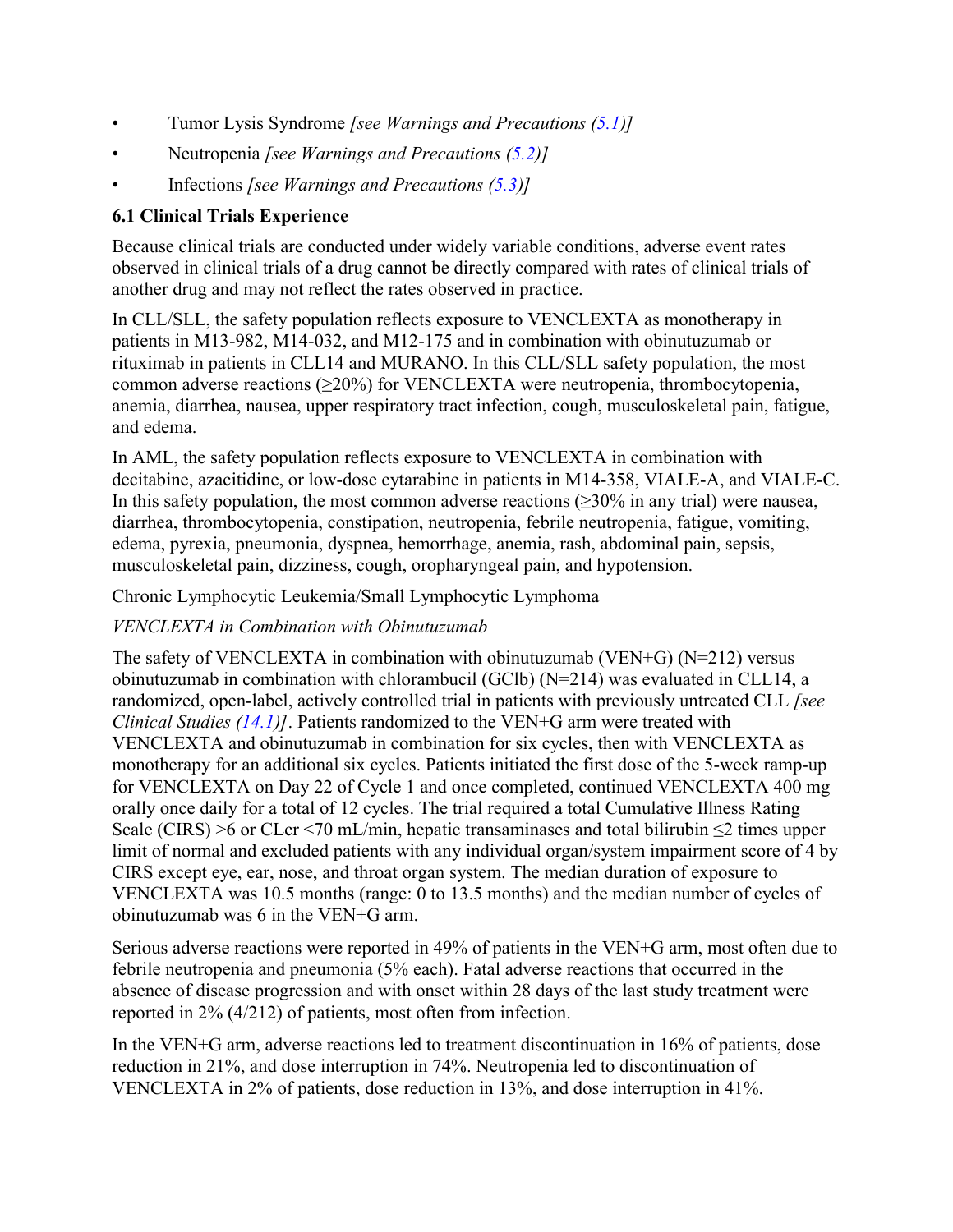- Tumor Lysis Syndrome *[see Warnings and Precautions (5.1)]*
- Neutropenia *[see Warnings and Precautions [\(5.2\)](#page-10-5)]*
- Infections *[see Warnings and Precautions [\(5.3\)](#page-10-4)]*

## <span id="page-11-0"></span>**6.1 Clinical Trials Experience**

Because clinical trials are conducted under widely variable conditions, adverse event rates observed in clinical trials of a drug cannot be directly compared with rates of clinical trials of another drug and may not reflect the rates observed in practice.

In CLL/SLL, the safety population reflects exposure to VENCLEXTA as monotherapy in patients in M13-982, M14-032, and M12-175 and in combination with obinutuzumab or rituximab in patients in CLL14 and MURANO. In this CLL/SLL safety population, the most common adverse reactions  $(\geq 20\%)$  for VENCLEXTA were neutropenia, thrombocytopenia, anemia, diarrhea, nausea, upper respiratory tract infection, cough, musculoskeletal pain, fatigue, and edema.

In AML, the safety population reflects exposure to VENCLEXTA in combination with decitabine, azacitidine, or low-dose cytarabine in patients in M14-358, VIALE-A, and VIALE-C. In this safety population, the most common adverse reactions  $(\geq 30\%$  in any trial) were nausea, diarrhea, thrombocytopenia, constipation, neutropenia, febrile neutropenia, fatigue, vomiting, edema, pyrexia, pneumonia, dyspnea, hemorrhage, anemia, rash, abdominal pain, sepsis, musculoskeletal pain, dizziness, cough, oropharyngeal pain, and hypotension.

### Chronic Lymphocytic Leukemia/Small Lymphocytic Lymphoma

## *VENCLEXTA in Combination with Obinutuzumab*

The safety of VENCLEXTA in combination with obinutuzumab (VEN+G) (N=212) versus obinutuzumab in combination with chlorambucil (GClb) (N=214) was evaluated in CLL14, a randomized, open-label, actively controlled trial in patients with previously untreated CLL *[see Clinical Studies [\(14.1\)](#page-33-0)]*. Patients randomized to the VEN+G arm were treated with VENCLEXTA and obinutuzumab in combination for six cycles, then with VENCLEXTA as monotherapy for an additional six cycles. Patients initiated the first dose of the 5-week ramp-up for VENCLEXTA on Day 22 of Cycle 1 and once completed, continued VENCLEXTA 400 mg orally once daily for a total of 12 cycles. The trial required a total Cumulative Illness Rating Scale (CIRS) >6 or CLcr <70 mL/min, hepatic transaminases and total bilirubin  $\leq$  2 times upper limit of normal and excluded patients with any individual organ/system impairment score of 4 by CIRS except eye, ear, nose, and throat organ system. The median duration of exposure to VENCLEXTA was 10.5 months (range: 0 to 13.5 months) and the median number of cycles of obinutuzumab was 6 in the VEN+G arm.

Serious adverse reactions were reported in 49% of patients in the VEN+G arm, most often due to febrile neutropenia and pneumonia (5% each). Fatal adverse reactions that occurred in the absence of disease progression and with onset within 28 days of the last study treatment were reported in 2% (4/212) of patients, most often from infection.

In the VEN+G arm, adverse reactions led to treatment discontinuation in 16% of patients, dose reduction in 21%, and dose interruption in 74%. Neutropenia led to discontinuation of VENCLEXTA in 2% of patients, dose reduction in 13%, and dose interruption in 41%.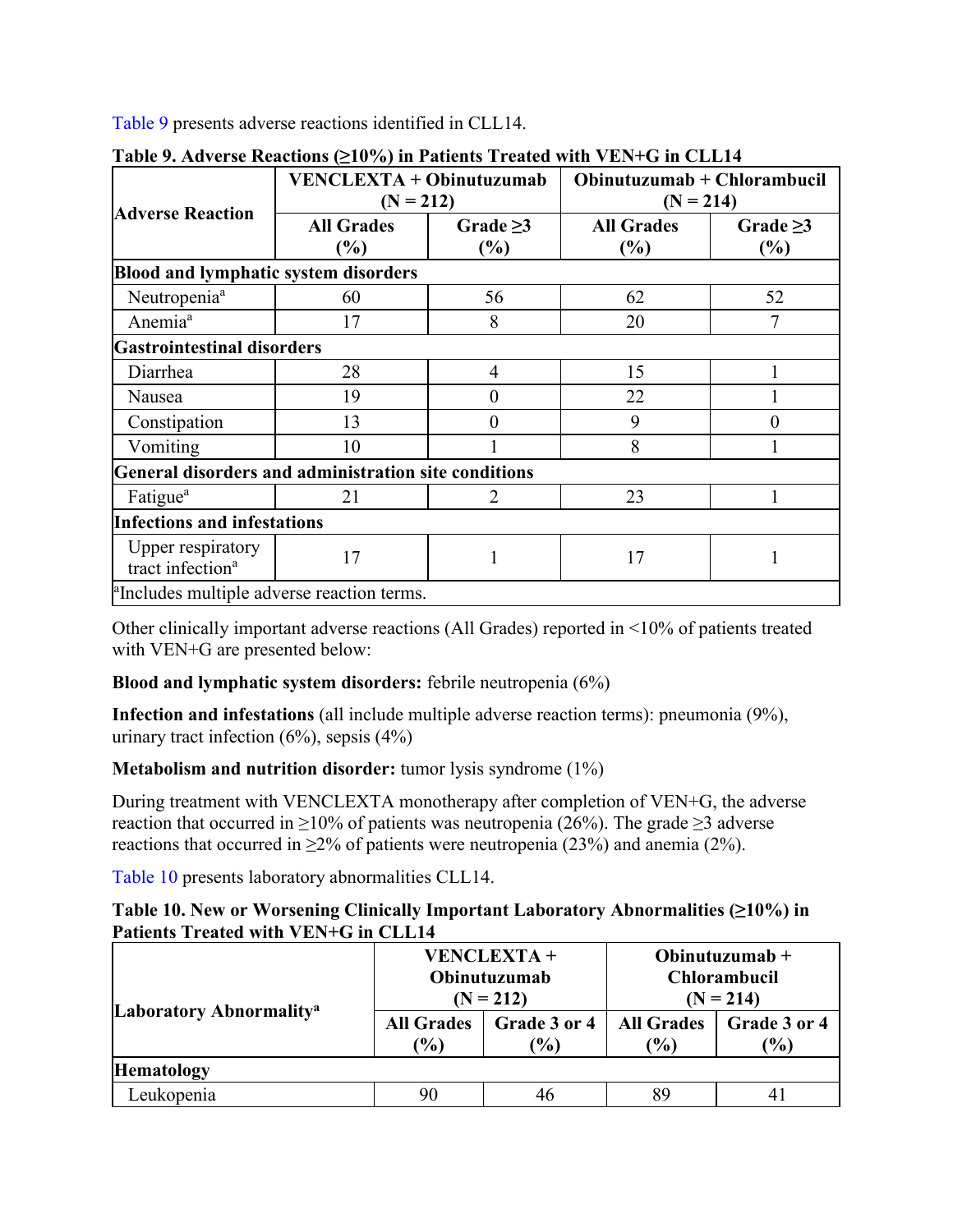[Table 9](#page-12-1) presents adverse reactions identified in CLL14.

|                                                             | <b>VENCLEXTA + Obinutuzumab</b><br>$(N = 212)$ |                          | $Obinutuzumab + Chlorambucil$<br>$(N = 214)$ |                          |  |  |
|-------------------------------------------------------------|------------------------------------------------|--------------------------|----------------------------------------------|--------------------------|--|--|
| <b>Adverse Reaction</b>                                     | <b>All Grades</b><br>$\frac{9}{6}$             | Grade $\geq$ 3<br>$(\%)$ | <b>All Grades</b><br>$(\%)$                  | Grade $\geq$ 3<br>$(\%)$ |  |  |
| <b>Blood and lymphatic system disorders</b>                 |                                                |                          |                                              |                          |  |  |
| Neutropenia <sup>a</sup>                                    | 60                                             | 56                       | 62                                           | 52                       |  |  |
| Anemia <sup>a</sup>                                         | 17                                             | 8                        | 20                                           | 7                        |  |  |
| <b>Gastrointestinal disorders</b>                           |                                                |                          |                                              |                          |  |  |
| Diarrhea                                                    | 28                                             | $\overline{4}$           | 15                                           |                          |  |  |
| Nausea                                                      | 19                                             | $\Omega$                 | 22                                           |                          |  |  |
| Constipation                                                | 13                                             | 0                        | 9                                            | 0                        |  |  |
| Vomiting                                                    | 10                                             |                          | 8                                            |                          |  |  |
| <b>General disorders and administration site conditions</b> |                                                |                          |                                              |                          |  |  |
| Fatigue <sup>a</sup>                                        | 21                                             | $\overline{2}$           | 23                                           |                          |  |  |
| <b>Infections and infestations</b>                          |                                                |                          |                                              |                          |  |  |
| Upper respiratory<br>tract infection <sup>a</sup>           | 17                                             |                          | 17                                           |                          |  |  |
| <sup>a</sup> Includes multiple adverse reaction terms.      |                                                |                          |                                              |                          |  |  |

<span id="page-12-1"></span>

| Table 9. Adverse Reactions ( $\geq$ 10%) in Patients Treated with VEN+G in CLL14 |  |  |  |
|----------------------------------------------------------------------------------|--|--|--|

Other clinically important adverse reactions (All Grades) reported in <10% of patients treated with VEN+G are presented below:

### **Blood and lymphatic system disorders:** febrile neutropenia (6%)

**Infection and infestations** (all include multiple adverse reaction terms): pneumonia (9%), urinary tract infection  $(6\%)$ , sepsis  $(4\%)$ 

### **Metabolism and nutrition disorder:** tumor lysis syndrome (1%)

During treatment with VENCLEXTA monotherapy after completion of VEN+G, the adverse reaction that occurred in  $\geq$ 10% of patients was neutropenia (26%). The grade  $\geq$ 3 adverse reactions that occurred in  $\geq 2\%$  of patients were neutropenia (23%) and anemia (2%).

<span id="page-12-0"></span>[Table 10](#page-12-0) presents laboratory abnormalities CLL14.

### **Table 10. New or Worsening Clinically Important Laboratory Abnormalities (≥10%) in Patients Treated with VEN+G in CLL14**

|                                     | <b>VENCLEXTA +</b><br>Obinutuzumab<br>$(N = 212)$ |                     | Obinutuzumab $+$<br><b>Chlorambucil</b><br>$(N = 214)$ |                               |  |
|-------------------------------------|---------------------------------------------------|---------------------|--------------------------------------------------------|-------------------------------|--|
| Laboratory Abnormality <sup>a</sup> | <b>All Grades</b><br>$\frac{9}{6}$                | Grade 3 or 4<br>(%) | <b>All Grades</b><br>$\frac{9}{6}$                     | Grade 3 or 4<br>$\frac{6}{6}$ |  |
| <b>Hematology</b>                   |                                                   |                     |                                                        |                               |  |
| Leukopenia                          | 90                                                | 46                  | 89                                                     | 4 I                           |  |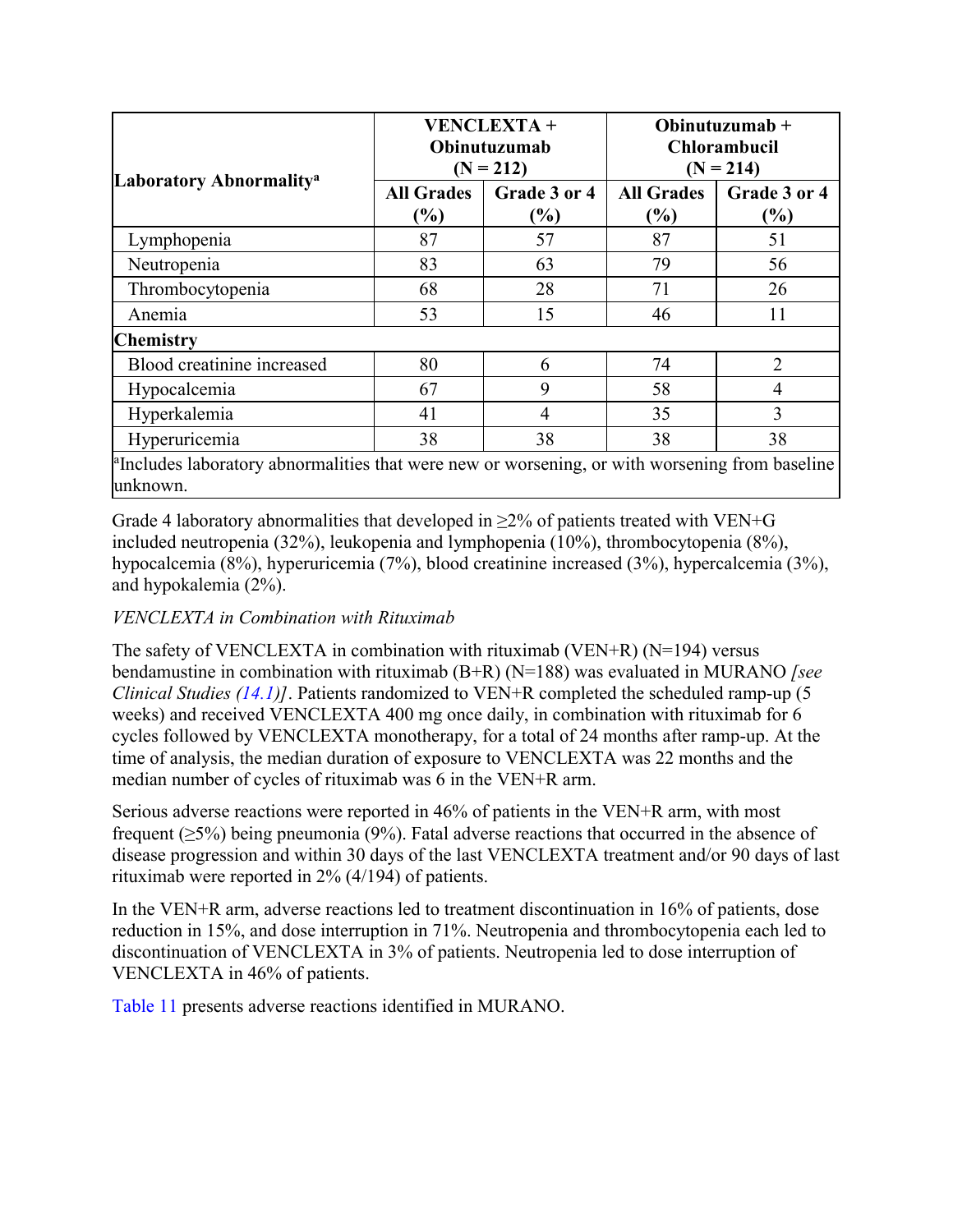|                                                                                                                        |                                    | <b>VENCLEXTA +</b><br>Obinutuzumab<br>$(N = 212)$ | Obinutuzumab $+$<br><b>Chlorambucil</b><br>$(N = 214)$ |                        |  |
|------------------------------------------------------------------------------------------------------------------------|------------------------------------|---------------------------------------------------|--------------------------------------------------------|------------------------|--|
| Laboratory Abnormality <sup>a</sup>                                                                                    | <b>All Grades</b><br>$\frac{9}{6}$ | Grade 3 or 4<br>$(\%)$                            | <b>All Grades</b><br>$(\%)$                            | Grade 3 or 4<br>$(\%)$ |  |
| Lymphopenia                                                                                                            | 87                                 | 57                                                | 87                                                     | 51                     |  |
| Neutropenia                                                                                                            | 83                                 | 63                                                | 79                                                     | 56                     |  |
| Thrombocytopenia                                                                                                       | 68                                 | 28                                                | 71                                                     | 26                     |  |
| Anemia                                                                                                                 | 53                                 | 15                                                | 46                                                     | 11                     |  |
| <b>Chemistry</b>                                                                                                       |                                    |                                                   |                                                        |                        |  |
| Blood creatinine increased                                                                                             | 80                                 | 6                                                 | 74                                                     | $\overline{2}$         |  |
| Hypocalcemia                                                                                                           | 67                                 | 9                                                 | 58                                                     | $\overline{4}$         |  |
| Hyperkalemia                                                                                                           | 41                                 | 4                                                 | 35                                                     | 3                      |  |
| Hyperuricemia                                                                                                          | 38                                 | 38                                                | 38                                                     | 38                     |  |
| <sup>a</sup> Includes laboratory abnormalities that were new or worsening, or with worsening from baseline<br>unknown. |                                    |                                                   |                                                        |                        |  |

Grade 4 laboratory abnormalities that developed in  $\geq$ 2% of patients treated with VEN+G included neutropenia (32%), leukopenia and lymphopenia (10%), thrombocytopenia (8%), hypocalcemia (8%), hyperuricemia (7%), blood creatinine increased (3%), hypercalcemia (3%), and hypokalemia (2%).

### *VENCLEXTA in Combination with Rituximab*

The safety of VENCLEXTA in combination with rituximab (VEN+R) ( $N=194$ ) versus bendamustine in combination with rituximab (B+R) (N=188) was evaluated in MURANO *[see Clinical Studies [\(14.1\)](#page-33-0)]*. Patients randomized to VEN+R completed the scheduled ramp-up (5 weeks) and received VENCLEXTA 400 mg once daily, in combination with rituximab for 6 cycles followed by VENCLEXTA monotherapy, for a total of 24 months after ramp-up. At the time of analysis, the median duration of exposure to VENCLEXTA was 22 months and the median number of cycles of rituximab was 6 in the VEN+R arm.

Serious adverse reactions were reported in 46% of patients in the VEN+R arm, with most frequent ( $\geq$ 5%) being pneumonia (9%). Fatal adverse reactions that occurred in the absence of disease progression and within 30 days of the last VENCLEXTA treatment and/or 90 days of last rituximab were reported in 2% (4/194) of patients.

In the VEN+R arm, adverse reactions led to treatment discontinuation in 16% of patients, dose reduction in 15%, and dose interruption in 71%. Neutropenia and thrombocytopenia each led to discontinuation of VENCLEXTA in 3% of patients. Neutropenia led to dose interruption of VENCLEXTA in 46% of patients.

[Table 11](#page-14-0) presents adverse reactions identified in MURANO.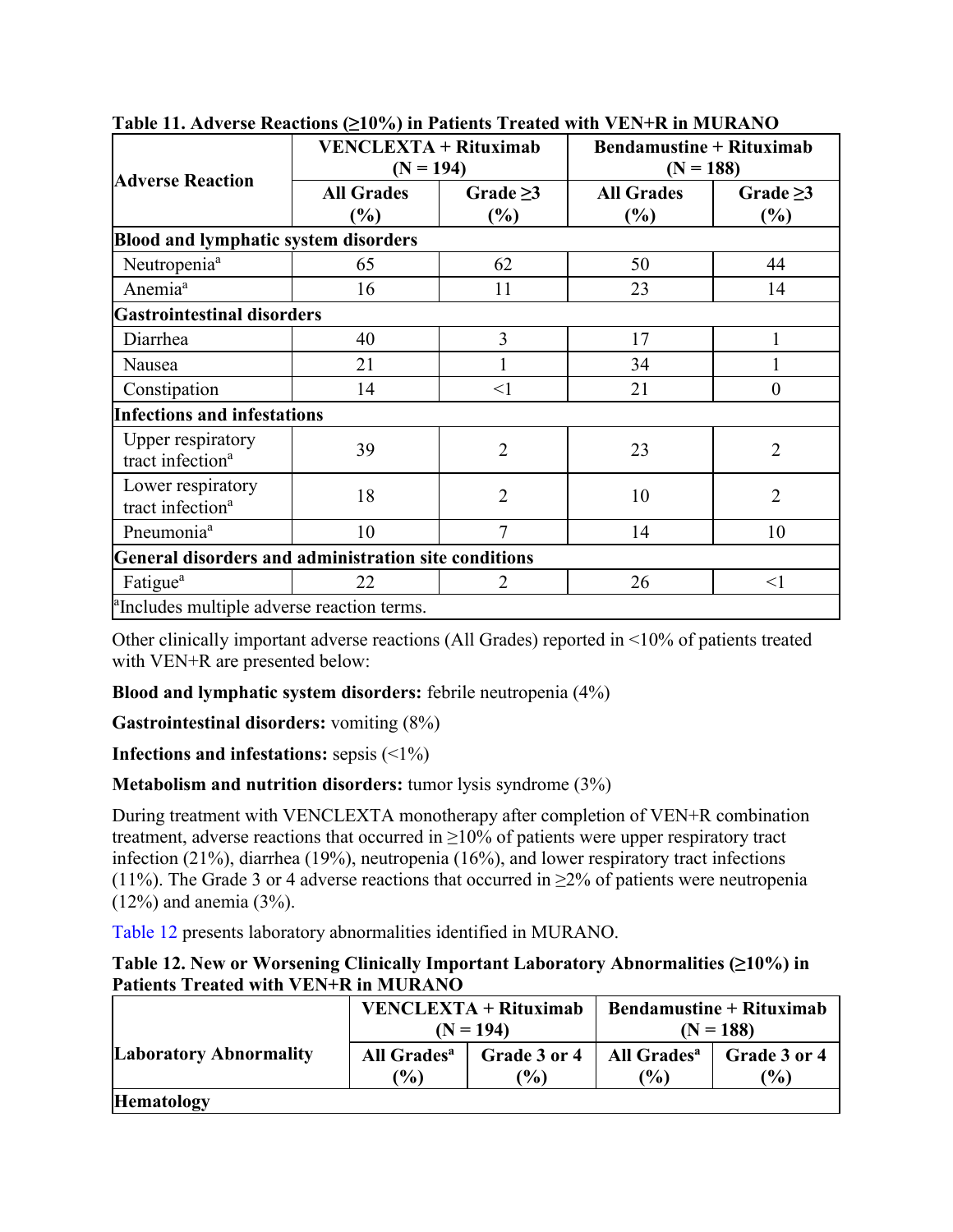<span id="page-14-0"></span>

|                                                        | <b>VENCLEXTA + Rituximab</b><br>$(N = 194)$ |                          | <b>Bendamustine + Rituximab</b><br>$(N = 188)$ |                          |
|--------------------------------------------------------|---------------------------------------------|--------------------------|------------------------------------------------|--------------------------|
| <b>Adverse Reaction</b>                                | <b>All Grades</b><br>$(\%)$                 | Grade $\geq$ 3<br>$(\%)$ | <b>All Grades</b><br>(%)                       | Grade $\geq$ 3<br>$(\%)$ |
| <b>Blood and lymphatic system disorders</b>            |                                             |                          |                                                |                          |
| Neutropenia <sup>a</sup>                               | 65                                          | 62                       | 50                                             | 44                       |
| Anemia <sup>a</sup>                                    | 16                                          | 11                       | 23                                             | 14                       |
| <b>Gastrointestinal disorders</b>                      |                                             |                          |                                                |                          |
| Diarrhea                                               | 40                                          | 3                        | 17                                             |                          |
| Nausea                                                 | 21                                          |                          | 34                                             |                          |
| Constipation                                           | 14                                          | $\leq$ 1                 | 21                                             | $\overline{0}$           |
| <b>Infections and infestations</b>                     |                                             |                          |                                                |                          |
| Upper respiratory<br>tract infection <sup>a</sup>      | 39                                          | $\overline{2}$           | 23                                             | $\overline{2}$           |
| Lower respiratory<br>tract infection <sup>a</sup>      | 18                                          | $\overline{2}$           | 10                                             | $\overline{2}$           |
| Pneumonia <sup>a</sup>                                 | 10                                          | 7                        | 14                                             | 10                       |
| General disorders and administration site conditions   |                                             |                          |                                                |                          |
| Fatigue <sup>a</sup>                                   | 22                                          | $\overline{2}$           | 26                                             | $<$ 1                    |
| <sup>a</sup> Includes multiple adverse reaction terms. |                                             |                          |                                                |                          |

### **Table 11. Adverse Reactions (≥10%) in Patients Treated with VEN+R in MURANO**

Other clinically important adverse reactions (All Grades) reported in <10% of patients treated with VEN+R are presented below:

## **Blood and lymphatic system disorders:** febrile neutropenia (4%)

**Gastrointestinal disorders:** vomiting (8%)

## **Infections and infestations:** sepsis (<1%)

## **Metabolism and nutrition disorders:** tumor lysis syndrome (3%)

During treatment with VENCLEXTA monotherapy after completion of VEN+R combination treatment, adverse reactions that occurred in  $\geq 10\%$  of patients were upper respiratory tract infection (21%), diarrhea (19%), neutropenia (16%), and lower respiratory tract infections (11%). The Grade 3 or 4 adverse reactions that occurred in  $\geq 2\%$  of patients were neutropenia (12%) and anemia (3%).

[Table 12](#page-14-1) presents laboratory abnormalities identified in MURANO.

### <span id="page-14-1"></span>**Table 12. New or Worsening Clinically Important Laboratory Abnormalities (≥10%) in Patients Treated with VEN+R in MURANO**

|                               |                                                                           | VENCLEXTA + Rituximab<br>$(N = 194)$ | <b>Bendamustine + Rituximab</b><br>$(N = 188)$ |                     |
|-------------------------------|---------------------------------------------------------------------------|--------------------------------------|------------------------------------------------|---------------------|
| <b>Laboratory Abnormality</b> | All Grades <sup>a</sup><br>Grade 3 or 4<br>$\frac{9}{6}$<br>$\frac{6}{2}$ |                                      | All Grades <sup>a</sup><br>$\frac{9}{6}$       | Grade 3 or 4<br>(%) |
| <b>Hematology</b>             |                                                                           |                                      |                                                |                     |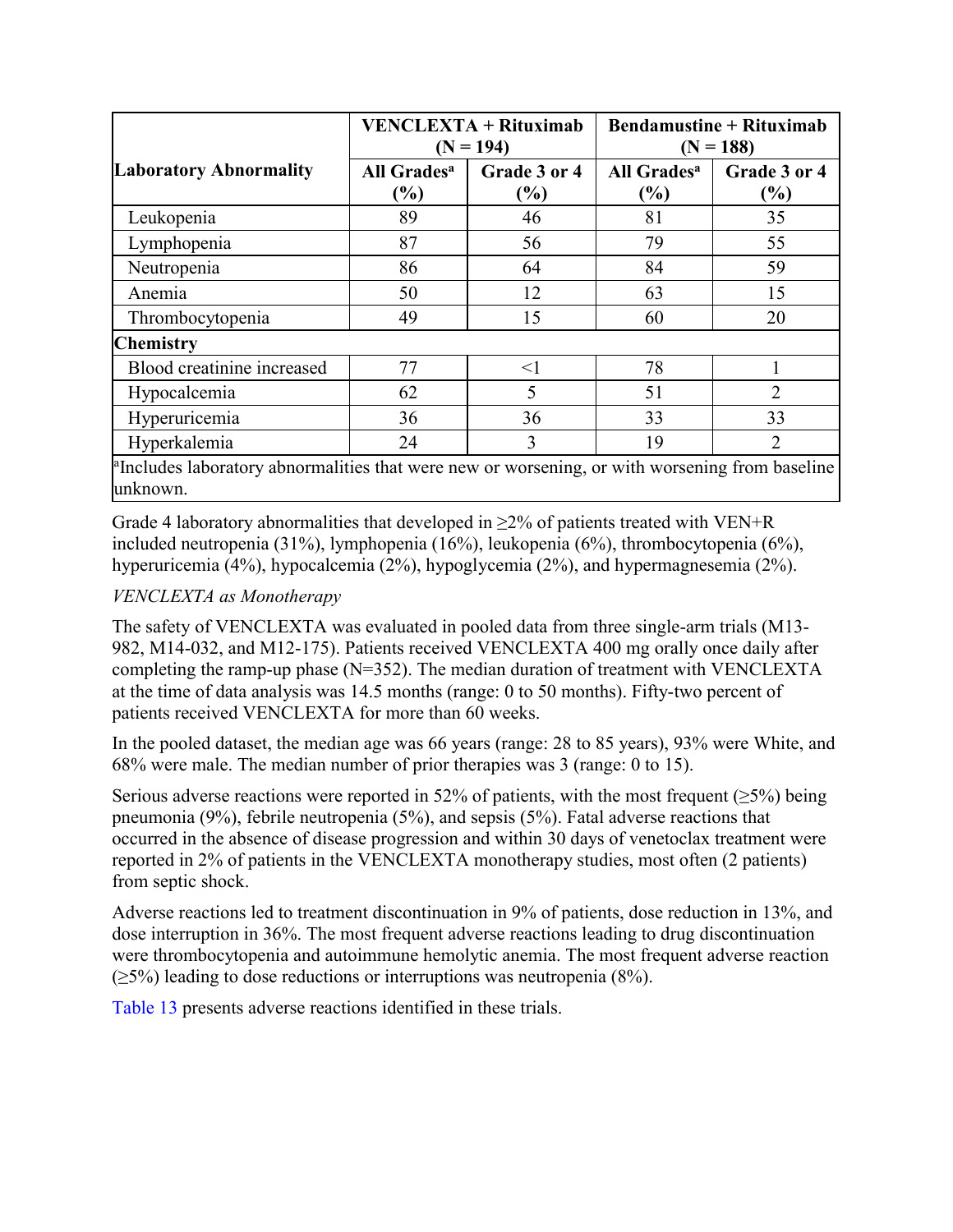|                                                                                                                        | <b>VENCLEXTA + Rituximab</b><br>$(N = 194)$ |                        | <b>Bendamustine + Rituximab</b><br>$(N = 188)$ |                        |  |
|------------------------------------------------------------------------------------------------------------------------|---------------------------------------------|------------------------|------------------------------------------------|------------------------|--|
| <b>Laboratory Abnormality</b>                                                                                          | <b>All Grades<sup>a</sup></b><br>(%)        | Grade 3 or 4<br>$(\%)$ | <b>All Grades<sup>a</sup></b><br>$(\%)$        | Grade 3 or 4<br>$(\%)$ |  |
| Leukopenia                                                                                                             | 89                                          | 46                     | 81                                             | 35                     |  |
| Lymphopenia                                                                                                            | 87                                          | 56                     | 79                                             | 55                     |  |
| Neutropenia                                                                                                            | 86                                          | 64                     | 84                                             | 59                     |  |
| Anemia                                                                                                                 | 50                                          | 12                     | 63                                             | 15                     |  |
| Thrombocytopenia                                                                                                       | 49                                          | 15                     | 60                                             | 20                     |  |
| <b>Chemistry</b>                                                                                                       |                                             |                        |                                                |                        |  |
| Blood creatinine increased                                                                                             | 77                                          | $\leq$ 1               | 78                                             |                        |  |
| Hypocalcemia                                                                                                           | 62                                          | 5                      | 51                                             | $\overline{2}$         |  |
| Hyperuricemia                                                                                                          | 36                                          | 36                     | 33                                             | 33                     |  |
| Hyperkalemia                                                                                                           | 24                                          | 3                      | 19                                             | $\overline{2}$         |  |
| <sup>a</sup> Includes laboratory abnormalities that were new or worsening, or with worsening from baseline<br>unknown. |                                             |                        |                                                |                        |  |

Grade 4 laboratory abnormalities that developed in  $\geq$ 2% of patients treated with VEN+R included neutropenia (31%), lymphopenia (16%), leukopenia (6%), thrombocytopenia (6%), hyperuricemia (4%), hypocalcemia (2%), hypoglycemia (2%), and hypermagnesemia (2%).

*VENCLEXTA as Monotherapy* 

The safety of VENCLEXTA was evaluated in pooled data from three single-arm trials (M13- 982, M14-032, and M12-175). Patients received VENCLEXTA 400 mg orally once daily after completing the ramp-up phase (N=352). The median duration of treatment with VENCLEXTA at the time of data analysis was 14.5 months (range: 0 to 50 months). Fifty-two percent of patients received VENCLEXTA for more than 60 weeks.

In the pooled dataset, the median age was 66 years (range: 28 to 85 years), 93% were White, and 68% were male. The median number of prior therapies was 3 (range: 0 to 15).

Serious adverse reactions were reported in 52% of patients, with the most frequent ( $\geq$ 5%) being pneumonia (9%), febrile neutropenia (5%), and sepsis (5%). Fatal adverse reactions that occurred in the absence of disease progression and within 30 days of venetoclax treatment were reported in 2% of patients in the VENCLEXTA monotherapy studies, most often (2 patients) from septic shock.

Adverse reactions led to treatment discontinuation in 9% of patients, dose reduction in 13%, and dose interruption in 36%. The most frequent adverse reactions leading to drug discontinuation were thrombocytopenia and autoimmune hemolytic anemia. The most frequent adverse reaction  $(\geq 5\%)$  leading to dose reductions or interruptions was neutropenia (8%).

[Table 13](#page-16-0) presents adverse reactions identified in these trials.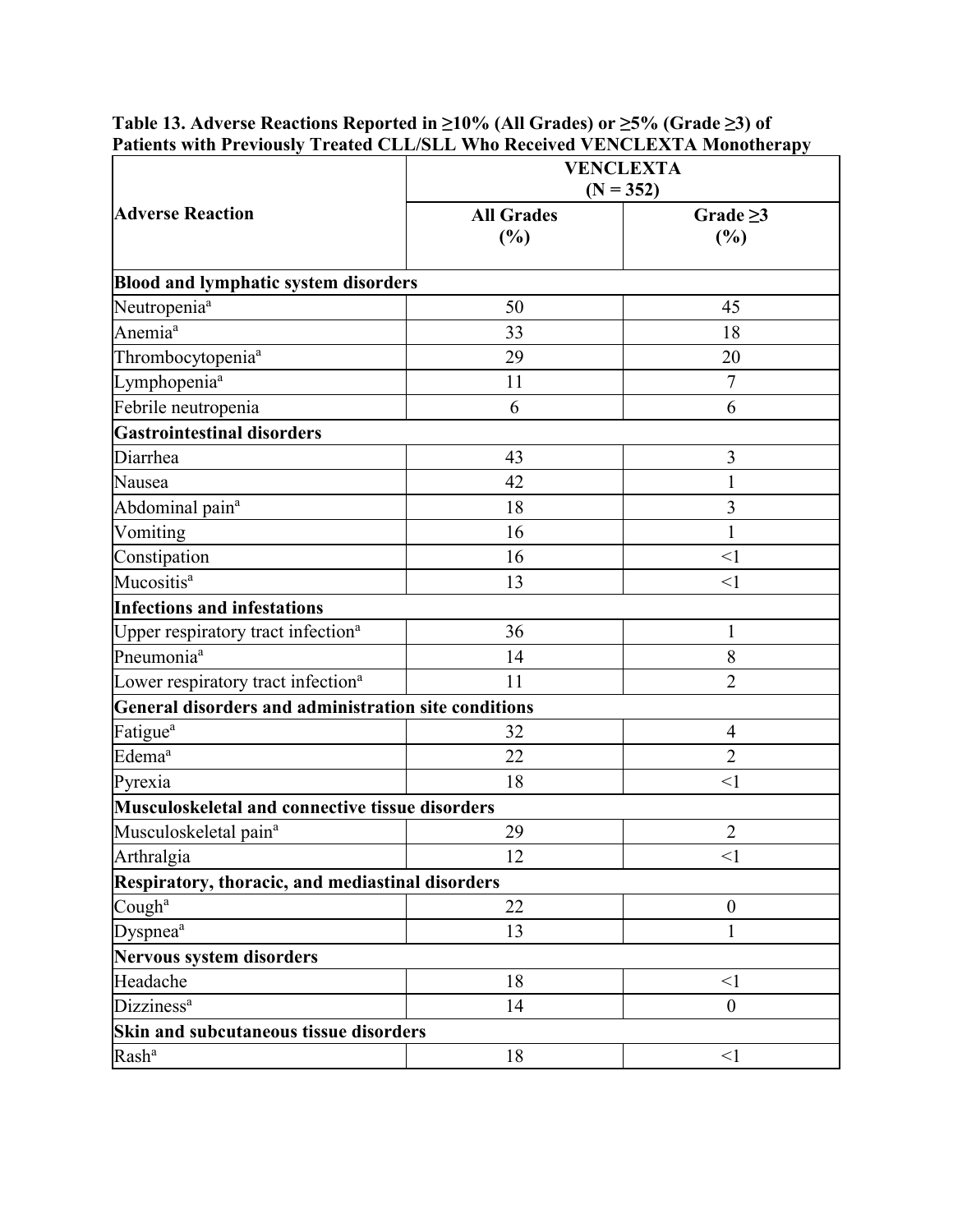|                                                      | <b>VENCLEXTA</b><br>$(N = 352)$ |                         |  |  |
|------------------------------------------------------|---------------------------------|-------------------------|--|--|
| <b>Adverse Reaction</b>                              | <b>All Grades</b><br>(%)        | Grade $\geq$ 3<br>(%)   |  |  |
| <b>Blood and lymphatic system disorders</b>          |                                 |                         |  |  |
| Neutropenia <sup>a</sup>                             | 50                              | 45                      |  |  |
| Anemia <sup>a</sup>                                  | 33                              | 18                      |  |  |
| Thrombocytopenia <sup>a</sup>                        | 29                              | 20                      |  |  |
| Lymphopenia <sup>a</sup>                             | 11                              | $\tau$                  |  |  |
| Febrile neutropenia                                  | 6                               | 6                       |  |  |
| <b>Gastrointestinal disorders</b>                    |                                 |                         |  |  |
| Diarrhea                                             | 43                              | 3                       |  |  |
| Nausea                                               | 42                              |                         |  |  |
| Abdominal pain <sup>a</sup>                          | 18                              | $\overline{\mathbf{3}}$ |  |  |
| Vomiting                                             | 16                              | $\mathbf{1}$            |  |  |
| Constipation                                         | 16                              | $\leq$ 1                |  |  |
| Mucositis <sup>a</sup>                               | 13                              | $\leq$ 1                |  |  |
| <b>Infections and infestations</b>                   |                                 |                         |  |  |
| Upper respiratory tract infection <sup>a</sup>       | 36                              | $\mathbf{1}$            |  |  |
| Pneumonia <sup>a</sup>                               | 14                              | 8                       |  |  |
| Lower respiratory tract infection <sup>a</sup>       | 11                              | $\overline{2}$          |  |  |
| General disorders and administration site conditions |                                 |                         |  |  |
| Fatigue <sup>a</sup>                                 | 32                              | $\overline{4}$          |  |  |
| Edema <sup>a</sup>                                   | 22                              | $\overline{2}$          |  |  |
| Pyrexia                                              | 18                              | $\leq$ 1                |  |  |
| Musculoskeletal and connective tissue disorders      |                                 |                         |  |  |
| Musculoskeletal pain <sup>a</sup>                    | 29                              | $\overline{2}$          |  |  |
| Arthralgia                                           | 12                              | $<$ l                   |  |  |
| Respiratory, thoracic, and mediastinal disorders     |                                 |                         |  |  |
| Cough <sup>a</sup>                                   | 22                              | $\boldsymbol{0}$        |  |  |
| Dyspnea <sup>a</sup>                                 | 13                              | $\mathbf{1}$            |  |  |
| <b>Nervous system disorders</b>                      |                                 |                         |  |  |
| Headache                                             | 18                              | $\leq$ 1                |  |  |
| <b>Dizziness</b> <sup>a</sup>                        | 14                              | $\boldsymbol{0}$        |  |  |
| Skin and subcutaneous tissue disorders               |                                 |                         |  |  |
| Rash <sup>a</sup>                                    | 18                              | $\leq$ 1                |  |  |

### <span id="page-16-0"></span>**Table 13. Adverse Reactions Reported in ≥10% (All Grades) or ≥5% (Grade ≥3) of Patients with Previously Treated CLL/SLL Who Received VENCLEXTA Monotherapy**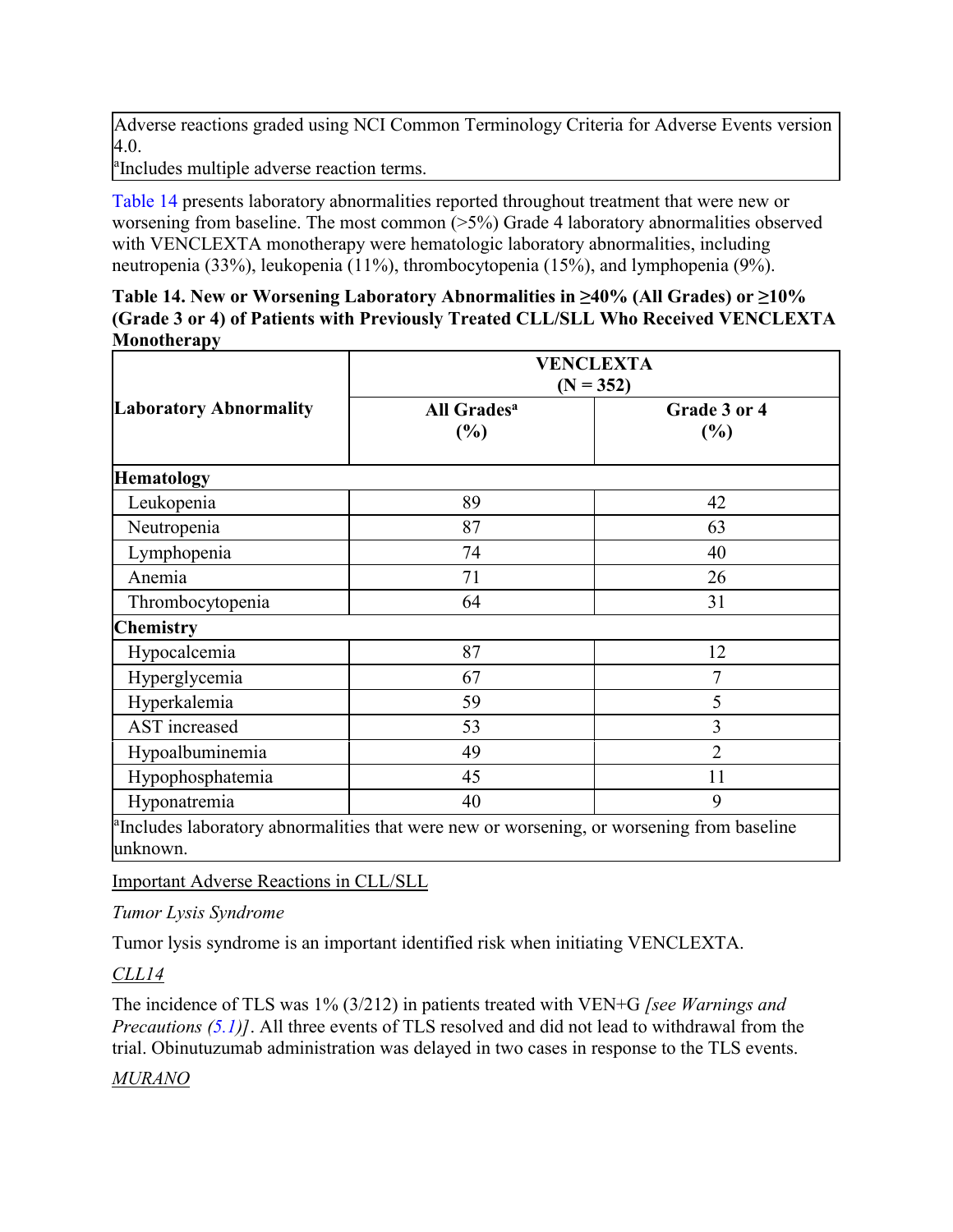Adverse reactions graded using NCI Common Terminology Criteria for Adverse Events version 4.0.

a Includes multiple adverse reaction terms.

[Table 14](#page-17-0) presents laboratory abnormalities reported throughout treatment that were new or worsening from baseline. The most common (>5%) Grade 4 laboratory abnormalities observed with VENCLEXTA monotherapy were hematologic laboratory abnormalities, including neutropenia (33%), leukopenia (11%), thrombocytopenia (15%), and lymphopenia (9%).

<span id="page-17-0"></span>**Table 14. New or Worsening Laboratory Abnormalities in ≥40% (All Grades) or ≥10% (Grade 3 or 4) of Patients with Previously Treated CLL/SLL Who Received VENCLEXTA Monotherapy**

|                                                                                                                   | <b>VENCLEXTA</b><br>$(N = 352)$         |                     |  |  |
|-------------------------------------------------------------------------------------------------------------------|-----------------------------------------|---------------------|--|--|
| <b>Laboratory Abnormality</b>                                                                                     | <b>All Grades<sup>a</sup></b><br>$(\%)$ | Grade 3 or 4<br>(%) |  |  |
| <b>Hematology</b>                                                                                                 |                                         |                     |  |  |
| Leukopenia                                                                                                        | 89                                      | 42                  |  |  |
| Neutropenia                                                                                                       | 87                                      | 63                  |  |  |
| Lymphopenia                                                                                                       | 74                                      | 40                  |  |  |
| Anemia                                                                                                            | 71                                      | 26                  |  |  |
| Thrombocytopenia                                                                                                  | 64                                      | 31                  |  |  |
| <b>Chemistry</b>                                                                                                  |                                         |                     |  |  |
| Hypocalcemia                                                                                                      | 87                                      | 12                  |  |  |
| Hyperglycemia                                                                                                     | 67                                      | 7                   |  |  |
| Hyperkalemia                                                                                                      | 59                                      | 5                   |  |  |
| <b>AST</b> increased                                                                                              | 53                                      | 3                   |  |  |
| Hypoalbuminemia                                                                                                   | 49                                      | $\overline{2}$      |  |  |
| Hypophosphatemia                                                                                                  | 45                                      | 11                  |  |  |
| Hyponatremia                                                                                                      | 40                                      | 9                   |  |  |
| <sup>a</sup> Includes laboratory abnormalities that were new or worsening, or worsening from baseline<br>unknown. |                                         |                     |  |  |

Important Adverse Reactions in CLL/SLL

*Tumor Lysis Syndrome*

Tumor lysis syndrome is an important identified risk when initiating VENCLEXTA.

*CLL14*

The incidence of TLS was 1% (3/212) in patients treated with VEN+G *[see Warnings and Precautions (5.1)]*. All three events of TLS resolved and did not lead to withdrawal from the trial. Obinutuzumab administration was delayed in two cases in response to the TLS events.

## *MURANO*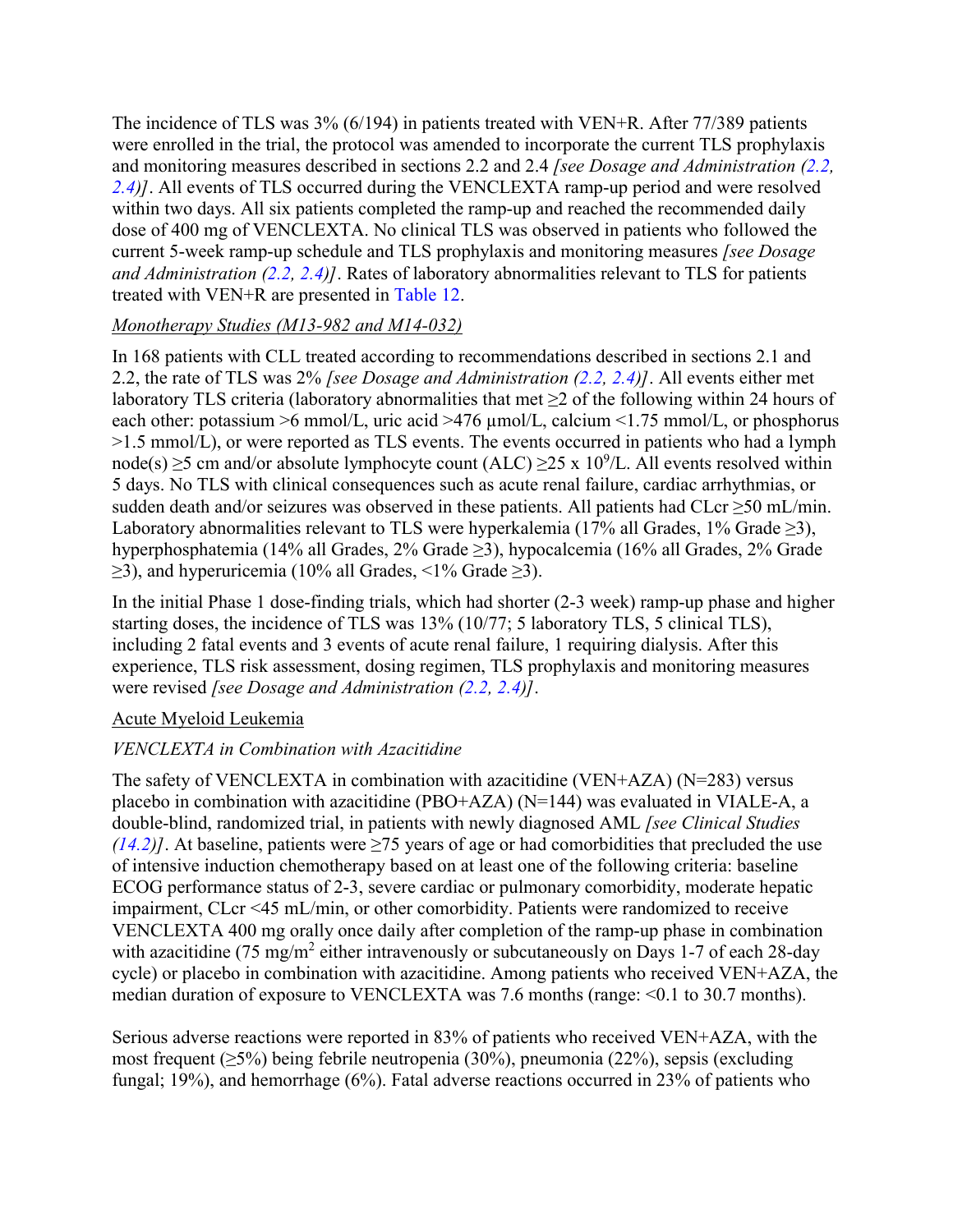The incidence of TLS was 3% (6/194) in patients treated with VEN+R. After 77/389 patients were enrolled in the trial, the protocol was amended to incorporate the current TLS prophylaxis and monitoring measures described in sections 2.2 and 2.4 *[see Dosage and Administration [\(2.2,](#page-1-0) [2.4\)](#page-3-0)]*. All events of TLS occurred during the VENCLEXTA ramp-up period and were resolved within two days. All six patients completed the ramp-up and reached the recommended daily dose of 400 mg of VENCLEXTA. No clinical TLS was observed in patients who followed the current 5-week ramp-up schedule and TLS prophylaxis and monitoring measures *[see Dosage and Administration [\(2.2,](#page-1-0) [2.4\)](#page-3-0)]*. Rates of laboratory abnormalities relevant to TLS for patients treated with VEN+R are presented in [Table 12.](#page-14-1)

### *Monotherapy Studies (M13-982 and M14-032)*

In 168 patients with CLL treated according to recommendations described in sections 2.1 and 2.2, the rate of TLS was 2% *[see Dosage and Administration [\(2.2,](#page-1-0) [2.4\)](#page-3-0)]*. All events either met laboratory TLS criteria (laboratory abnormalities that met  $\geq 2$  of the following within 24 hours of each other: potassium >6 mmol/L, uric acid >476  $\mu$ mol/L, calcium <1.75 mmol/L, or phosphorus >1.5 mmol/L), or were reported as TLS events. The events occurred in patients who had a lymph node(s)  $\geq$ 5 cm and/or absolute lymphocyte count (ALC)  $\geq$ 25 x 10<sup>9</sup>/L. All events resolved within 5 days. No TLS with clinical consequences such as acute renal failure, cardiac arrhythmias, or sudden death and/or seizures was observed in these patients. All patients had CLcr >50 mL/min. Laboratory abnormalities relevant to TLS were hyperkalemia (17% all Grades, 1% Grade  $\geq$ 3), hyperphosphatemia (14% all Grades, 2% Grade ≥3), hypocalcemia (16% all Grades, 2% Grade  $\geq$ 3), and hyperuricemia (10% all Grades, <1% Grade  $\geq$ 3).

In the initial Phase 1 dose-finding trials, which had shorter (2-3 week) ramp-up phase and higher starting doses, the incidence of TLS was 13% (10/77; 5 laboratory TLS, 5 clinical TLS), including 2 fatal events and 3 events of acute renal failure, 1 requiring dialysis. After this experience, TLS risk assessment, dosing regimen, TLS prophylaxis and monitoring measures were revised *[see Dosage and Administration [\(2.2,](#page-1-0) [2.4\)](#page-3-0)]*.

## Acute Myeloid Leukemia

## *VENCLEXTA in Combination with Azacitidine*

The safety of VENCLEXTA in combination with azacitidine (VEN+AZA) (N=283) versus placebo in combination with azacitidine (PBO+AZA) (N=144) was evaluated in VIALE-A, a double-blind, randomized trial, in patients with newly diagnosed AML *[see Clinical Studies*   $(14.2)$ *]*. At baseline, patients were  $\geq$ 75 years of age or had comorbidities that precluded the use of intensive induction chemotherapy based on at least one of the following criteria: baseline ECOG performance status of 2-3, severe cardiac or pulmonary comorbidity, moderate hepatic impairment, CLcr <45 mL/min, or other comorbidity. Patients were randomized to receive VENCLEXTA 400 mg orally once daily after completion of the ramp-up phase in combination with azacitidine (75 mg/m<sup>2</sup> either intravenously or subcutaneously on Days 1-7 of each 28-day cycle) or placebo in combination with azacitidine. Among patients who received VEN+AZA, the median duration of exposure to VENCLEXTA was 7.6 months (range: <0.1 to 30.7 months).

Serious adverse reactions were reported in 83% of patients who received VEN+AZA, with the most frequent (≥5%) being febrile neutropenia (30%), pneumonia (22%), sepsis (excluding fungal; 19%), and hemorrhage (6%). Fatal adverse reactions occurred in 23% of patients who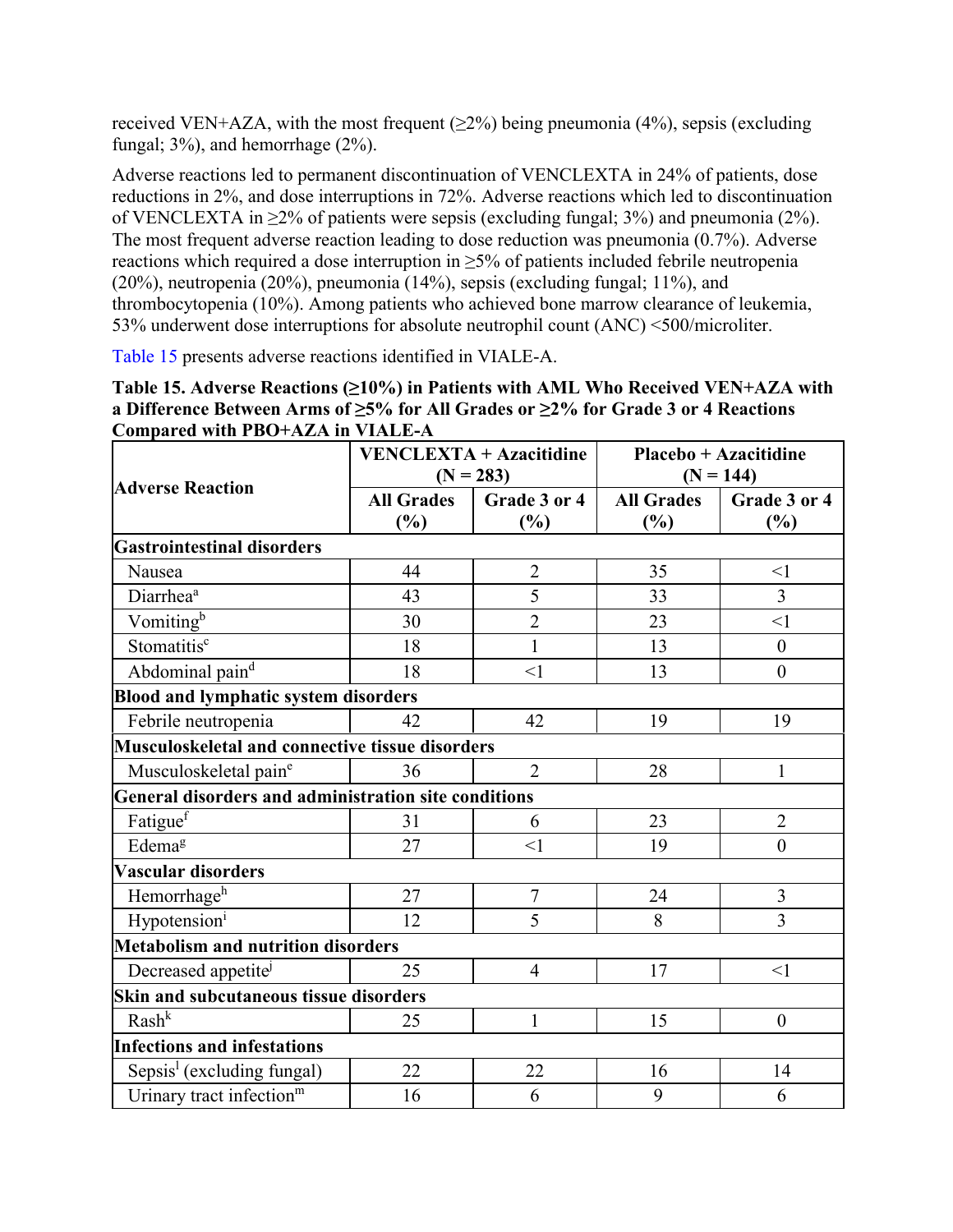received VEN+AZA, with the most frequent  $(\geq 2\%)$  being pneumonia (4%), sepsis (excluding fungal; 3%), and hemorrhage (2%).

Adverse reactions led to permanent discontinuation of VENCLEXTA in 24% of patients, dose reductions in 2%, and dose interruptions in 72%. Adverse reactions which led to discontinuation of VENCLEXTA in  $\geq 2\%$  of patients were sepsis (excluding fungal; 3%) and pneumonia (2%). The most frequent adverse reaction leading to dose reduction was pneumonia (0.7%). Adverse reactions which required a dose interruption in ≥5% of patients included febrile neutropenia (20%), neutropenia (20%), pneumonia (14%), sepsis (excluding fungal; 11%), and thrombocytopenia (10%). Among patients who achieved bone marrow clearance of leukemia, 53% underwent dose interruptions for absolute neutrophil count (ANC) <500/microliter.

[Table 15](#page-19-0) presents adverse reactions identified in VIALE-A.

<span id="page-19-0"></span>

| Table 15. Adverse Reactions $(\geq 10\%)$ in Patients with AML Who Received VEN+AZA with      |
|-----------------------------------------------------------------------------------------------|
| a Difference Between Arms of $\geq$ 5% for All Grades or $\geq$ 2% for Grade 3 or 4 Reactions |
| Compared with PBO+AZA in VIALE-A                                                              |

| <b>Adverse Reaction</b>                                | <b>VENCLEXTA + Azacitidine</b><br>$(N = 283)$ |                | Placebo + Azacitidine<br>$(N = 144)$ |                  |
|--------------------------------------------------------|-----------------------------------------------|----------------|--------------------------------------|------------------|
|                                                        | <b>All Grades</b>                             | Grade 3 or 4   | <b>All Grades</b>                    | Grade 3 or 4     |
|                                                        | $(\%)$                                        | (%)            | $(\%)$                               | (%)              |
| <b>Gastrointestinal disorders</b>                      |                                               |                |                                      |                  |
| Nausea                                                 | 44                                            | $\overline{2}$ | 35                                   | $\leq$ 1         |
| Diarrhea <sup>a</sup>                                  | 43                                            | 5              | 33                                   | $\overline{3}$   |
| Vomiting <sup>b</sup>                                  | 30                                            | $\overline{2}$ | 23                                   | $\leq$ 1         |
| Stomatitis <sup>c</sup>                                | 18                                            | $\mathbf{1}$   | 13                                   | $\overline{0}$   |
| Abdominal paind                                        | 18                                            | $\leq$ 1       | 13                                   | $\mathbf{0}$     |
| <b>Blood and lymphatic system disorders</b>            |                                               |                |                                      |                  |
| Febrile neutropenia                                    | 42                                            | 42             | 19                                   | 19               |
| <b>Musculoskeletal and connective tissue disorders</b> |                                               |                |                                      |                  |
| Musculoskeletal paine                                  | 36                                            | $\overline{2}$ | 28                                   | 1                |
| General disorders and administration site conditions   |                                               |                |                                      |                  |
| Fatigue <sup>f</sup>                                   | 31                                            | 6              | 23                                   | $\overline{2}$   |
| Edemag                                                 | 27                                            | $\leq$ 1       | 19                                   | $\overline{0}$   |
| <b>Vascular disorders</b>                              |                                               |                |                                      |                  |
| Hemorrhageh                                            | 27                                            | $\overline{7}$ | 24                                   | 3                |
| Hypotension <sup>i</sup>                               | 12                                            | 5              | 8                                    | $\overline{3}$   |
| <b>Metabolism and nutrition disorders</b>              |                                               |                |                                      |                  |
| Decreased appetite                                     | 25                                            | $\overline{4}$ | 17                                   | $\leq$ 1         |
| Skin and subcutaneous tissue disorders                 |                                               |                |                                      |                  |
| $Rash^k$                                               | 25                                            | $\mathbf{1}$   | 15                                   | $\boldsymbol{0}$ |
| <b>Infections and infestations</b>                     |                                               |                |                                      |                  |
| Sepsis <sup>1</sup> (excluding fungal)                 | 22                                            | 22             | 16                                   | 14               |
| Urinary tract infection <sup>m</sup>                   | 16                                            | 6              | 9                                    | 6                |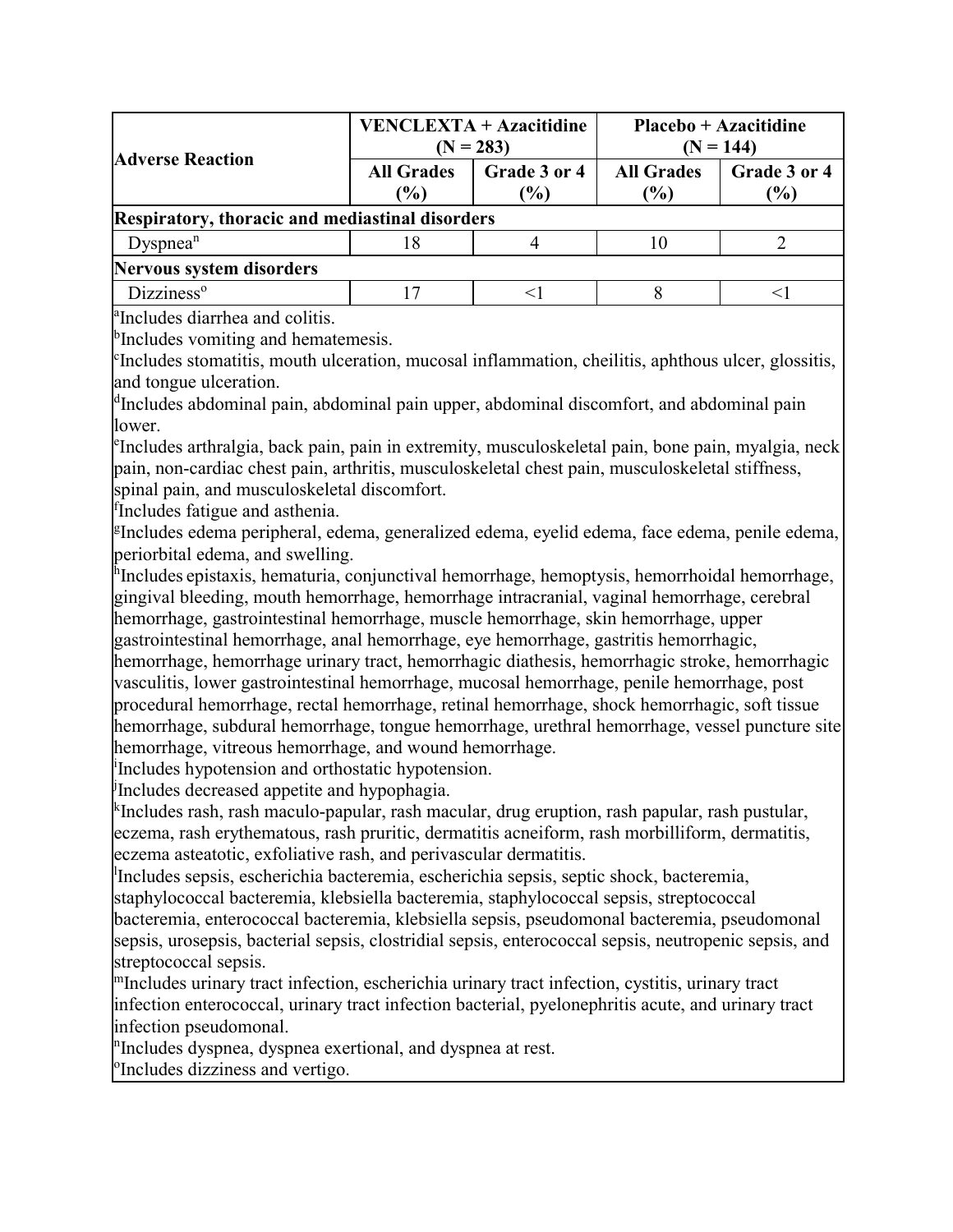|                                                 | <b>VENCLEXTA + Azacitidine</b><br>$(N = 283)$                |  | Placebo + Azacitidine<br>$(N = 144)$ |                               |
|-------------------------------------------------|--------------------------------------------------------------|--|--------------------------------------|-------------------------------|
| <b>Adverse Reaction</b>                         | Grade 3 or 4<br><b>All Grades</b><br>$\frac{9}{0}$<br>$(\%)$ |  | <b>All Grades</b><br>$(\%)$          | Grade 3 or 4<br>$\frac{9}{6}$ |
| Respiratory, thoracic and mediastinal disorders |                                                              |  |                                      |                               |
| Dyspnea <sup>n</sup>                            | 18                                                           |  | 10                                   |                               |
| Nervous system disorders                        |                                                              |  |                                      |                               |
| Dizziness <sup>o</sup>                          |                                                              |  |                                      |                               |

a Includes diarrhea and colitis.

<sup>b</sup>Includes vomiting and hematemesis.

c Includes stomatitis, mouth ulceration, mucosal inflammation, cheilitis, aphthous ulcer, glossitis, and tongue ulceration.

<sup>d</sup>Includes abdominal pain, abdominal pain upper, abdominal discomfort, and abdominal pain lower.

e Includes arthralgia, back pain, pain in extremity, musculoskeletal pain, bone pain, myalgia, neck pain, non-cardiac chest pain, arthritis, musculoskeletal chest pain, musculoskeletal stiffness, spinal pain, and musculoskeletal discomfort.

fIncludes fatigue and asthenia.

g Includes edema peripheral, edema, generalized edema, eyelid edema, face edema, penile edema, periorbital edema, and swelling.

<sup>h</sup>Includes epistaxis, hematuria, conjunctival hemorrhage, hemoptysis, hemorrhoidal hemorrhage, gingival bleeding, mouth hemorrhage, hemorrhage intracranial, vaginal hemorrhage, cerebral hemorrhage, gastrointestinal hemorrhage, muscle hemorrhage, skin hemorrhage, upper gastrointestinal hemorrhage, anal hemorrhage, eye hemorrhage, gastritis hemorrhagic, hemorrhage, hemorrhage urinary tract, hemorrhagic diathesis, hemorrhagic stroke, hemorrhagic

vasculitis, lower gastrointestinal hemorrhage, mucosal hemorrhage, penile hemorrhage, post procedural hemorrhage, rectal hemorrhage, retinal hemorrhage, shock hemorrhagic, soft tissue hemorrhage, subdural hemorrhage, tongue hemorrhage, urethral hemorrhage, vessel puncture site hemorrhage, vitreous hemorrhage, and wound hemorrhage.

i Includes hypotension and orthostatic hypotension.

j Includes decreased appetite and hypophagia.

k Includes rash, rash maculo-papular, rash macular, drug eruption, rash papular, rash pustular, eczema, rash erythematous, rash pruritic, dermatitis acneiform, rash morbilliform, dermatitis, eczema asteatotic, exfoliative rash, and perivascular dermatitis.

l Includes sepsis, escherichia bacteremia, escherichia sepsis, septic shock, bacteremia,

staphylococcal bacteremia, klebsiella bacteremia, staphylococcal sepsis, streptococcal bacteremia, enterococcal bacteremia, klebsiella sepsis, pseudomonal bacteremia, pseudomonal sepsis, urosepsis, bacterial sepsis, clostridial sepsis, enterococcal sepsis, neutropenic sepsis, and streptococcal sepsis.

<sup>m</sup>Includes urinary tract infection, escherichia urinary tract infection, cystitis, urinary tract infection enterococcal, urinary tract infection bacterial, pyelonephritis acute, and urinary tract infection pseudomonal.

n Includes dyspnea, dyspnea exertional, and dyspnea at rest.

<sup>o</sup>Includes dizziness and vertigo.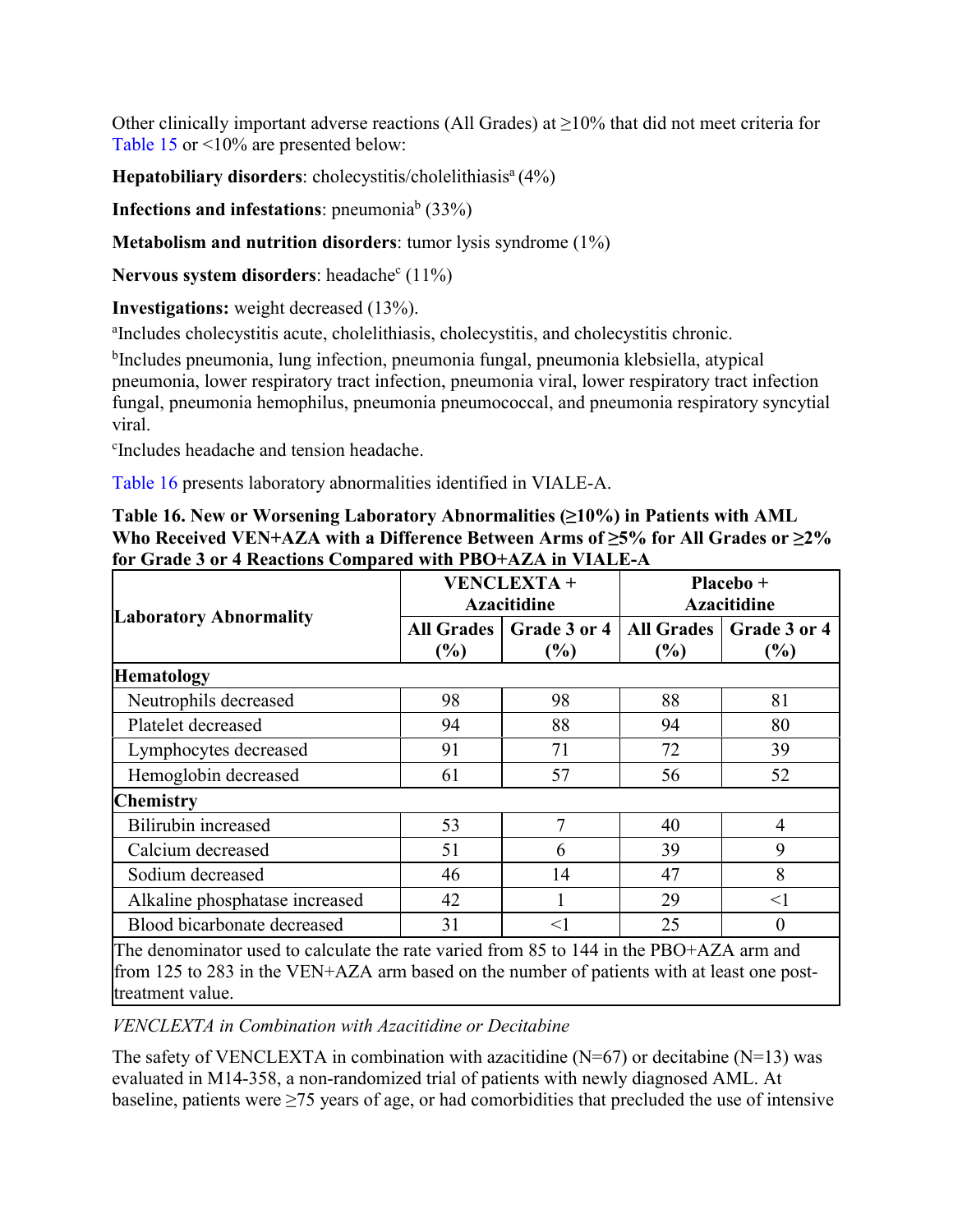Other clinically important adverse reactions (All Grades) at  $\geq$ 10% that did not meet criteria for [Table 15](#page-19-0) or <10% are presented below:

**Hepatobiliary disorders**: cholecystitis/cholelithiasis<sup>a</sup>(4%)

**Infections and infestations**: pneumonia<sup>b</sup> (33%)

**Metabolism and nutrition disorders**: tumor lysis syndrome (1%)

Nervous system disorders: headache<sup>c</sup> (11%)

**Investigations:** weight decreased (13%).

<sup>a</sup>Includes cholecystitis acute, cholelithiasis, cholecystitis, and cholecystitis chronic.

b Includes pneumonia, lung infection, pneumonia fungal, pneumonia klebsiella, atypical pneumonia, lower respiratory tract infection, pneumonia viral, lower respiratory tract infection fungal, pneumonia hemophilus, pneumonia pneumococcal, and pneumonia respiratory syncytial viral.

c Includes headache and tension headache.

[Table 16](#page-21-0) presents laboratory abnormalities identified in VIALE-A.

<span id="page-21-0"></span>

| Table 16. New or Worsening Laboratory Abnormalities $(\geq 10\%)$ in Patients with AML         |
|------------------------------------------------------------------------------------------------|
| Who Received VEN+AZA with a Difference Between Arms of $\geq 5\%$ for All Grades or $\geq 2\%$ |
| for Grade 3 or 4 Reactions Compared with PBO+AZA in VIALE-A                                    |

|                              |                        | Placebo +<br><b>Azacitidine</b>                               |                                                                                                |
|------------------------------|------------------------|---------------------------------------------------------------|------------------------------------------------------------------------------------------------|
| $\left( \frac{0}{0} \right)$ | Grade 3 or 4<br>$(\%)$ | <b>All Grades</b><br>$\left( \frac{0}{0} \right)$             | Grade 3 or 4<br>$(\%)$                                                                         |
|                              |                        |                                                               |                                                                                                |
| 98                           | 98                     | 88                                                            | 81                                                                                             |
| 94                           | 88                     | 94                                                            | 80                                                                                             |
| 91                           | 71                     | 72                                                            | 39                                                                                             |
| 61                           | 57                     | 56                                                            | 52                                                                                             |
|                              |                        |                                                               |                                                                                                |
| 53                           | 7                      | 40                                                            | 4                                                                                              |
| 51                           | 6                      | 39                                                            | 9                                                                                              |
| 46                           | 14                     | 47                                                            | 8                                                                                              |
| 42                           |                        | 29                                                            | $\leq$ 1                                                                                       |
| 31                           | $<$ 1                  | 25                                                            | 0                                                                                              |
|                              |                        | <b>VENCLEXTA +</b><br><b>Azacitidine</b><br><b>All Grades</b> | The dependence wood to coloulete the rate veried from $95$ to 144 in the DDO $+47$ A gauge and |

The denominator used to calculate the rate varied from 85 to 144 in the PBO+AZA arm and from 125 to 283 in the VEN+AZA arm based on the number of patients with at least one posttreatment value.

## *VENCLEXTA in Combination with Azacitidine or Decitabine*

The safety of VENCLEXTA in combination with azacitidine  $(N=67)$  or decitabine  $(N=13)$  was evaluated in M14-358, a non-randomized trial of patients with newly diagnosed AML. At baseline, patients were  $\geq$ 75 years of age, or had comorbidities that precluded the use of intensive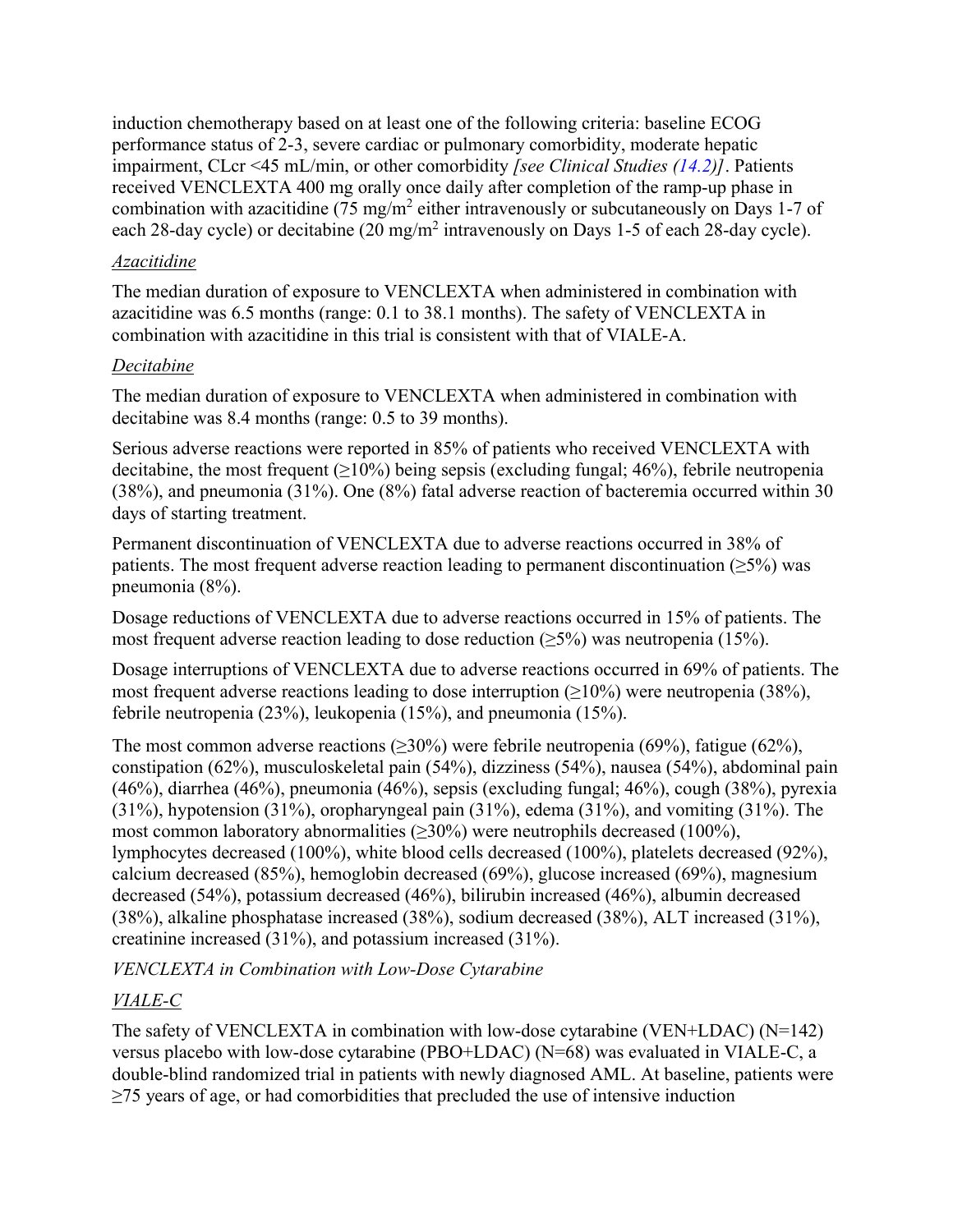induction chemotherapy based on at least one of the following criteria: baseline ECOG performance status of 2-3, severe cardiac or pulmonary comorbidity, moderate hepatic impairment, CLcr <45 mL/min, or other comorbidity *[see Clinical Studies [\(14.2\)](#page-40-0)]*. Patients received VENCLEXTA 400 mg orally once daily after completion of the ramp-up phase in combination with azacitidine  $(75 \text{ mg/m}^2 \text{ either intravenously or subcutaneously on Days 1-7 of})$ each 28-day cycle) or decitabine (20 mg/m<sup>2</sup> intravenously on Days 1-5 of each 28-day cycle).

### *Azacitidine*

The median duration of exposure to VENCLEXTA when administered in combination with azacitidine was 6.5 months (range: 0.1 to 38.1 months). The safety of VENCLEXTA in combination with azacitidine in this trial is consistent with that of VIALE-A.

### *Decitabine*

The median duration of exposure to VENCLEXTA when administered in combination with decitabine was 8.4 months (range: 0.5 to 39 months).

Serious adverse reactions were reported in 85% of patients who received VENCLEXTA with decitabine, the most frequent  $(\geq 10\%)$  being sepsis (excluding fungal; 46%), febrile neutropenia (38%), and pneumonia (31%). One (8%) fatal adverse reaction of bacteremia occurred within 30 days of starting treatment.

Permanent discontinuation of VENCLEXTA due to adverse reactions occurred in 38% of patients. The most frequent adverse reaction leading to permanent discontinuation ( $\geq$ 5%) was pneumonia (8%).

Dosage reductions of VENCLEXTA due to adverse reactions occurred in 15% of patients. The most frequent adverse reaction leading to dose reduction  $(\geq 5\%)$  was neutropenia (15%).

Dosage interruptions of VENCLEXTA due to adverse reactions occurred in 69% of patients. The most frequent adverse reactions leading to dose interruption  $(\geq 10\%)$  were neutropenia (38%), febrile neutropenia (23%), leukopenia (15%), and pneumonia (15%).

The most common adverse reactions ( $\geq$ 30%) were febrile neutropenia (69%), fatigue (62%), constipation (62%), musculoskeletal pain (54%), dizziness (54%), nausea (54%), abdominal pain (46%), diarrhea (46%), pneumonia (46%), sepsis (excluding fungal; 46%), cough (38%), pyrexia (31%), hypotension (31%), oropharyngeal pain (31%), edema (31%), and vomiting (31%). The most common laboratory abnormalities  $(\geq 30\%)$  were neutrophils decreased (100%), lymphocytes decreased (100%), white blood cells decreased (100%), platelets decreased (92%), calcium decreased (85%), hemoglobin decreased (69%), glucose increased (69%), magnesium decreased (54%), potassium decreased (46%), bilirubin increased (46%), albumin decreased (38%), alkaline phosphatase increased (38%), sodium decreased (38%), ALT increased (31%), creatinine increased (31%), and potassium increased (31%).

*VENCLEXTA in Combination with Low-Dose Cytarabine*

# *VIALE-C*

The safety of VENCLEXTA in combination with low-dose cytarabine (VEN+LDAC) (N=142) versus placebo with low-dose cytarabine (PBO+LDAC) (N=68) was evaluated in VIALE-C, a double-blind randomized trial in patients with newly diagnosed AML. At baseline, patients were  $\geq$ 75 years of age, or had comorbidities that precluded the use of intensive induction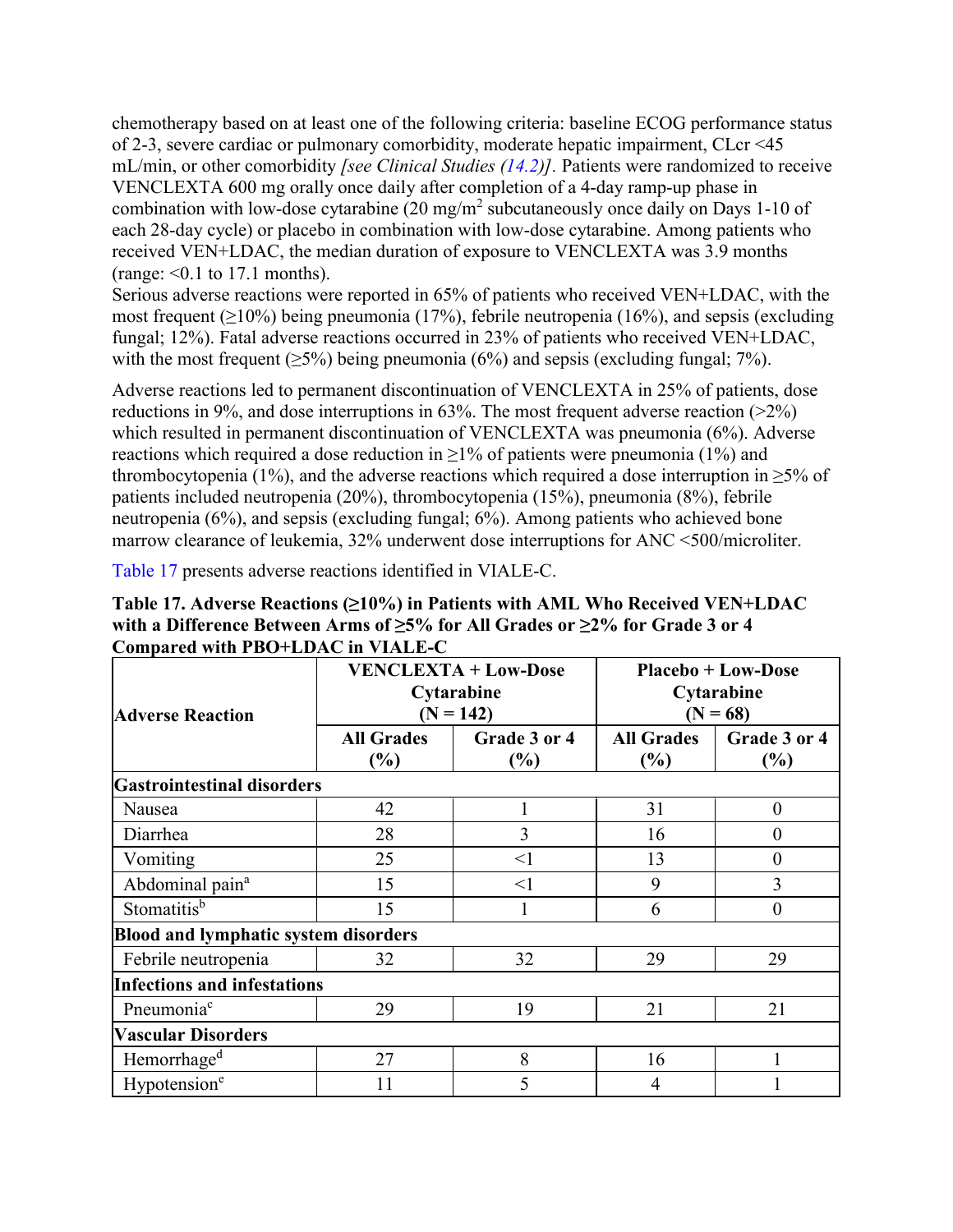chemotherapy based on at least one of the following criteria: baseline ECOG performance status of 2-3, severe cardiac or pulmonary comorbidity, moderate hepatic impairment, CLcr <45 mL/min, or other comorbidity *[see Clinical Studies [\(14.2\)](#page-40-0)].* Patients were randomized to receive VENCLEXTA 600 mg orally once daily after completion of a 4-day ramp-up phase in combination with low-dose cytarabine  $(20 \text{ mg/m}^2 \text{ subcutaneously once daily on Days 1-10 of}$ each 28-day cycle) or placebo in combination with low-dose cytarabine. Among patients who received VEN+LDAC, the median duration of exposure to VENCLEXTA was 3.9 months (range:  $< 0.1$  to 17.1 months).

Serious adverse reactions were reported in 65% of patients who received VEN+LDAC, with the most frequent ( $\geq$ 10%) being pneumonia (17%), febrile neutropenia (16%), and sepsis (excluding fungal; 12%). Fatal adverse reactions occurred in 23% of patients who received VEN+LDAC, with the most frequent ( $\geq$ 5%) being pneumonia (6%) and sepsis (excluding fungal; 7%).

Adverse reactions led to permanent discontinuation of VENCLEXTA in 25% of patients, dose reductions in 9%, and dose interruptions in 63%. The most frequent adverse reaction  $(>2\%)$ which resulted in permanent discontinuation of VENCLEXTA was pneumonia (6%). Adverse reactions which required a dose reduction in  $\geq$ 1% of patients were pneumonia (1%) and thrombocytopenia (1%), and the adverse reactions which required a dose interruption in  $\geq 5\%$  of patients included neutropenia (20%), thrombocytopenia (15%), pneumonia (8%), febrile neutropenia (6%), and sepsis (excluding fungal; 6%). Among patients who achieved bone marrow clearance of leukemia, 32% underwent dose interruptions for ANC <500/microliter.

[Table 17](#page-23-0) presents adverse reactions identified in VIALE-C.

<span id="page-23-0"></span>

| Table 17. Adverse Reactions $(\geq 10\%)$ in Patients with AML Who Received VEN+LDAC     |  |  |  |  |
|------------------------------------------------------------------------------------------|--|--|--|--|
| with a Difference Between Arms of $\geq$ 5% for All Grades or $\geq$ 1% for Grade 3 or 4 |  |  |  |  |
| Compared with PBO+LDAC in VIALE-C                                                        |  |  |  |  |
|                                                                                          |  |  |  |  |

| <b>Adverse Reaction</b>                     | <b>VENCLEXTA + Low-Dose</b><br>Cytarabine<br>$(N = 142)$ |                        | Placebo + Low-Dose<br>Cytarabine<br>$(N = 68)$ |                        |  |
|---------------------------------------------|----------------------------------------------------------|------------------------|------------------------------------------------|------------------------|--|
|                                             | <b>All Grades</b><br>$(\%)$                              | Grade 3 or 4<br>$(\%)$ | <b>All Grades</b><br>$(\%)$                    | Grade 3 or 4<br>$(\%)$ |  |
| <b>Gastrointestinal disorders</b>           |                                                          |                        |                                                |                        |  |
| Nausea                                      | 42                                                       |                        | 31                                             | $\overline{0}$         |  |
| Diarrhea                                    | 28                                                       | 3                      | 16                                             | $\theta$               |  |
| Vomiting                                    | 25                                                       | $\leq$ 1               | 13                                             | $\overline{0}$         |  |
| Abdominal pain <sup>a</sup>                 | 15                                                       | $\leq$ 1               | 9                                              | 3                      |  |
| Stomatitis <sup>b</sup>                     | 15                                                       |                        | 6                                              | $\theta$               |  |
| <b>Blood and lymphatic system disorders</b> |                                                          |                        |                                                |                        |  |
| Febrile neutropenia                         | 32                                                       | 32                     | 29                                             | 29                     |  |
| <b>Infections and infestations</b>          |                                                          |                        |                                                |                        |  |
| Pneumonia <sup>c</sup>                      | 29                                                       | 19                     | 21                                             | 21                     |  |
| <b>Vascular Disorders</b>                   |                                                          |                        |                                                |                        |  |
| Hemorrhage <sup>d</sup>                     | 27                                                       | 8                      | 16                                             |                        |  |
| Hypotension <sup>e</sup>                    | 11                                                       | 5                      | 4                                              |                        |  |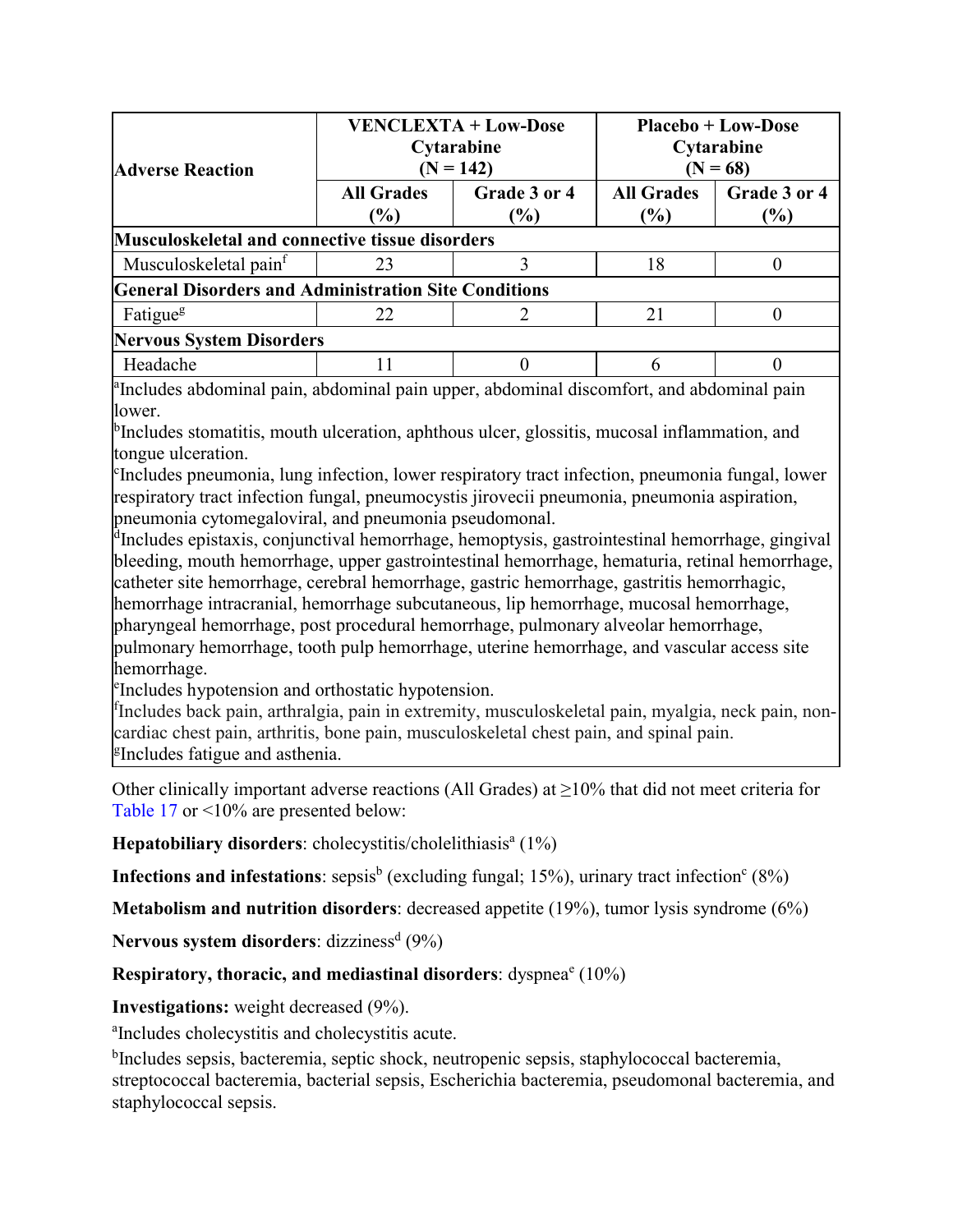| <b>Adverse Reaction</b>                                     | <b>VENCLEXTA + Low-Dose</b><br>Cytarabine<br>$(N = 142)$<br><b>All Grades</b><br>Grade 3 or 4<br>(%)<br>$(\%)$ |   | <b>Placebo + Low-Dose</b><br>Cytarabine<br>$(N = 68)$ |                     |  |
|-------------------------------------------------------------|----------------------------------------------------------------------------------------------------------------|---|-------------------------------------------------------|---------------------|--|
|                                                             |                                                                                                                |   | <b>All Grades</b><br>$\frac{1}{2}$                    | Grade 3 or 4<br>(%) |  |
| Musculoskeletal and connective tissue disorders             |                                                                                                                |   |                                                       |                     |  |
| Musculoskeletal pain <sup>f</sup>                           | 23                                                                                                             |   | 18                                                    |                     |  |
| <b>General Disorders and Administration Site Conditions</b> |                                                                                                                |   |                                                       |                     |  |
| Fatigue <sup>g</sup>                                        | 22                                                                                                             | 2 | 21                                                    |                     |  |
| <b>Nervous System Disorders</b>                             |                                                                                                                |   |                                                       |                     |  |
| Headache                                                    |                                                                                                                |   |                                                       |                     |  |

<sup>a</sup>Includes abdominal pain, abdominal pain upper, abdominal discomfort, and abdominal pain lower.

<sup>b</sup>Includes stomatitis, mouth ulceration, aphthous ulcer, glossitis, mucosal inflammation, and tongue ulceration.

c Includes pneumonia, lung infection, lower respiratory tract infection, pneumonia fungal, lower respiratory tract infection fungal, pneumocystis jirovecii pneumonia, pneumonia aspiration, pneumonia cytomegaloviral, and pneumonia pseudomonal.

<sup>d</sup>Includes epistaxis, conjunctival hemorrhage, hemoptysis, gastrointestinal hemorrhage, gingival bleeding, mouth hemorrhage, upper gastrointestinal hemorrhage, hematuria, retinal hemorrhage, catheter site hemorrhage, cerebral hemorrhage, gastric hemorrhage, gastritis hemorrhagic, hemorrhage intracranial, hemorrhage subcutaneous, lip hemorrhage, mucosal hemorrhage, pharyngeal hemorrhage, post procedural hemorrhage, pulmonary alveolar hemorrhage,

pulmonary hemorrhage, tooth pulp hemorrhage, uterine hemorrhage, and vascular access site hemorrhage.

e Includes hypotension and orthostatic hypotension.

fIncludes back pain, arthralgia, pain in extremity, musculoskeletal pain, myalgia, neck pain, noncardiac chest pain, arthritis, bone pain, musculoskeletal chest pain, and spinal pain. g Includes fatigue and asthenia.

Other clinically important adverse reactions (All Grades) at  $\geq$ 10% that did not meet criteria for [Table 17](#page-23-0) or <10% are presented below:

Hepatobiliary disorders: cholecystitis/cholelithiasis<sup>a</sup> (1%)

**Infections and infestations**: sepsis<sup>b</sup> (excluding fungal; 15%), urinary tract infection<sup>c</sup> (8%)

**Metabolism and nutrition disorders**: decreased appetite (19%), tumor lysis syndrome (6%)

Nervous system disorders: dizziness<sup>d</sup> (9%)

**Respiratory, thoracic, and mediastinal disorders**: dyspnea<sup>e</sup> (10%)

**Investigations:** weight decreased (9%).

a Includes cholecystitis and cholecystitis acute.

<sup>b</sup>Includes sepsis, bacteremia, septic shock, neutropenic sepsis, staphylococcal bacteremia, streptococcal bacteremia, bacterial sepsis, Escherichia bacteremia, pseudomonal bacteremia, and staphylococcal sepsis.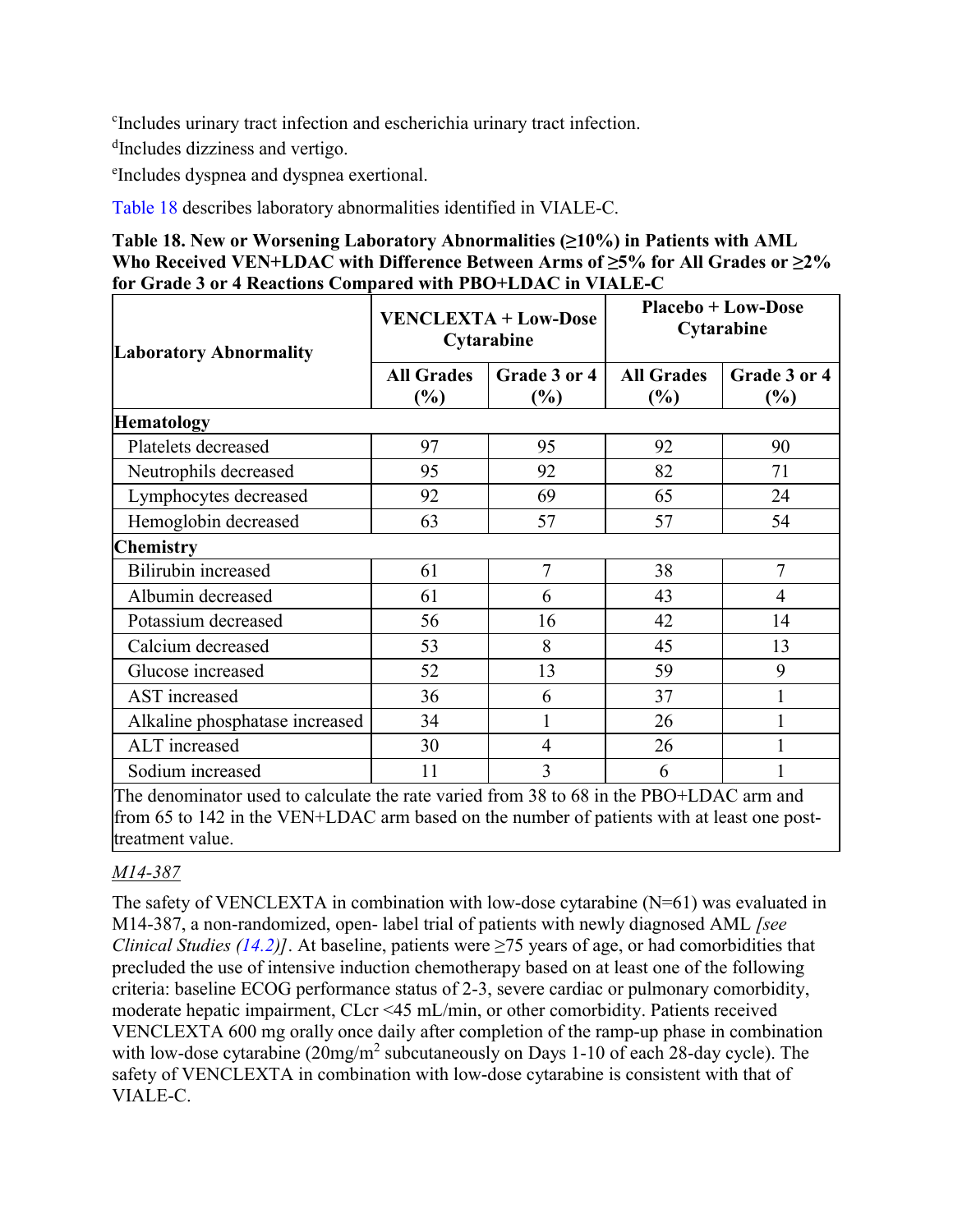c Includes urinary tract infection and escherichia urinary tract infection.

dIncludes dizziness and vertigo.

e Includes dyspnea and dyspnea exertional.

<span id="page-25-0"></span>[Table 18](#page-25-0) describes laboratory abnormalities identified in VIALE-C.

| Table 18. New or Worsening Laboratory Abnormalities ( $\geq$ 10%) in Patients with AML      |
|---------------------------------------------------------------------------------------------|
| Who Received VEN+LDAC with Difference Between Arms of $\geq$ 5% for All Grades or $\geq$ 2% |
| for Grade 3 or 4 Reactions Compared with PBO+LDAC in VIALE-C                                |

| <b>Laboratory Abnormality</b>  | <b>VENCLEXTA + Low-Dose</b><br>Cytarabine |                        | <b>Placebo + Low-Dose</b><br>Cytarabine |                        |
|--------------------------------|-------------------------------------------|------------------------|-----------------------------------------|------------------------|
|                                | <b>All Grades</b><br>$(\%)$               | Grade 3 or 4<br>$(\%)$ | <b>All Grades</b><br>$(\%)$             | Grade 3 or 4<br>$(\%)$ |
| <b>Hematology</b>              |                                           |                        |                                         |                        |
| Platelets decreased            | 97                                        | 95                     | 92                                      | 90                     |
| Neutrophils decreased          | 95                                        | 92                     | 82                                      | 71                     |
| Lymphocytes decreased          | 92                                        | 69                     | 65                                      | 24                     |
| Hemoglobin decreased           | 63                                        | 57                     | 57                                      | 54                     |
| <b>Chemistry</b>               |                                           |                        |                                         |                        |
| <b>Bilirubin</b> increased     | 61                                        | 7                      | 38                                      | 7                      |
| Albumin decreased              | 61                                        | 6                      | 43                                      | $\overline{4}$         |
| Potassium decreased            | 56                                        | 16                     | 42                                      | 14                     |
| Calcium decreased              | 53                                        | 8                      | 45                                      | 13                     |
| Glucose increased              | 52                                        | 13                     | 59                                      | 9                      |
| <b>AST</b> increased           | 36                                        | 6                      | 37                                      |                        |
| Alkaline phosphatase increased | 34                                        |                        | 26                                      |                        |
| ALT increased                  | 30                                        | $\overline{4}$         | 26                                      |                        |
| Sodium increased               | 11                                        | 3                      | 6                                       |                        |

The denominator used to calculate the rate varied from 38 to 68 in the PBO+LDAC arm and from 65 to 142 in the VEN+LDAC arm based on the number of patients with at least one posttreatment value.

### *M14-387*

The safety of VENCLEXTA in combination with low-dose cytarabine (N=61) was evaluated in M14-387, a non-randomized, open- label trial of patients with newly diagnosed AML *[see Clinical Studies [\(14.2\)](#page-40-0)]*. At baseline, patients were  $\geq$ 75 years of age, or had comorbidities that precluded the use of intensive induction chemotherapy based on at least one of the following criteria: baseline ECOG performance status of 2-3, severe cardiac or pulmonary comorbidity, moderate hepatic impairment, CLcr <45 mL/min, or other comorbidity. Patients received VENCLEXTA 600 mg orally once daily after completion of the ramp-up phase in combination with low-dose cytarabine  $(20mg/m^2$  subcutaneously on Days 1-10 of each 28-day cycle). The safety of VENCLEXTA in combination with low-dose cytarabine is consistent with that of VIALE-C.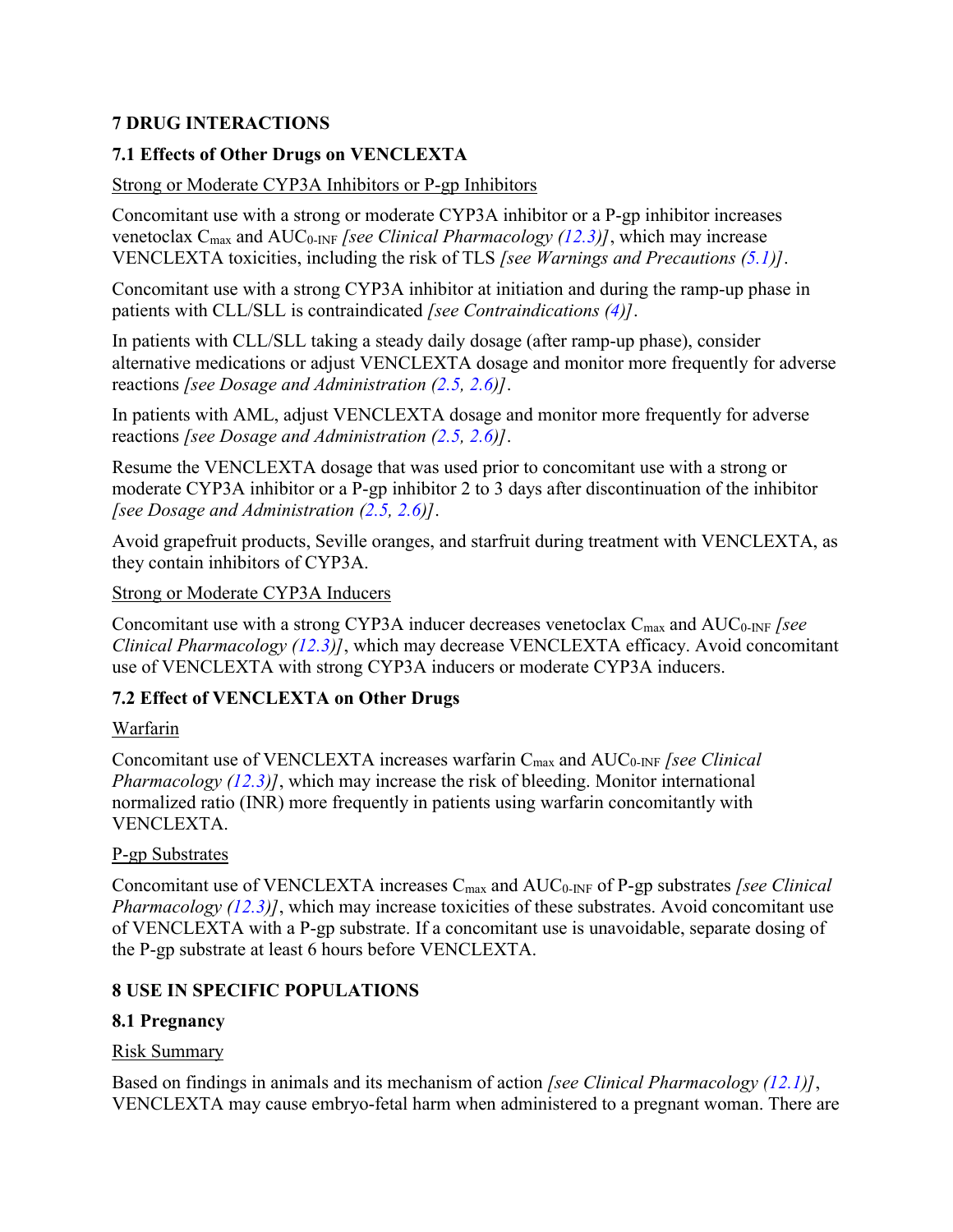### <span id="page-26-4"></span>**7 DRUG INTERACTIONS**

## <span id="page-26-3"></span>**7.1 Effects of Other Drugs on VENCLEXTA**

### Strong or Moderate CYP3A Inhibitors or P-gp Inhibitors

Concomitant use with a strong or moderate CYP3A inhibitor or a P-gp inhibitor increases venetoclax C<sub>max</sub> and AUC<sub>0-INF</sub> *[see Clinical Pharmacology [\(12.3\)](#page-30-0)]*, which may increase VENCLEXTA toxicities, including the risk of TLS *[see Warnings and Precautions [\(5.](#page-9-0)1)]*.

Concomitant use with a strong CYP3A inhibitor at initiation and during the ramp-up phase in patients with CLL/SLL is contraindicated *[see Contraindications [\(4\)](#page-8-0)]*.

In patients with CLL/SLL taking a steady daily dosage (after ramp-up phase), consider alternative medications or adjust VENCLEXTA dosage and monitor more frequently for adverse reactions *[see Dosage and Administration [\(2.5,](#page-5-0) [2.6\)](#page-7-0)]*.

In patients with AML, adjust VENCLEXTA dosage and monitor more frequently for adverse reactions *[see Dosage and Administration [\(2.5,](#page-5-0) [2.6\)](#page-7-0)]*.

Resume the VENCLEXTA dosage that was used prior to concomitant use with a strong or moderate CYP3A inhibitor or a P-gp inhibitor 2 to 3 days after discontinuation of the inhibitor *[see Dosage and Administration [\(2.5,](#page-5-0) [2.6\)](#page-7-0)]*.

Avoid grapefruit products, Seville oranges, and starfruit during treatment with VENCLEXTA, as they contain inhibitors of CYP3A.

### Strong or Moderate CYP3A Inducers

Concomitant use with a strong CYP3A inducer decreases venetoclax C<sub>max</sub> and AUC<sub>0-INF</sub> *[see*] *Clinical Pharmacology [\(12.3\)](#page-30-0)]*, which may decrease VENCLEXTA efficacy. Avoid concomitant use of VENCLEXTA with strong CYP3A inducers or moderate CYP3A inducers.

## <span id="page-26-2"></span>**7.2 Effect of VENCLEXTA on Other Drugs**

### Warfarin

Concomitant use of VENCLEXTA increases warfarin C<sub>max</sub> and AUC<sub>0-INF</sub> *[see Clinical*] *Pharmacology [\(12.3\)](#page-30-0)]*, which may increase the risk of bleeding. Monitor international normalized ratio (INR) more frequently in patients using warfarin concomitantly with VENCLEXTA.

### P-gp Substrates

Concomitant use of VENCLEXTA increases C<sub>max</sub> and AUC<sub>0-INF</sub> of P-gp substrates *[see Clinical*] *Pharmacology [\(12.3\)](#page-30-0)]*, which may increase toxicities of these substrates. Avoid concomitant use of VENCLEXTA with a P-gp substrate. If a concomitant use is unavoidable, separate dosing of the P-gp substrate at least 6 hours before VENCLEXTA.

## <span id="page-26-1"></span>**8 USE IN SPECIFIC POPULATIONS**

### <span id="page-26-0"></span>**8.1 Pregnancy**

### Risk Summary

Based on findings in animals and its mechanism of action *[see Clinical Pharmacology [\(12.1\)](#page-30-2)]*, VENCLEXTA may cause embryo-fetal harm when administered to a pregnant woman. There are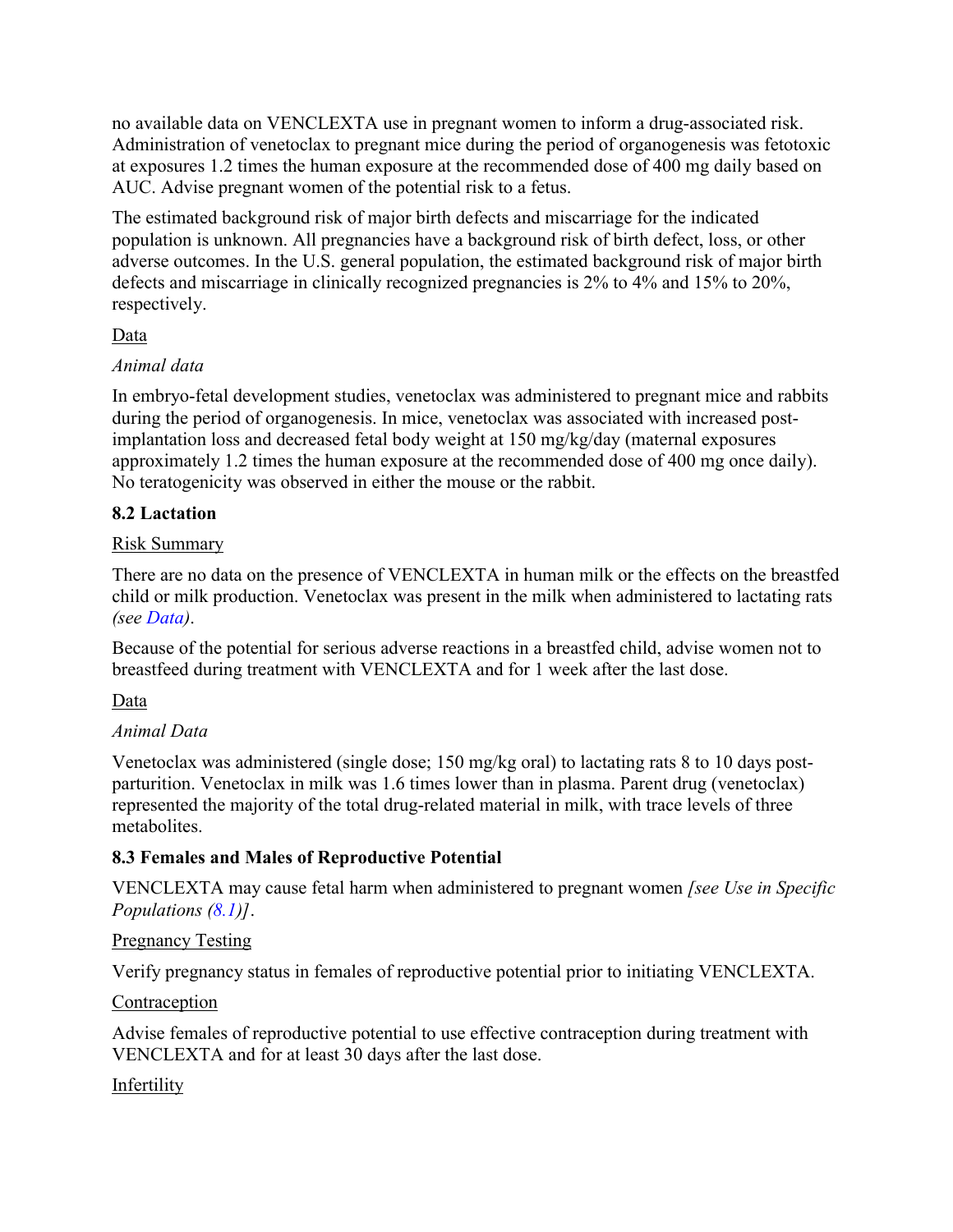no available data on VENCLEXTA use in pregnant women to inform a drug-associated risk. Administration of venetoclax to pregnant mice during the period of organogenesis was fetotoxic at exposures 1.2 times the human exposure at the recommended dose of 400 mg daily based on AUC. Advise pregnant women of the potential risk to a fetus.

The estimated background risk of major birth defects and miscarriage for the indicated population is unknown. All pregnancies have a background risk of birth defect, loss, or other adverse outcomes. In the U.S. general population, the estimated background risk of major birth defects and miscarriage in clinically recognized pregnancies is 2% to 4% and 15% to 20%, respectively.

## Data

### *Animal data*

In embryo-fetal development studies, venetoclax was administered to pregnant mice and rabbits during the period of organogenesis. In mice, venetoclax was associated with increased postimplantation loss and decreased fetal body weight at 150 mg/kg/day (maternal exposures approximately 1.2 times the human exposure at the recommended dose of 400 mg once daily). No teratogenicity was observed in either the mouse or the rabbit.

### <span id="page-27-1"></span>**8.2 Lactation**

### Risk Summary

There are no data on the presence of VENCLEXTA in human milk or the effects on the breastfed child or milk production. Venetoclax was present in the milk when administered to lactating rats *(see [Data\)](#page-27-2)*.

Because of the potential for serious adverse reactions in a breastfed child, advise women not to breastfeed during treatment with VENCLEXTA and for 1 week after the last dose.

## <span id="page-27-2"></span>Data

## *Animal Data*

Venetoclax was administered (single dose; 150 mg/kg oral) to lactating rats 8 to 10 days postparturition. Venetoclax in milk was 1.6 times lower than in plasma. Parent drug (venetoclax) represented the majority of the total drug-related material in milk, with trace levels of three metabolites.

### <span id="page-27-0"></span>**8.3 Females and Males of Reproductive Potential**

VENCLEXTA may cause fetal harm when administered to pregnant women *[see Use in Specific Populations [\(8.1\)](#page-26-0)]*.

### Pregnancy Testing

Verify pregnancy status in females of reproductive potential prior to initiating VENCLEXTA.

### Contraception

Advise females of reproductive potential to use effective contraception during treatment with VENCLEXTA and for at least 30 days after the last dose.

## Infertility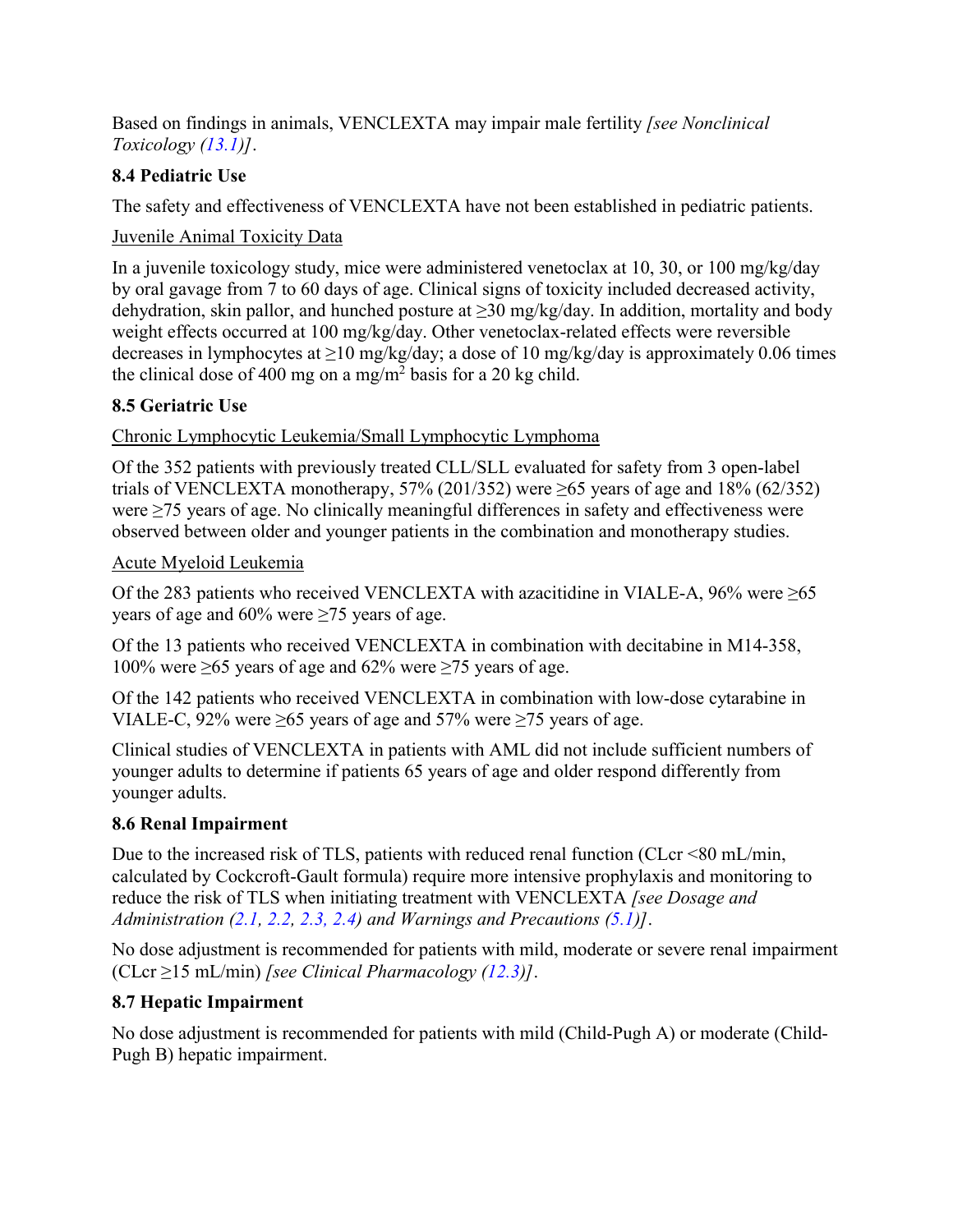Based on findings in animals, VENCLEXTA may impair male fertility *[see Nonclinical Toxicology [\(13.1\)](#page-32-0)]*.

# <span id="page-28-3"></span>**8.4 Pediatric Use**

The safety and effectiveness of VENCLEXTA have not been established in pediatric patients.

# Juvenile Animal Toxicity Data

In a juvenile toxicology study, mice were administered venetoclax at 10, 30, or 100 mg/kg/day by oral gavage from 7 to 60 days of age. Clinical signs of toxicity included decreased activity, dehydration, skin pallor, and hunched posture at  $\geq$ 30 mg/kg/day. In addition, mortality and body weight effects occurred at 100 mg/kg/day. Other venetoclax-related effects were reversible decreases in lymphocytes at  $\geq$ 10 mg/kg/day; a dose of 10 mg/kg/day is approximately 0.06 times the clinical dose of 400 mg on a mg/m<sup>2</sup> basis for a 20 kg child.

# <span id="page-28-2"></span>**8.5 Geriatric Use**

Chronic Lymphocytic Leukemia/Small Lymphocytic Lymphoma

Of the 352 patients with previously treated CLL/SLL evaluated for safety from 3 open-label trials of VENCLEXTA monotherapy, 57% (201/352) were  $\geq$  65 years of age and 18% (62/352) were ≥75 years of age. No clinically meaningful differences in safety and effectiveness were observed between older and younger patients in the combination and monotherapy studies.

# Acute Myeloid Leukemia

Of the 283 patients who received VENCLEXTA with azacitidine in VIALE-A, 96% were  $\geq 65$ years of age and  $60\%$  were  $\geq$ 75 years of age.

Of the 13 patients who received VENCLEXTA in combination with decitabine in M14-358, 100% were  $\geq 65$  years of age and 62% were  $\geq 75$  years of age.

Of the 142 patients who received VENCLEXTA in combination with low-dose cytarabine in VIALE-C, 92% were  $\geq 65$  years of age and 57% were  $\geq 75$  years of age.

Clinical studies of VENCLEXTA in patients with AML did not include sufficient numbers of younger adults to determine if patients 65 years of age and older respond differently from younger adults.

# <span id="page-28-1"></span>**8.6 Renal Impairment**

Due to the increased risk of TLS, patients with reduced renal function (CLcr <80 mL/min, calculated by Cockcroft-Gault formula) require more intensive prophylaxis and monitoring to reduce the risk of TLS when initiating treatment with VENCLEXTA *[see Dosage and Administration [\(2.1,](#page-1-1) [2.2,](#page-1-0) [2.3,](#page-2-0) [2.4\)](#page-3-0) and Warnings and Precautions (5.1)]*.

No dose adjustment is recommended for patients with mild, moderate or severe renal impairment (CLcr ≥15 mL/min) *[see Clinical Pharmacology [\(12.3\)](#page-30-0)]*.

# <span id="page-28-0"></span>**8.7 Hepatic Impairment**

No dose adjustment is recommended for patients with mild (Child-Pugh A) or moderate (Child-Pugh B) hepatic impairment.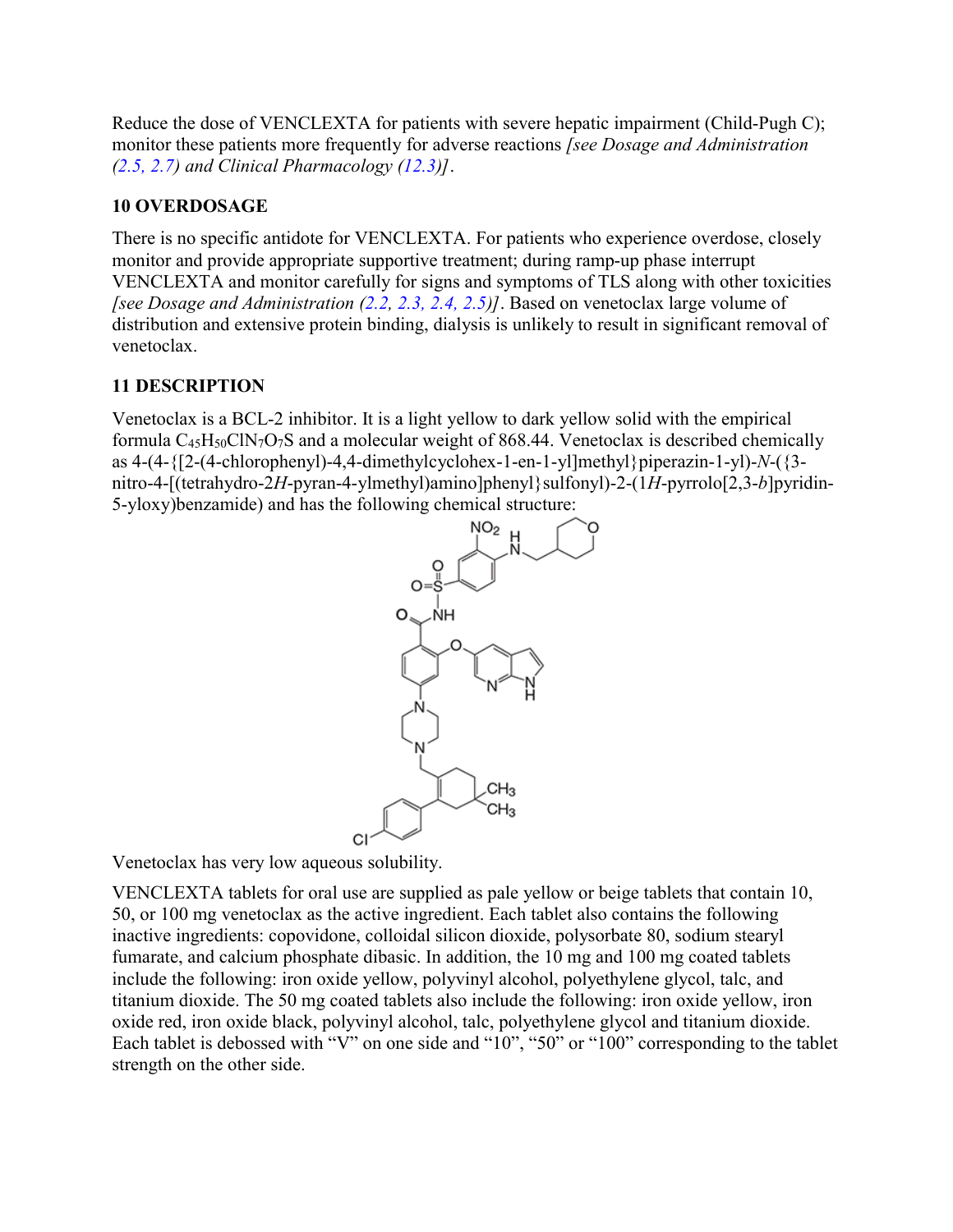Reduce the dose of VENCLEXTA for patients with severe hepatic impairment (Child-Pugh C); monitor these patients more frequently for adverse reactions *[see Dosage and Administration [\(2.5,](#page-5-0) [2.7\)](#page-8-3) and Clinical Pharmacology [\(12.3\)](#page-30-0)]*.

### <span id="page-29-1"></span>**10 OVERDOSAGE**

There is no specific antidote for VENCLEXTA. For patients who experience overdose, closely monitor and provide appropriate supportive treatment; during ramp-up phase interrupt VENCLEXTA and monitor carefully for signs and symptoms of TLS along with other toxicities *[see Dosage and Administration [\(2.2,](#page-1-0) [2.3,](#page-2-0) [2.4,](#page-3-0) [2.5\)](#page-5-0)]*. Based on venetoclax large volume of distribution and extensive protein binding, dialysis is unlikely to result in significant removal of venetoclax.

### <span id="page-29-0"></span>**11 DESCRIPTION**

Venetoclax is a BCL-2 inhibitor. It is a light yellow to dark yellow solid with the empirical formula  $C_{45}H_{50}CN_7O_7S$  and a molecular weight of 868.44. Venetoclax is described chemically as 4-(4-{[2-(4-chlorophenyl)-4,4-dimethylcyclohex-1-en-1-yl]methyl}piperazin-1-yl)-*N*-({3 nitro-4-[(tetrahydro-2*H*-pyran-4-ylmethyl)amino]phenyl}sulfonyl)-2-(1*H*-pyrrolo[2,3-*b*]pyridin-5-yloxy)benzamide) and has the following chemical structure:



Venetoclax has very low aqueous solubility.

VENCLEXTA tablets for oral use are supplied as pale yellow or beige tablets that contain 10, 50, or 100 mg venetoclax as the active ingredient. Each tablet also contains the following inactive ingredients: copovidone, colloidal silicon dioxide, polysorbate 80, sodium stearyl fumarate, and calcium phosphate dibasic. In addition, the 10 mg and 100 mg coated tablets include the following: iron oxide yellow, polyvinyl alcohol, polyethylene glycol, talc, and titanium dioxide. The 50 mg coated tablets also include the following: iron oxide yellow, iron oxide red, iron oxide black, polyvinyl alcohol, talc, polyethylene glycol and titanium dioxide. Each tablet is debossed with "V" on one side and "10", "50" or "100" corresponding to the tablet strength on the other side.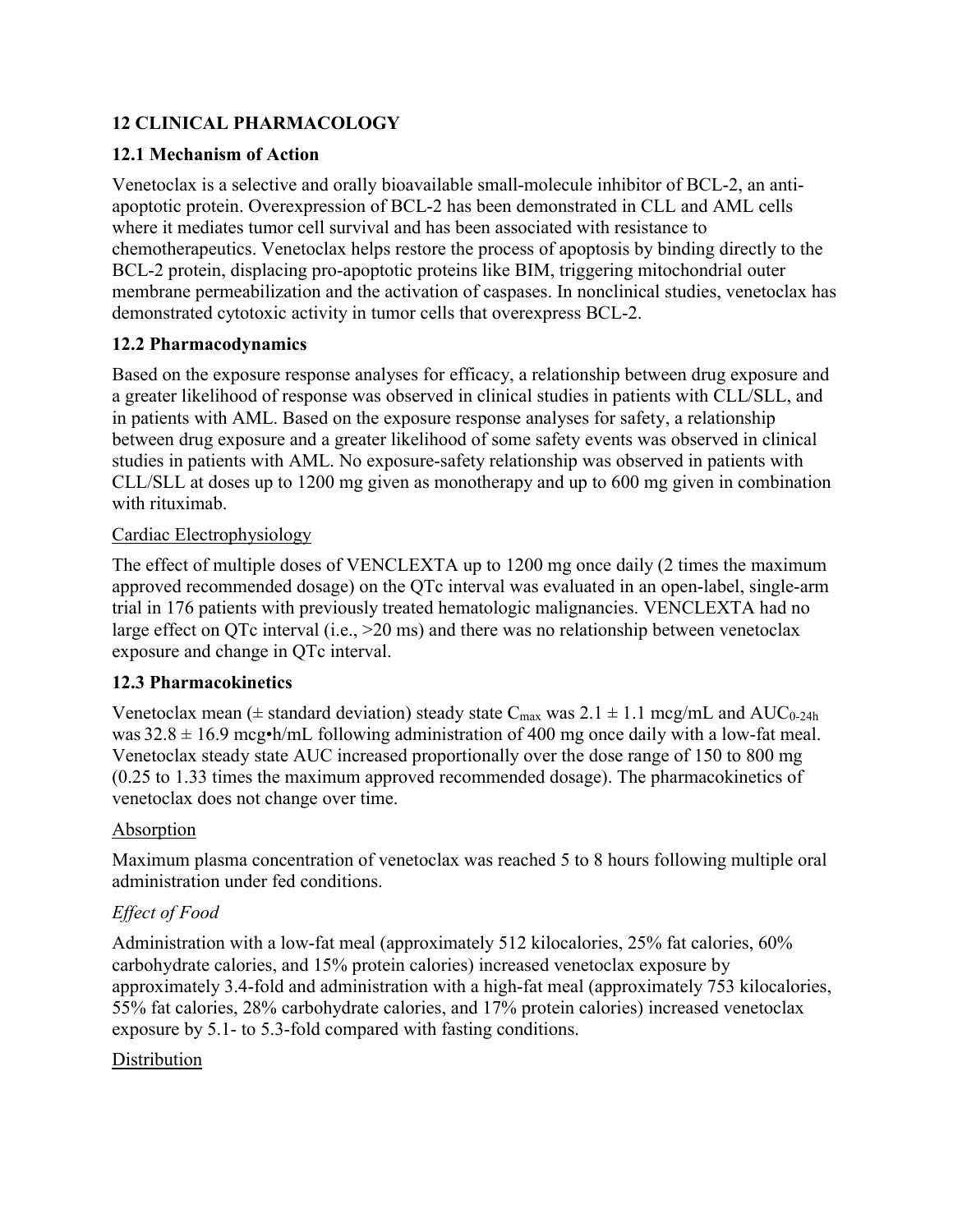# <span id="page-30-3"></span>**12 CLINICAL PHARMACOLOGY**

## <span id="page-30-2"></span>**12.1 Mechanism of Action**

Venetoclax is a selective and orally bioavailable small-molecule inhibitor of BCL-2, an antiapoptotic protein. Overexpression of BCL-2 has been demonstrated in CLL and AML cells where it mediates tumor cell survival and has been associated with resistance to chemotherapeutics. Venetoclax helps restore the process of apoptosis by binding directly to the BCL-2 protein, displacing pro-apoptotic proteins like BIM, triggering mitochondrial outer membrane permeabilization and the activation of caspases. In nonclinical studies, venetoclax has demonstrated cytotoxic activity in tumor cells that overexpress BCL-2.

### <span id="page-30-1"></span>**12.2 Pharmacodynamics**

Based on the exposure response analyses for efficacy, a relationship between drug exposure and a greater likelihood of response was observed in clinical studies in patients with CLL/SLL, and in patients with AML. Based on the exposure response analyses for safety, a relationship between drug exposure and a greater likelihood of some safety events was observed in clinical studies in patients with AML. No exposure-safety relationship was observed in patients with CLL/SLL at doses up to 1200 mg given as monotherapy and up to 600 mg given in combination with rituximab.

### Cardiac Electrophysiology

The effect of multiple doses of VENCLEXTA up to 1200 mg once daily (2 times the maximum approved recommended dosage) on the QTc interval was evaluated in an open-label, single-arm trial in 176 patients with previously treated hematologic malignancies. VENCLEXTA had no large effect on QTc interval (i.e.,  $>20$  ms) and there was no relationship between venetoclax exposure and change in QTc interval.

### <span id="page-30-0"></span>**12.3 Pharmacokinetics**

Venetoclax mean ( $\pm$  standard deviation) steady state C<sub>max</sub> was 2.1  $\pm$  1.1 mcg/mL and AUC<sub>0-24h</sub> was  $32.8 \pm 16.9$  mcg•h/mL following administration of 400 mg once daily with a low-fat meal. Venetoclax steady state AUC increased proportionally over the dose range of 150 to 800 mg (0.25 to 1.33 times the maximum approved recommended dosage). The pharmacokinetics of venetoclax does not change over time.

### Absorption

Maximum plasma concentration of venetoclax was reached 5 to 8 hours following multiple oral administration under fed conditions.

## *Effect of Food*

Administration with a low-fat meal (approximately 512 kilocalories, 25% fat calories, 60% carbohydrate calories, and 15% protein calories) increased venetoclax exposure by approximately 3.4-fold and administration with a high-fat meal (approximately 753 kilocalories, 55% fat calories, 28% carbohydrate calories, and 17% protein calories) increased venetoclax exposure by 5.1- to 5.3-fold compared with fasting conditions.

### **Distribution**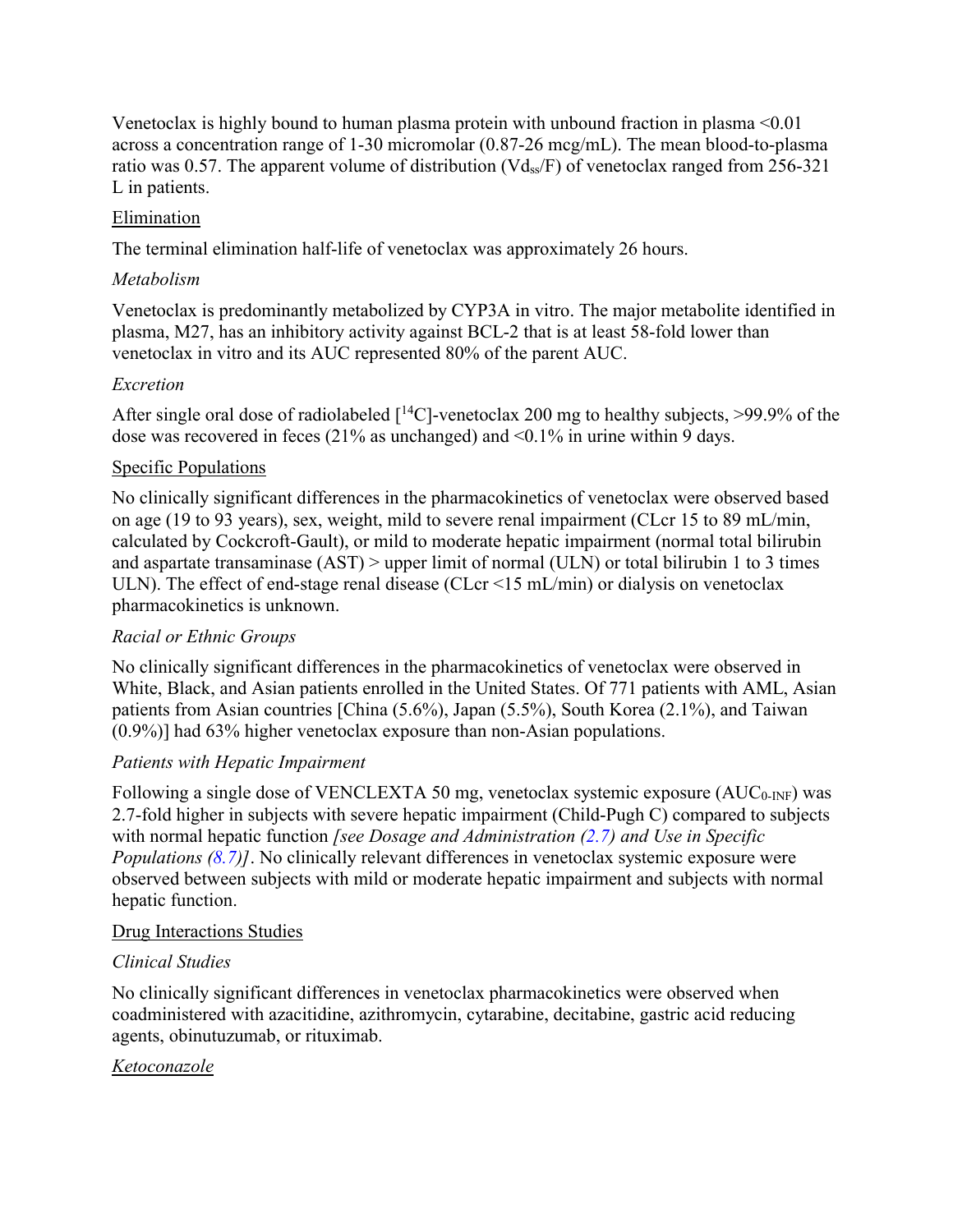Venetoclax is highly bound to human plasma protein with unbound fraction in plasma <0.01 across a concentration range of 1-30 micromolar (0.87-26 mcg/mL). The mean blood-to-plasma ratio was 0.57. The apparent volume of distribution (V $d_{ss}$ F) of venetoclax ranged from 256-321 L in patients.

### Elimination

The terminal elimination half-life of venetoclax was approximately 26 hours.

### *Metabolism*

Venetoclax is predominantly metabolized by CYP3A in vitro. The major metabolite identified in plasma, M27, has an inhibitory activity against BCL-2 that is at least 58-fold lower than venetoclax in vitro and its AUC represented 80% of the parent AUC.

### *Excretion*

After single oral dose of radiolabeled  $\lceil {^{14}C} \rceil$ -venetoclax 200 mg to healthy subjects, >99.9% of the dose was recovered in feces (21% as unchanged) and  $\leq 0.1\%$  in urine within 9 days.

### Specific Populations

No clinically significant differences in the pharmacokinetics of venetoclax were observed based on age (19 to 93 years), sex, weight, mild to severe renal impairment (CLcr 15 to 89 mL/min, calculated by Cockcroft-Gault), or mild to moderate hepatic impairment (normal total bilirubin and aspartate transaminase (AST) > upper limit of normal (ULN) or total bilirubin 1 to 3 times ULN). The effect of end-stage renal disease (CLcr <15 mL/min) or dialysis on venetoclax pharmacokinetics is unknown.

## *Racial or Ethnic Groups*

No clinically significant differences in the pharmacokinetics of venetoclax were observed in White, Black, and Asian patients enrolled in the United States. Of 771 patients with AML, Asian patients from Asian countries [China (5.6%), Japan (5.5%), South Korea (2.1%), and Taiwan (0.9%)] had 63% higher venetoclax exposure than non-Asian populations.

### *Patients with Hepatic Impairment*

Following a single dose of VENCLEXTA 50 mg, venetoclax systemic exposure (AUC<sub>0-INF</sub>) was 2.7-fold higher in subjects with severe hepatic impairment (Child-Pugh C) compared to subjects with normal hepatic function *[see Dosage and Administration [\(2.7\)](#page-8-3) and Use in Specific Populations [\(8.7\)](#page-28-0)]*. No clinically relevant differences in venetoclax systemic exposure were observed between subjects with mild or moderate hepatic impairment and subjects with normal hepatic function.

### Drug Interactions Studies

## *Clinical Studies*

No clinically significant differences in venetoclax pharmacokinetics were observed when coadministered with azacitidine, azithromycin, cytarabine, decitabine, gastric acid reducing agents, obinutuzumab, or rituximab.

## *Ketoconazole*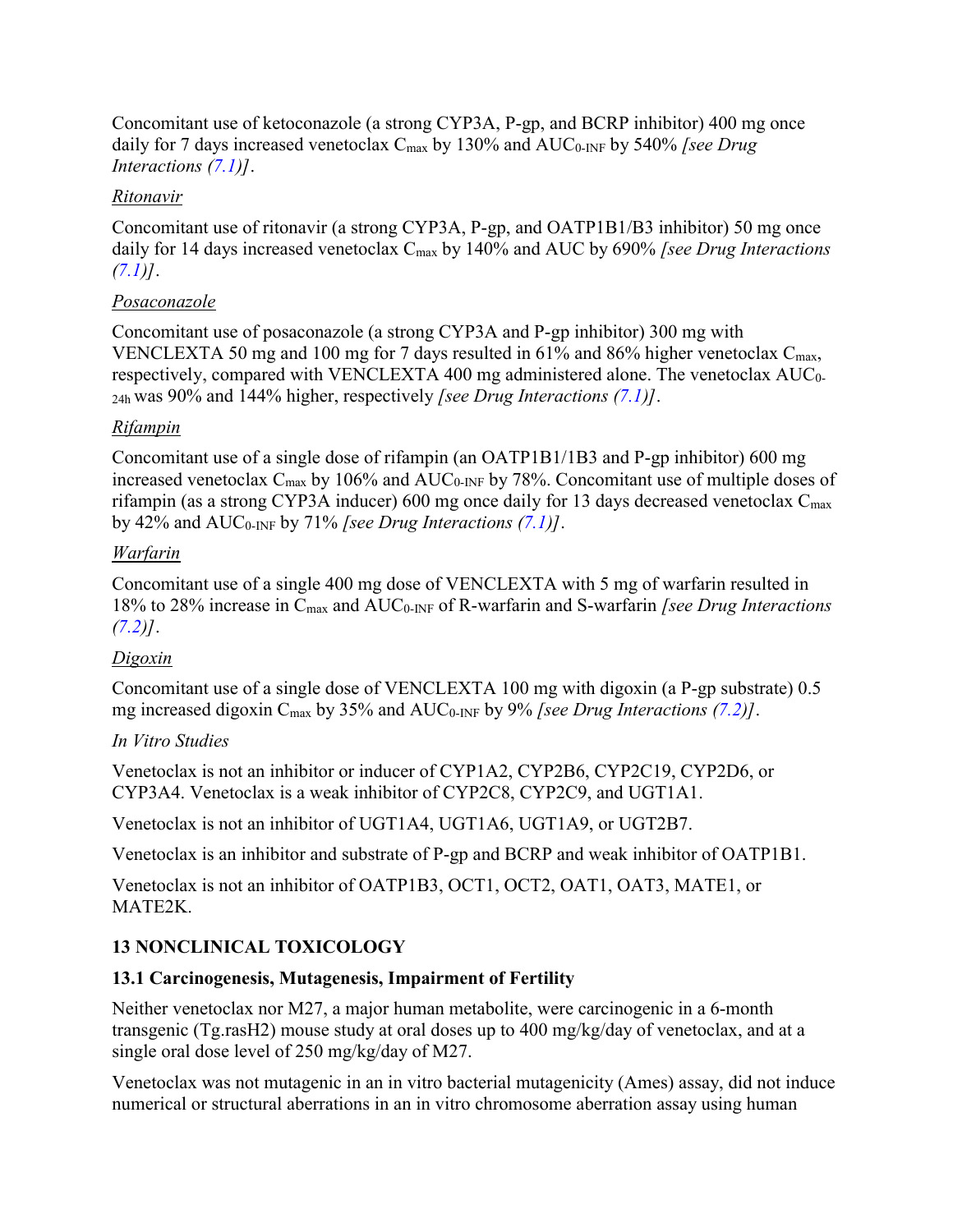Concomitant use of ketoconazole (a strong CYP3A, P-gp, and BCRP inhibitor) 400 mg once daily for 7 days increased venetoclax Cmax by 130% and AUC0-INF by 540% *[see Drug Interactions [\(7.1\)](#page-26-3)]*.

### *Ritonavir*

Concomitant use of ritonavir (a strong CYP3A, P-gp, and OATP1B1/B3 inhibitor) 50 mg once daily for 14 days increased venetoclax Cmax by 140% and AUC by 690% *[see Drug Interactions [\(7.1\)](#page-26-3)]*.

### *Posaconazole*

Concomitant use of posaconazole (a strong CYP3A and P-gp inhibitor) 300 mg with VENCLEXTA 50 mg and 100 mg for 7 days resulted in  $61\%$  and  $86\%$  higher venetoclax  $C_{\text{max}}$ , respectively, compared with VENCLEXTA 400 mg administered alone. The venetoclax AUC<sub>0</sub>. 24h was 90% and 144% higher, respectively *[see Drug Interactions [\(7.1\)](#page-26-3)]*.

### *Rifampin*

Concomitant use of a single dose of rifampin (an OATP1B1/1B3 and P-gp inhibitor) 600 mg increased venetoclax  $C_{\text{max}}$  by 106% and  $\text{AUC}_{0\text{-INF}}$  by 78%. Concomitant use of multiple doses of rifampin (as a strong CYP3A inducer) 600 mg once daily for 13 days decreased venetoclax  $C_{\text{max}}$ by 42% and AUC0-INF by 71% *[see Drug Interactions [\(7.1\)](#page-26-3)]*.

### *Warfarin*

Concomitant use of a single 400 mg dose of VENCLEXTA with 5 mg of warfarin resulted in 18% to 28% increase in Cmax and AUC0-INF of R-warfarin and S-warfarin *[see Drug Interactions [\(7.2\)](#page-26-2)]*.

## *Digoxin*

Concomitant use of a single dose of VENCLEXTA 100 mg with digoxin (a P-gp substrate) 0.5 mg increased digoxin Cmax by 35% and AUC0-INF by 9% *[see Drug Interactions [\(7.2\)](#page-26-2)]*.

### *In Vitro Studies*

Venetoclax is not an inhibitor or inducer of CYP1A2, CYP2B6, CYP2C19, CYP2D6, or CYP3A4. Venetoclax is a weak inhibitor of CYP2C8, CYP2C9, and UGT1A1.

Venetoclax is not an inhibitor of UGT1A4, UGT1A6, UGT1A9, or UGT2B7.

Venetoclax is an inhibitor and substrate of P-gp and BCRP and weak inhibitor of OATP1B1.

Venetoclax is not an inhibitor of OATP1B3, OCT1, OCT2, OAT1, OAT3, MATE1, or MATE2K.

# <span id="page-32-1"></span>**13 NONCLINICAL TOXICOLOGY**

## <span id="page-32-0"></span>**13.1 Carcinogenesis, Mutagenesis, Impairment of Fertility**

Neither venetoclax nor M27, a major human metabolite, were carcinogenic in a 6-month transgenic (Tg.rasH2) mouse study at oral doses up to 400 mg/kg/day of venetoclax, and at a single oral dose level of 250 mg/kg/day of M27.

Venetoclax was not mutagenic in an in vitro bacterial mutagenicity (Ames) assay, did not induce numerical or structural aberrations in an in vitro chromosome aberration assay using human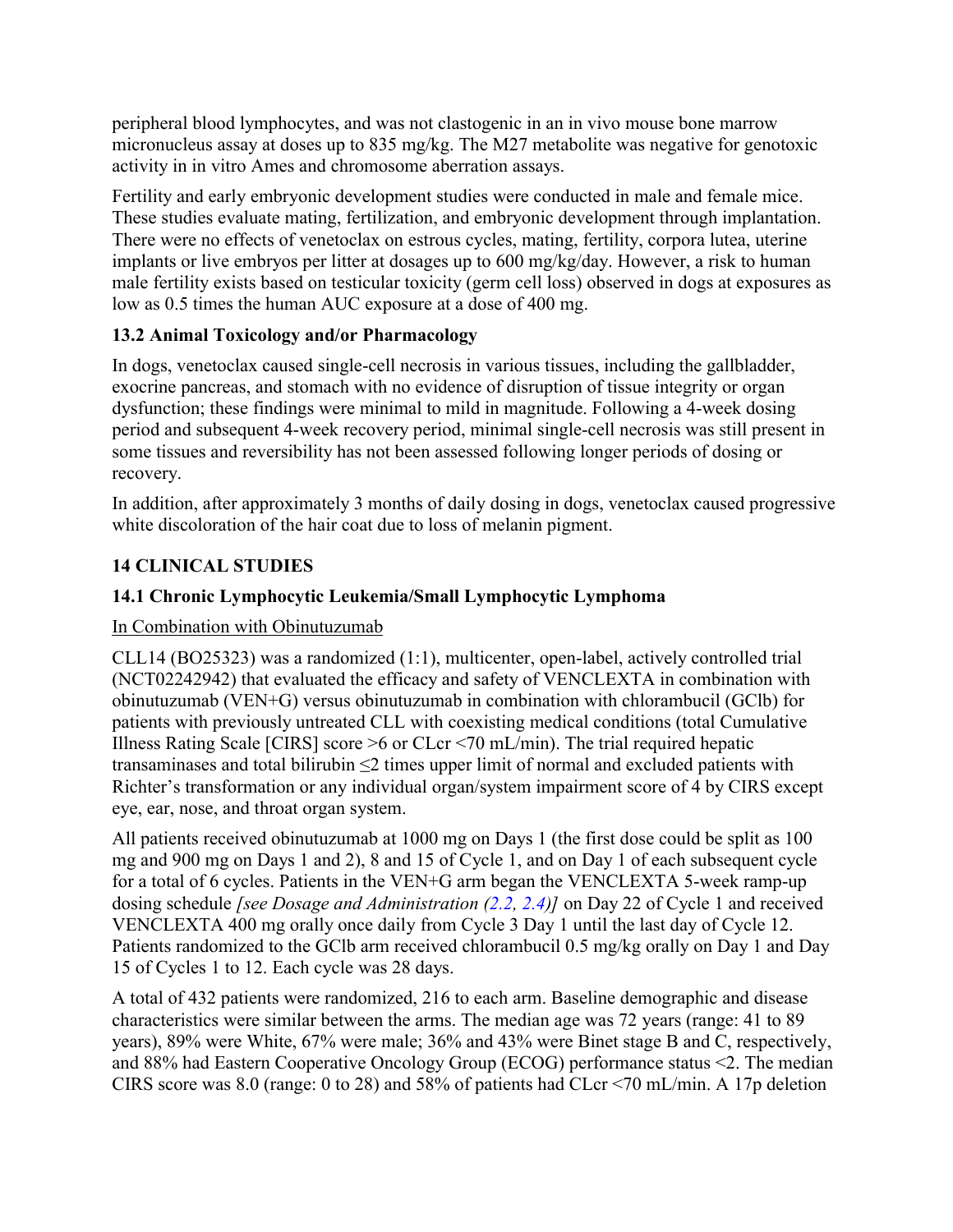peripheral blood lymphocytes, and was not clastogenic in an in vivo mouse bone marrow micronucleus assay at doses up to 835 mg/kg. The M27 metabolite was negative for genotoxic activity in in vitro Ames and chromosome aberration assays.

Fertility and early embryonic development studies were conducted in male and female mice. These studies evaluate mating, fertilization, and embryonic development through implantation. There were no effects of venetoclax on estrous cycles, mating, fertility, corpora lutea, uterine implants or live embryos per litter at dosages up to 600 mg/kg/day. However, a risk to human male fertility exists based on testicular toxicity (germ cell loss) observed in dogs at exposures as low as 0.5 times the human AUC exposure at a dose of 400 mg.

## <span id="page-33-2"></span>**13.2 Animal Toxicology and/or Pharmacology**

In dogs, venetoclax caused single-cell necrosis in various tissues, including the gallbladder, exocrine pancreas, and stomach with no evidence of disruption of tissue integrity or organ dysfunction; these findings were minimal to mild in magnitude. Following a 4-week dosing period and subsequent 4-week recovery period, minimal single-cell necrosis was still present in some tissues and reversibility has not been assessed following longer periods of dosing or recovery.

In addition, after approximately 3 months of daily dosing in dogs, venetoclax caused progressive white discoloration of the hair coat due to loss of melanin pigment.

# <span id="page-33-1"></span>**14 CLINICAL STUDIES**

# <span id="page-33-0"></span>**14.1 Chronic Lymphocytic Leukemia/Small Lymphocytic Lymphoma**

### In Combination with Obinutuzumab

CLL14 (BO25323) was a randomized (1:1), multicenter, open-label, actively controlled trial (NCT02242942) that evaluated the efficacy and safety of VENCLEXTA in combination with obinutuzumab (VEN+G) versus obinutuzumab in combination with chlorambucil (GClb) for patients with previously untreated CLL with coexisting medical conditions (total Cumulative Illness Rating Scale [CIRS] score >6 or CLcr <70 mL/min). The trial required hepatic transaminases and total bilirubin ≤2 times upper limit of normal and excluded patients with Richter's transformation or any individual organ/system impairment score of 4 by CIRS except eye, ear, nose, and throat organ system.

All patients received obinutuzumab at 1000 mg on Days 1 (the first dose could be split as 100 mg and 900 mg on Days 1 and 2), 8 and 15 of Cycle 1, and on Day 1 of each subsequent cycle for a total of 6 cycles. Patients in the VEN+G arm began the VENCLEXTA 5-week ramp-up dosing schedule *[see Dosage and Administration [\(2.2,](#page-1-0) [2.4\)](#page-3-0)]* on Day 22 of Cycle 1 and received VENCLEXTA 400 mg orally once daily from Cycle 3 Day 1 until the last day of Cycle 12. Patients randomized to the GClb arm received chlorambucil 0.5 mg/kg orally on Day 1 and Day 15 of Cycles 1 to 12. Each cycle was 28 days.

A total of 432 patients were randomized, 216 to each arm. Baseline demographic and disease characteristics were similar between the arms. The median age was 72 years (range: 41 to 89 years), 89% were White, 67% were male; 36% and 43% were Binet stage B and C, respectively, and 88% had Eastern Cooperative Oncology Group (ECOG) performance status <2. The median CIRS score was 8.0 (range: 0 to 28) and 58% of patients had CLcr <70 mL/min. A 17p deletion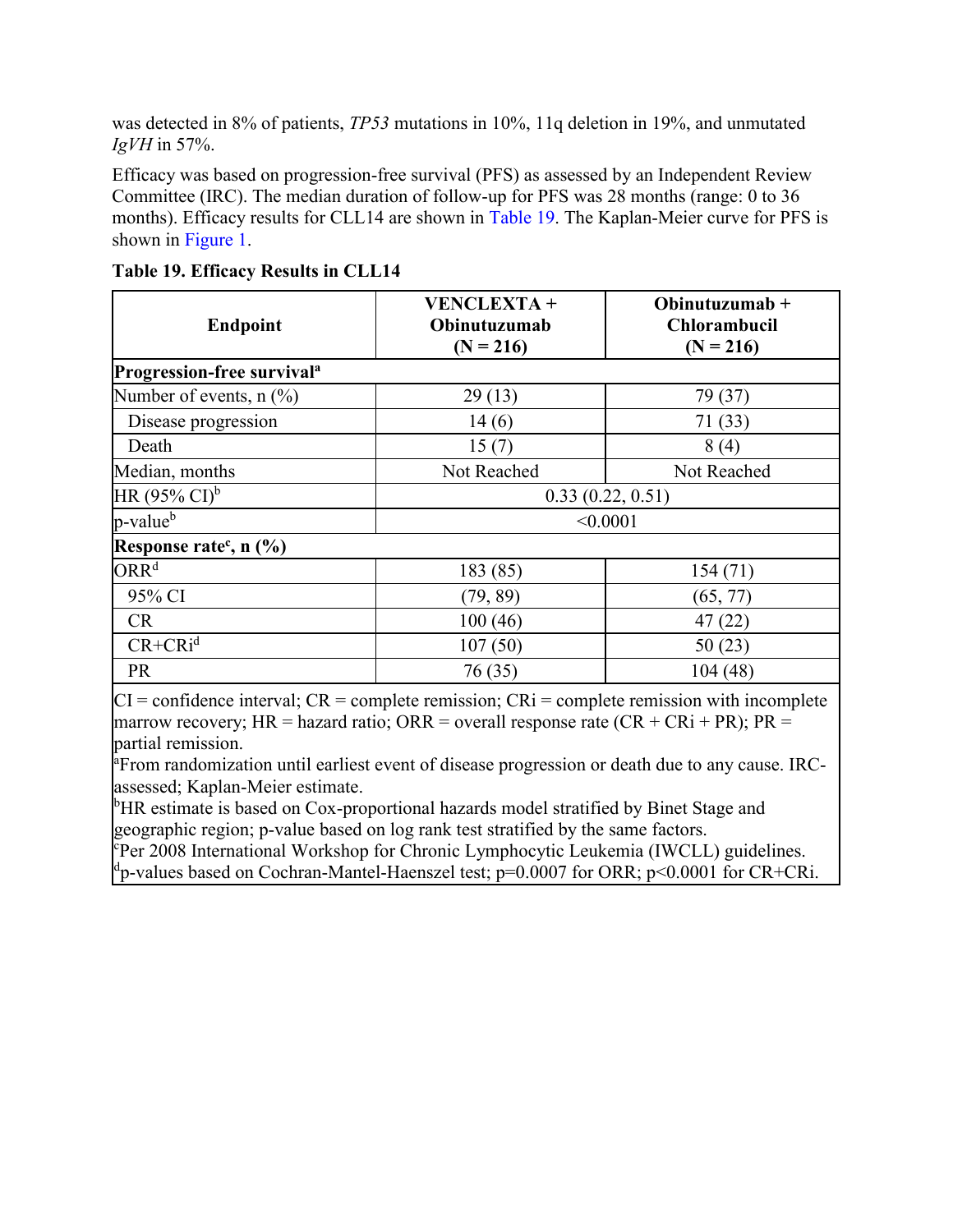was detected in 8% of patients, *TP53* mutations in 10%, 11q deletion in 19%, and unmutated *IgVH* in 57%.

Efficacy was based on progression-free survival (PFS) as assessed by an Independent Review Committee (IRC). The median duration of follow-up for PFS was 28 months (range: 0 to 36 months). Efficacy results for CLL14 are shown in [Table 19.](#page-34-0) The Kaplan-Meier curve for PFS is shown in [Figure 1.](#page-35-0)

| <b>Endpoint</b>                        | <b>VENCLEXTA +</b><br>Obinutuzumab<br>$(N = 216)$ | Obinutuzumab +<br><b>Chlorambucil</b><br>$(N = 216)$ |  |
|----------------------------------------|---------------------------------------------------|------------------------------------------------------|--|
| Progression-free survival <sup>a</sup> |                                                   |                                                      |  |
| Number of events, $n$ $(\%)$           | 29(13)                                            | 79 (37)                                              |  |
| Disease progression                    | 14(6)                                             | 71(33)                                               |  |
| Death                                  | 15(7)                                             | 8(4)                                                 |  |
| Median, months                         | Not Reached                                       | Not Reached                                          |  |
| HR $(95\% \text{ CI})^b$               | 0.33(0.22, 0.51)                                  |                                                      |  |
| p-value <sup>b</sup>                   | < 0.0001                                          |                                                      |  |
| Response rate <sup>c</sup> , $n$ (%)   |                                                   |                                                      |  |
| ORR <sup>d</sup>                       | 183 (85)                                          | 154(71)                                              |  |
| 95% CI                                 | (79, 89)                                          | (65, 77)                                             |  |
| <b>CR</b>                              | 100(46)                                           | 47(22)                                               |  |
| $CR + CRid$                            | 107(50)                                           | 50(23)                                               |  |
| PR                                     | 76 (35)                                           | 104(48)                                              |  |

<span id="page-34-0"></span>**Table 19. Efficacy Results in CLL14**

 $CI =$  confidence interval;  $CR =$  complete remission;  $CRi =$  complete remission with incomplete marrow recovery; HR = hazard ratio; ORR = overall response rate  $(CR + CRi + PR)$ ; PR = partial remission.

<sup>a</sup>From randomization until earliest event of disease progression or death due to any cause. IRCassessed; Kaplan-Meier estimate.

<sup>b</sup>HR estimate is based on Cox-proportional hazards model stratified by Binet Stage and geographic region; p-value based on log rank test stratified by the same factors.

<sup>c</sup>Per 2008 International Workshop for Chronic Lymphocytic Leukemia (IWCLL) guidelines. d p-values based on Cochran-Mantel-Haenszel test; p=0.0007 for ORR; p<0.0001 for CR+CRi.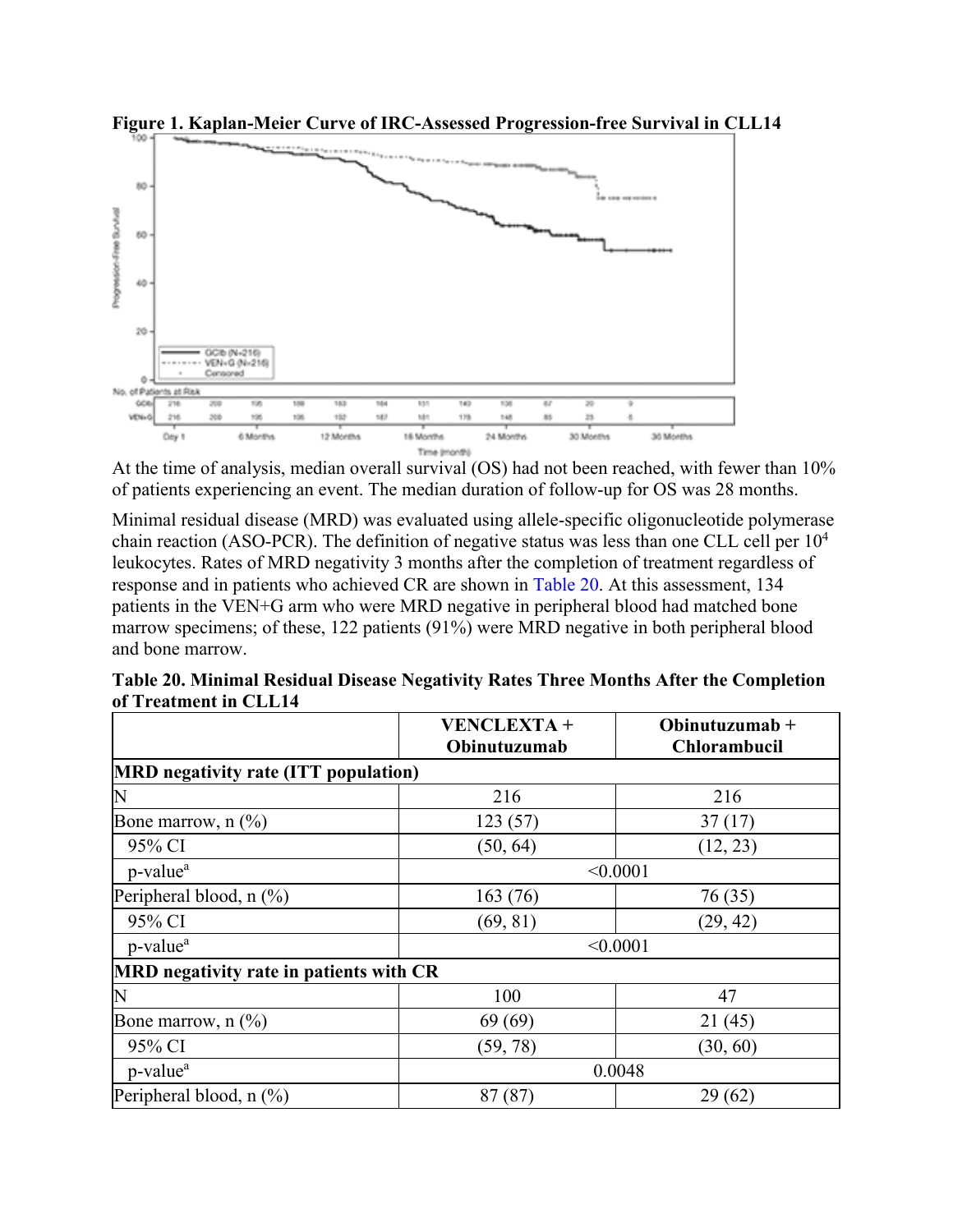

<span id="page-35-0"></span>**Figure 1. Kaplan-Meier Curve of IRC-Assessed Progression-free Survival in CLL14**

At the time of analysis, median overall survival (OS) had not been reached, with fewer than 10% of patients experiencing an event. The median duration of follow-up for OS was 28 months.

Minimal residual disease (MRD) was evaluated using allele-specific oligonucleotide polymerase chain reaction (ASO-PCR). The definition of negative status was less than one CLL cell per  $10<sup>4</sup>$ leukocytes. Rates of MRD negativity 3 months after the completion of treatment regardless of response and in patients who achieved CR are shown in [Table 20.](#page-35-1) At this assessment, 134 patients in the VEN+G arm who were MRD negative in peripheral blood had matched bone marrow specimens; of these, 122 patients (91%) were MRD negative in both peripheral blood and bone marrow.

|                                             | <b>VENCLEXTA +</b><br>Obinutuzumab | Obinutuzumab $+$<br><b>Chlorambucil</b> |  |
|---------------------------------------------|------------------------------------|-----------------------------------------|--|
| <b>MRD</b> negativity rate (ITT population) |                                    |                                         |  |
| N                                           | 216                                | 216                                     |  |
| Bone marrow, $n$ $\left(\frac{9}{6}\right)$ | 123(57)                            | 37(17)                                  |  |
| 95% CI                                      | (50, 64)                           | (12, 23)                                |  |
| p-value <sup>a</sup>                        |                                    | < 0.0001                                |  |
| Peripheral blood, $n$ $(\%)$                | 163(76)                            | 76 (35)                                 |  |
| 95% CI                                      | (69, 81)                           | (29, 42)                                |  |
| p-value <sup>a</sup>                        |                                    | < 0.0001                                |  |
| MRD negativity rate in patients with CR     |                                    |                                         |  |
| N                                           | 100                                | 47                                      |  |
| Bone marrow, $n$ $\left(\frac{9}{6}\right)$ | 69(69)                             | 21(45)                                  |  |
| 95% CI                                      | (59, 78)                           | (30, 60)                                |  |
| p-value <sup>a</sup>                        |                                    | 0.0048                                  |  |
| Peripheral blood, $n$ $(\%)$                | 87 (87)                            | 29(62)                                  |  |

<span id="page-35-1"></span>**Table 20. Minimal Residual Disease Negativity Rates Three Months After the Completion of Treatment in CLL14**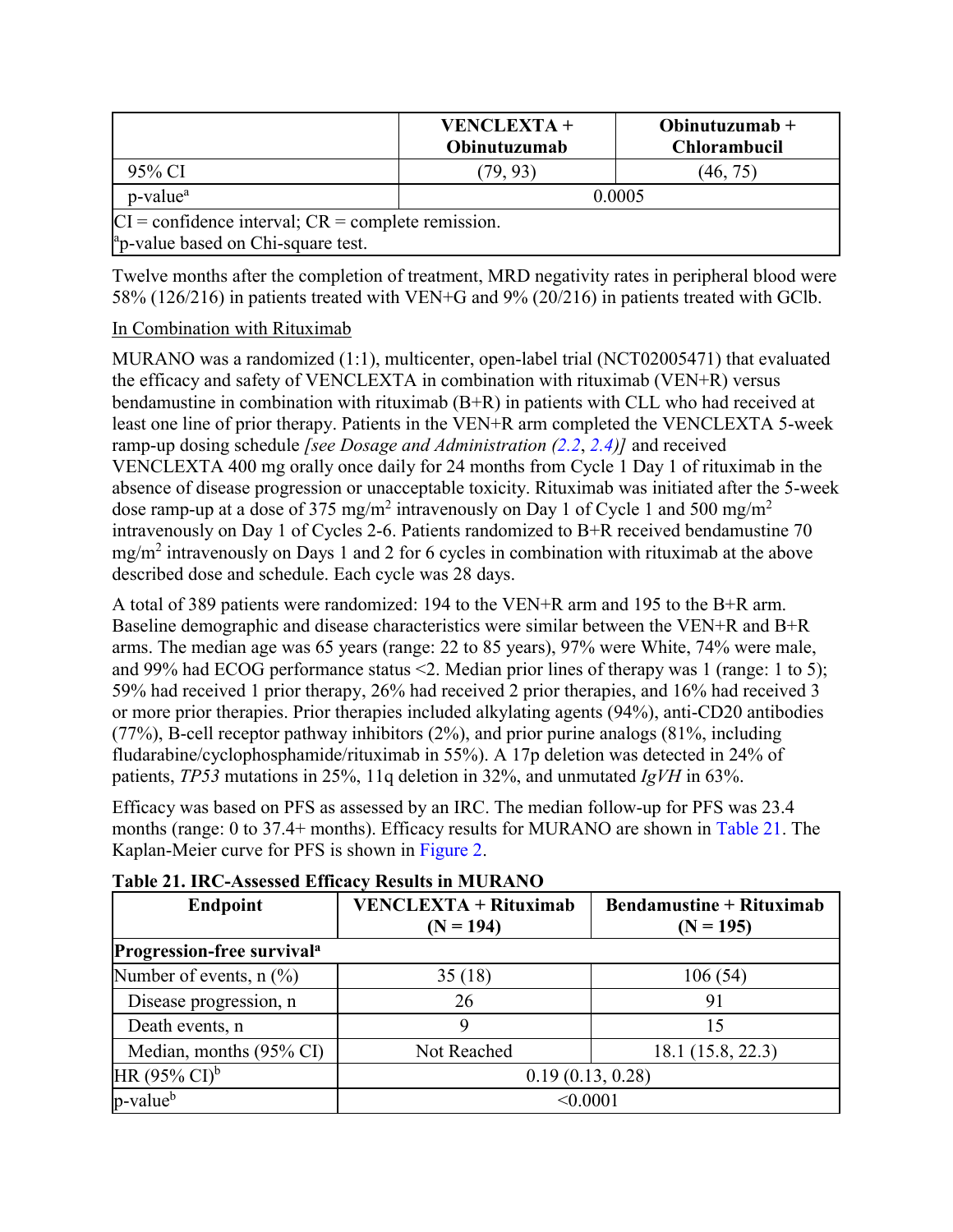|                                                        | <b>VENCLEXTA +</b><br>Obinutuzumab | Obinutuzumab $+$<br><b>Chlorambucil</b> |  |
|--------------------------------------------------------|------------------------------------|-----------------------------------------|--|
| 95% CI                                                 | (79, 93)                           | (46, 75)                                |  |
| $p$ -value <sup><math>a</math></sup>                   |                                    | 0.0005                                  |  |
| $CI = confidence$ interval; $CR = complete$ remission. |                                    |                                         |  |
| $a$ -value based on Chi-square test.                   |                                    |                                         |  |

Twelve months after the completion of treatment, MRD negativity rates in peripheral blood were 58% (126/216) in patients treated with VEN+G and 9% (20/216) in patients treated with GClb.

### In Combination with Rituximab

MURANO was a randomized (1:1), multicenter, open-label trial (NCT02005471) that evaluated the efficacy and safety of VENCLEXTA in combination with rituximab (VEN+R) versus bendamustine in combination with rituximab (B+R) in patients with CLL who had received at least one line of prior therapy. Patients in the VEN+R arm completed the VENCLEXTA 5-week ramp-up dosing schedule *[see Dosage and Administration [\(2.2](#page-1-0)*, *[2.4\)](#page-3-0)]* and received VENCLEXTA 400 mg orally once daily for 24 months from Cycle 1 Day 1 of rituximab in the absence of disease progression or unacceptable toxicity. Rituximab was initiated after the 5-week dose ramp-up at a dose of 375 mg/m<sup>2</sup> intravenously on Day 1 of Cycle 1 and 500 mg/m<sup>2</sup> intravenously on Day 1 of Cycles 2-6. Patients randomized to B+R received bendamustine 70  $mg/m<sup>2</sup>$  intravenously on Days 1 and 2 for 6 cycles in combination with rituximab at the above described dose and schedule. Each cycle was 28 days.

A total of 389 patients were randomized: 194 to the VEN+R arm and 195 to the B+R arm. Baseline demographic and disease characteristics were similar between the VEN+R and B+R arms. The median age was 65 years (range: 22 to 85 years), 97% were White, 74% were male, and 99% had ECOG performance status <2. Median prior lines of therapy was 1 (range: 1 to 5); 59% had received 1 prior therapy, 26% had received 2 prior therapies, and 16% had received 3 or more prior therapies. Prior therapies included alkylating agents (94%), anti-CD20 antibodies (77%), B-cell receptor pathway inhibitors (2%), and prior purine analogs (81%, including fludarabine/cyclophosphamide/rituximab in 55%). A 17p deletion was detected in 24% of patients, *TP53* mutations in 25%, 11q deletion in 32%, and unmutated *IgVH* in 63%.

Efficacy was based on PFS as assessed by an IRC. The median follow-up for PFS was 23.4 months (range: 0 to 37.4+ months). Efficacy results for MURANO are shown in [Table 21.](#page-36-0) The Kaplan-Meier curve for PFS is shown in [Figure 2.](#page-37-0)

| Endpoint                               | <b>VENCLEXTA + Rituximab</b><br>$(N = 194)$ | <b>Bendamustine + Rituximab</b><br>$(N = 195)$ |
|----------------------------------------|---------------------------------------------|------------------------------------------------|
| Progression-free survival <sup>a</sup> |                                             |                                                |
| Number of events, $n$ $(\%)$           | 35(18)                                      | 106(54)                                        |
| Disease progression, n                 | 26                                          | 91                                             |
| Death events, n                        | 9                                           | 15                                             |
| Median, months (95% CI)                | Not Reached                                 | 18.1 (15.8, 22.3)                              |
| HR $(95\% \text{ CI})^b$               | 0.19(0.13, 0.28)                            |                                                |
| $ p$ -value $b$                        | < 0.0001                                    |                                                |

### <span id="page-36-0"></span>**Table 21. IRC-Assessed Efficacy Results in MURANO**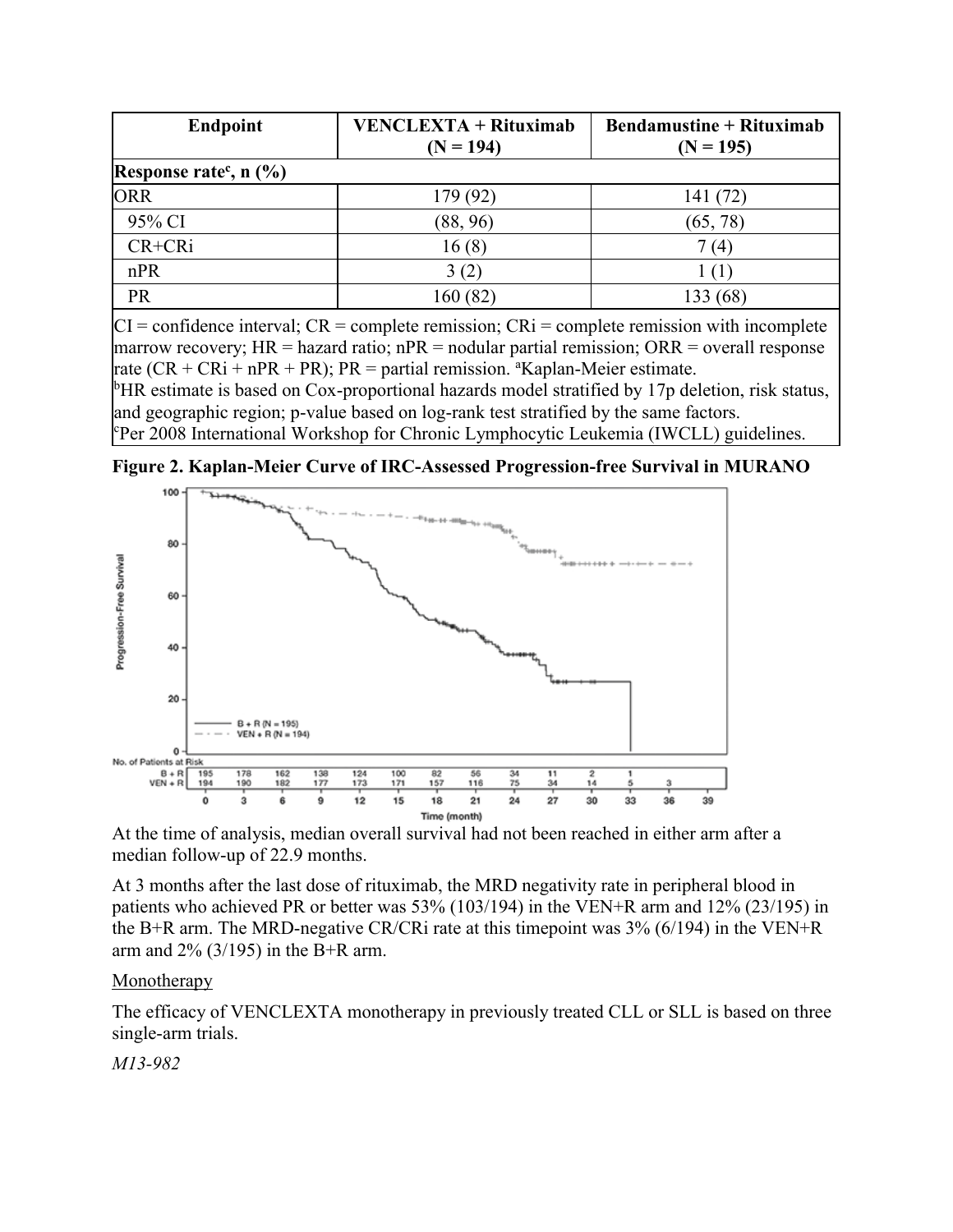| <b>Endpoint</b>                      | <b>VENCLEXTA + Rituximab</b><br>$(N = 194)$ | <b>Bendamustine + Rituximab</b><br>$(N = 195)$ |
|--------------------------------------|---------------------------------------------|------------------------------------------------|
| Response rate <sup>c</sup> , $n$ (%) |                                             |                                                |
| <b>ORR</b>                           | 179 (92)                                    | 141 (72)                                       |
| 95% CI                               | (88, 96)                                    | (65, 78)                                       |
| CR+CRi                               | 16(8)                                       | 7 (4)                                          |
| nPR                                  | 3(2)                                        |                                                |
| PR                                   | 160                                         | 133 (68)                                       |

 $CI =$  confidence interval;  $CR =$  complete remission;  $CRi =$  complete remission with incomplete marrow recovery;  $HR =$  hazard ratio;  $nPR =$  nodular partial remission;  $ORR =$  overall response rate  $(CR + CRi + nPR + PR)$ ;  $PR =$  partial remission. <sup>a</sup>Kaplan-Meier estimate. <sup>b</sup>HR estimate is based on Cox-proportional hazards model stratified by 17p deletion, risk status, and geographic region; p-value based on log-rank test stratified by the same factors.  $\degree$ Per 2008 International Workshop for Chronic Lymphocytic Leukemia (IWCLL) guidelines.

<span id="page-37-0"></span>**Figure 2. Kaplan-Meier Curve of IRC-Assessed Progression-free Survival in MURANO**



At the time of analysis, median overall survival had not been reached in either arm after a median follow-up of 22.9 months.

At 3 months after the last dose of rituximab, the MRD negativity rate in peripheral blood in patients who achieved PR or better was 53% (103/194) in the VEN+R arm and 12% (23/195) in the B+R arm. The MRD-negative CR/CRi rate at this timepoint was 3% (6/194) in the VEN+R arm and  $2\%$  (3/195) in the B+R arm.

### **Monotherapy**

The efficacy of VENCLEXTA monotherapy in previously treated CLL or SLL is based on three single-arm trials.

### *M13-982*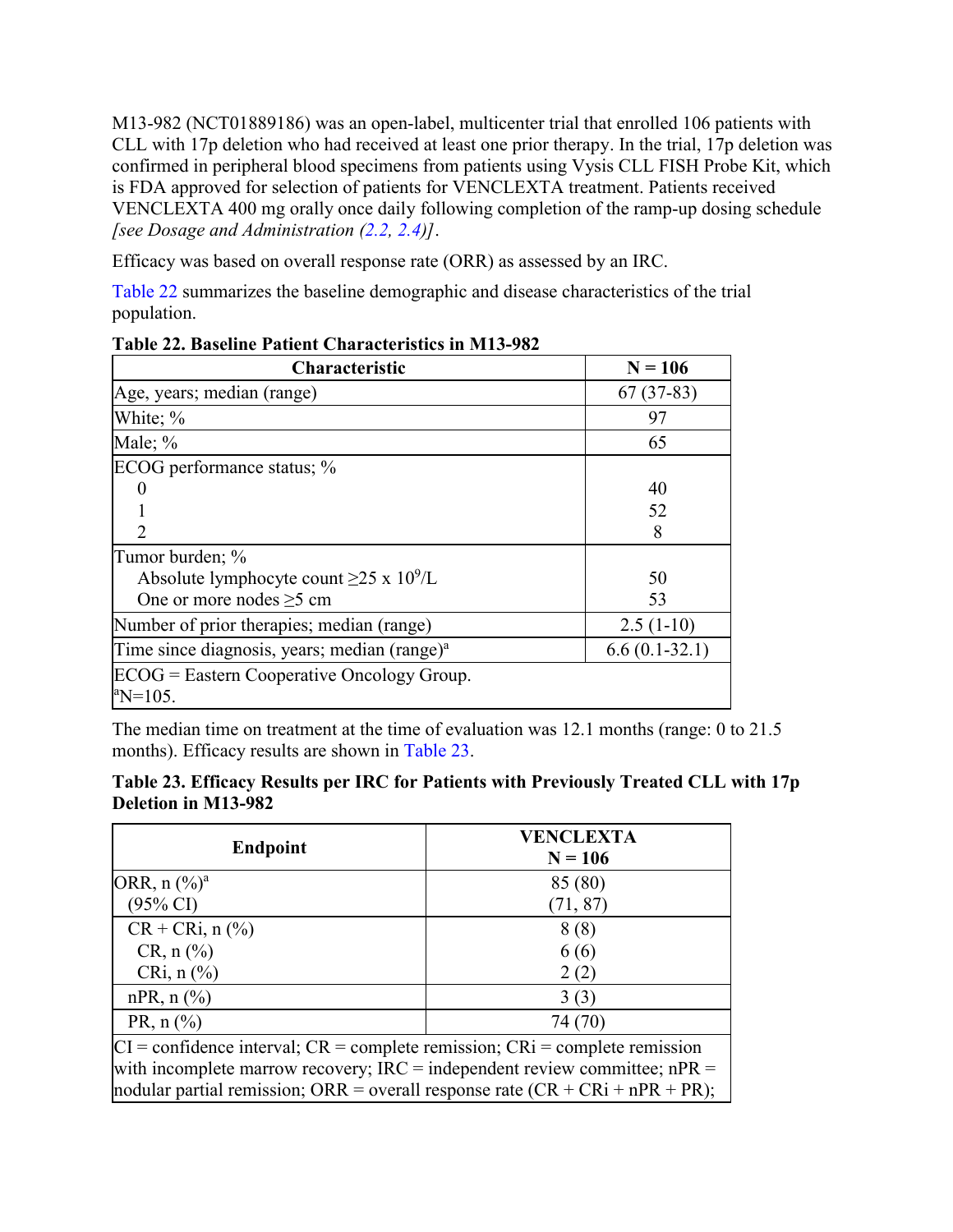M13-982 (NCT01889186) was an open-label, multicenter trial that enrolled 106 patients with CLL with 17p deletion who had received at least one prior therapy. In the trial, 17p deletion was confirmed in peripheral blood specimens from patients using Vysis CLL FISH Probe Kit, which is FDA approved for selection of patients for VENCLEXTA treatment. Patients received VENCLEXTA 400 mg orally once daily following completion of the ramp-up dosing schedule *[see Dosage and Administration [\(2.2,](#page-1-0) [2.4\)](#page-3-0)]*.

Efficacy was based on overall response rate (ORR) as assessed by an IRC.

[Table 22](#page-38-1) summarizes the baseline demographic and disease characteristics of the trial population.

<span id="page-38-1"></span>

| <b>Characteristic</b>                                              | $N = 106$       |
|--------------------------------------------------------------------|-----------------|
| Age, years; median (range)                                         | $67(37-83)$     |
| White; %                                                           | 97              |
| Male; $%$                                                          | 65              |
| ECOG performance status; %                                         |                 |
| $\theta$                                                           | 40              |
|                                                                    | 52              |
|                                                                    | 8               |
| Tumor burden; %                                                    |                 |
| Absolute lymphocyte count $\geq$ 25 x 10 <sup>9</sup> /L           | 50              |
| One or more nodes $\geq$ 5 cm                                      | 53              |
| Number of prior therapies; median (range)                          | $2.5(1-10)$     |
| Time since diagnosis, years; median (range) <sup>a</sup>           | $6.6(0.1-32.1)$ |
| $ECOG = Eastern Cooperative Oncology Group.$<br>$\text{N} = 105$ . |                 |

**Table 22. Baseline Patient Characteristics in M13-982**

The median time on treatment at the time of evaluation was 12.1 months (range: 0 to 21.5 months). Efficacy results are shown in [Table 23.](#page-38-0)

<span id="page-38-0"></span>

| Table 23. Efficacy Results per IRC for Patients with Previously Treated CLL with 17p |  |  |
|--------------------------------------------------------------------------------------|--|--|
| Deletion in M13-982                                                                  |  |  |

| Endpoint                                                                           | <b>VENCLEXTA</b><br>$N = 106$ |  |  |
|------------------------------------------------------------------------------------|-------------------------------|--|--|
| ORR, $n\,(%)^a$                                                                    | 85 (80)                       |  |  |
| $(95\% \text{ CI})$                                                                | (71, 87)                      |  |  |
| $CR + CRi, n$ (%)                                                                  | 8(8)                          |  |  |
| $CR, n (\%)$                                                                       | 6(6)                          |  |  |
| $CRi, n$ (%)                                                                       | 2(2)                          |  |  |
| $nPR, n$ (%)                                                                       | 3(3)                          |  |  |
| PR, $n$ (%)                                                                        | 74 (70)                       |  |  |
| $ CI =$ confidence interval; $CR =$ complete remission; $CRi =$ complete remission |                               |  |  |
| with incomplete marrow recovery; IRC = independent review committee; $nPR =$       |                               |  |  |
| nodular partial remission; ORR = overall response rate $(CR + CRi + nPR + PR)$ ;   |                               |  |  |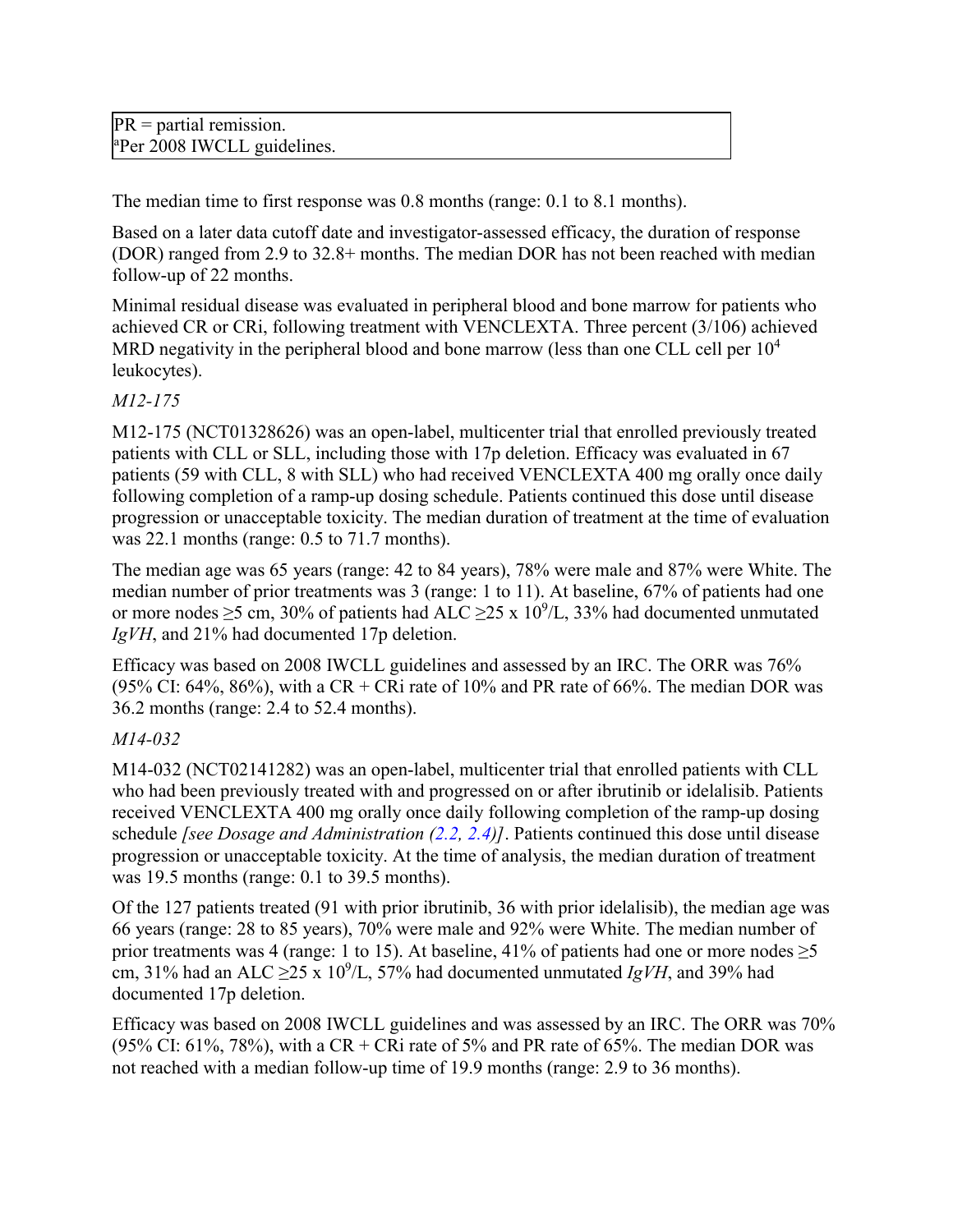| $PR =$ partial remission.               |
|-----------------------------------------|
| <sup>a</sup> Per 2008 IWCLL guidelines. |

The median time to first response was 0.8 months (range: 0.1 to 8.1 months).

Based on a later data cutoff date and investigator-assessed efficacy, the duration of response (DOR) ranged from 2.9 to 32.8+ months. The median DOR has not been reached with median follow-up of 22 months.

Minimal residual disease was evaluated in peripheral blood and bone marrow for patients who achieved CR or CRi, following treatment with VENCLEXTA. Three percent (3/106) achieved MRD negativity in the peripheral blood and bone marrow (less than one CLL cell per  $10<sup>4</sup>$ leukocytes).

### *M12-175*

M12-175 (NCT01328626) was an open-label, multicenter trial that enrolled previously treated patients with CLL or SLL, including those with 17p deletion. Efficacy was evaluated in 67 patients (59 with CLL, 8 with SLL) who had received VENCLEXTA 400 mg orally once daily following completion of a ramp-up dosing schedule. Patients continued this dose until disease progression or unacceptable toxicity. The median duration of treatment at the time of evaluation was 22.1 months (range: 0.5 to 71.7 months).

The median age was 65 years (range: 42 to 84 years), 78% were male and 87% were White. The median number of prior treatments was 3 (range: 1 to 11). At baseline, 67% of patients had one or more nodes  $\geq$ 5 cm, 30% of patients had ALC  $\geq$ 25 x 10<sup>9</sup>/L, 33% had documented unmutated *IgVH*, and 21% had documented 17p deletion.

Efficacy was based on 2008 IWCLL guidelines and assessed by an IRC. The ORR was 76% (95% CI: 64%, 86%), with a  $CR + CRi$  rate of 10% and PR rate of 66%. The median DOR was 36.2 months (range: 2.4 to 52.4 months).

### *M14-032*

M14-032 (NCT02141282) was an open-label, multicenter trial that enrolled patients with CLL who had been previously treated with and progressed on or after ibrutinib or idelalisib. Patients received VENCLEXTA 400 mg orally once daily following completion of the ramp-up dosing schedule *[see Dosage and Administration [\(2.2,](#page-1-0) [2.4\)](#page-3-0)]*. Patients continued this dose until disease progression or unacceptable toxicity. At the time of analysis, the median duration of treatment was 19.5 months (range: 0.1 to 39.5 months).

Of the 127 patients treated (91 with prior ibrutinib, 36 with prior idelalisib), the median age was 66 years (range: 28 to 85 years), 70% were male and 92% were White. The median number of prior treatments was 4 (range: 1 to 15). At baseline, 41% of patients had one or more nodes  $\geq 5$ cm, 31% had an ALC  $\geq$ 25 x 10<sup>9</sup>/L, 57% had documented unmutated *IgVH*, and 39% had documented 17p deletion.

Efficacy was based on 2008 IWCLL guidelines and was assessed by an IRC. The ORR was 70% (95% CI: 61%, 78%), with a  $CR + CRi$  rate of 5% and PR rate of 65%. The median DOR was not reached with a median follow-up time of 19.9 months (range: 2.9 to 36 months).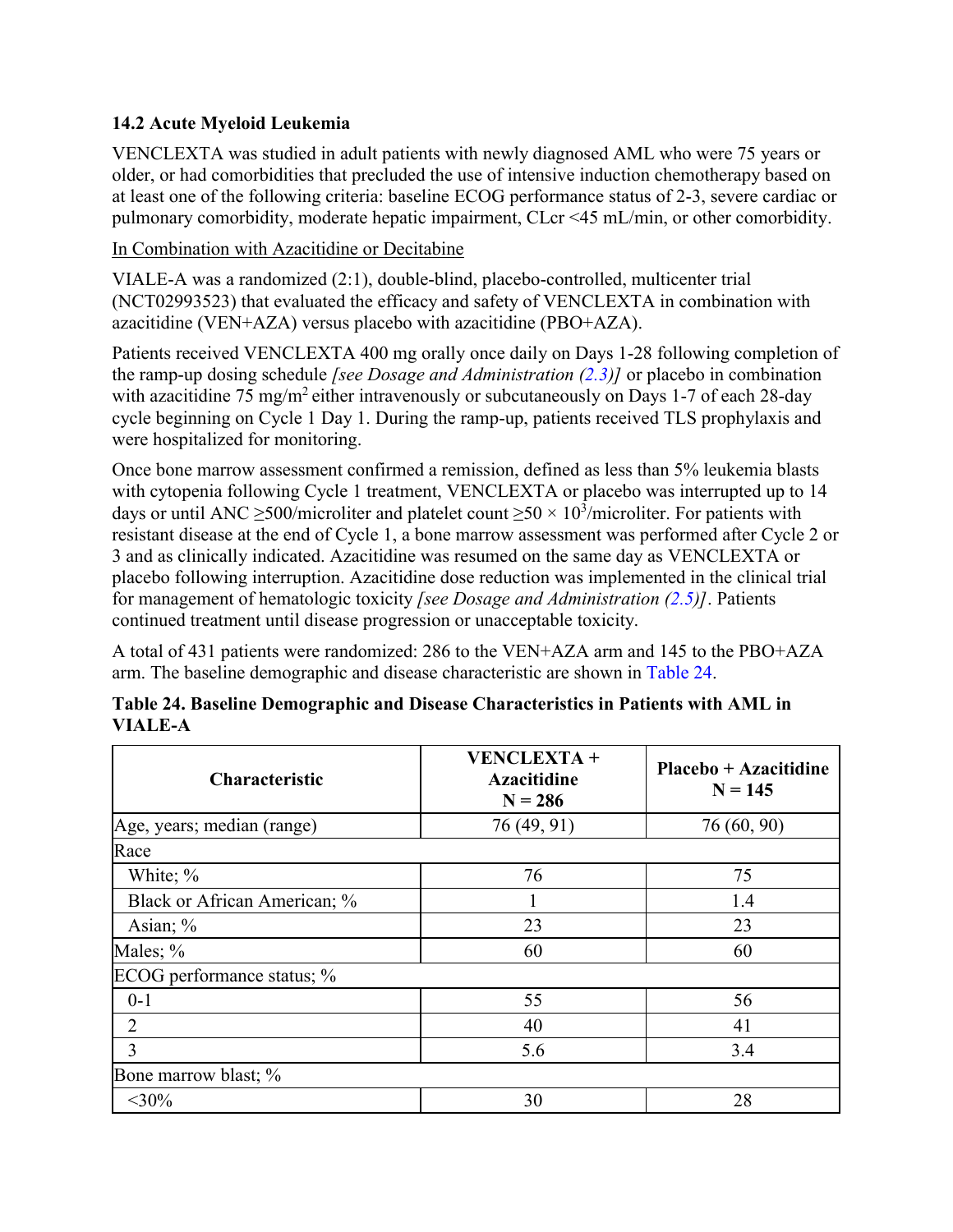### <span id="page-40-0"></span>**14.2 Acute Myeloid Leukemia**

VENCLEXTA was studied in adult patients with newly diagnosed AML who were 75 years or older, or had comorbidities that precluded the use of intensive induction chemotherapy based on at least one of the following criteria: baseline ECOG performance status of 2-3, severe cardiac or pulmonary comorbidity, moderate hepatic impairment, CLcr <45 mL/min, or other comorbidity.

### In Combination with Azacitidine or Decitabine

VIALE-A was a randomized (2:1), double-blind, placebo-controlled, multicenter trial (NCT02993523) that evaluated the efficacy and safety of VENCLEXTA in combination with azacitidine (VEN+AZA) versus placebo with azacitidine (PBO+AZA).

Patients received VENCLEXTA 400 mg orally once daily on Days 1-28 following completion of the ramp-up dosing schedule *[see Dosage and Administration [\(2.3\)](#page-2-0)]* or placebo in combination with azacitidine 75 mg/m<sup>2</sup> either intravenously or subcutaneously on Days 1-7 of each 28-day cycle beginning on Cycle 1 Day 1. During the ramp-up, patients received TLS prophylaxis and were hospitalized for monitoring.

Once bone marrow assessment confirmed a remission, defined as less than 5% leukemia blasts with cytopenia following Cycle 1 treatment, VENCLEXTA or placebo was interrupted up to 14 days or until ANC  $\geq$ 500/microliter and platelet count  $\geq$ 50  $\times$  10<sup>3</sup>/microliter. For patients with resistant disease at the end of Cycle 1, a bone marrow assessment was performed after Cycle 2 or 3 and as clinically indicated. Azacitidine was resumed on the same day as VENCLEXTA or placebo following interruption. Azacitidine dose reduction was implemented in the clinical trial for management of hematologic toxicity *[see Dosage and Administration [\(2.5\)](#page-5-0)]*. Patients continued treatment until disease progression or unacceptable toxicity.

A total of 431 patients were randomized: 286 to the VEN+AZA arm and 145 to the PBO+AZA arm. The baseline demographic and disease characteristic are shown in [Table 24.](#page-40-1)

| <b>Characteristic</b>        | <b>VENCLEXTA +</b><br><b>Azacitidine</b><br>$N = 286$ | Placebo + Azacitidine<br>$N = 145$ |
|------------------------------|-------------------------------------------------------|------------------------------------|
| Age, years; median (range)   | 76 (49, 91)                                           | 76 (60, 90)                        |
| Race                         |                                                       |                                    |
| White; %                     | 76                                                    | 75                                 |
| Black or African American; % |                                                       | 1.4                                |
| Asian; %                     | 23                                                    | 23                                 |
| Males; %                     | 60                                                    | 60                                 |
| ECOG performance status; %   |                                                       |                                    |
| $0 - 1$                      | 55                                                    | 56                                 |
| $\overline{2}$               | 40                                                    | 41                                 |
| 3                            | 5.6                                                   | 3.4                                |
| Bone marrow blast; %         |                                                       |                                    |
| $<$ 30%                      | 30                                                    | 28                                 |

<span id="page-40-1"></span>

|                | Table 24. Baseline Demographic and Disease Characteristics in Patients with AML in |  |  |
|----------------|------------------------------------------------------------------------------------|--|--|
| <b>VIALE-A</b> |                                                                                    |  |  |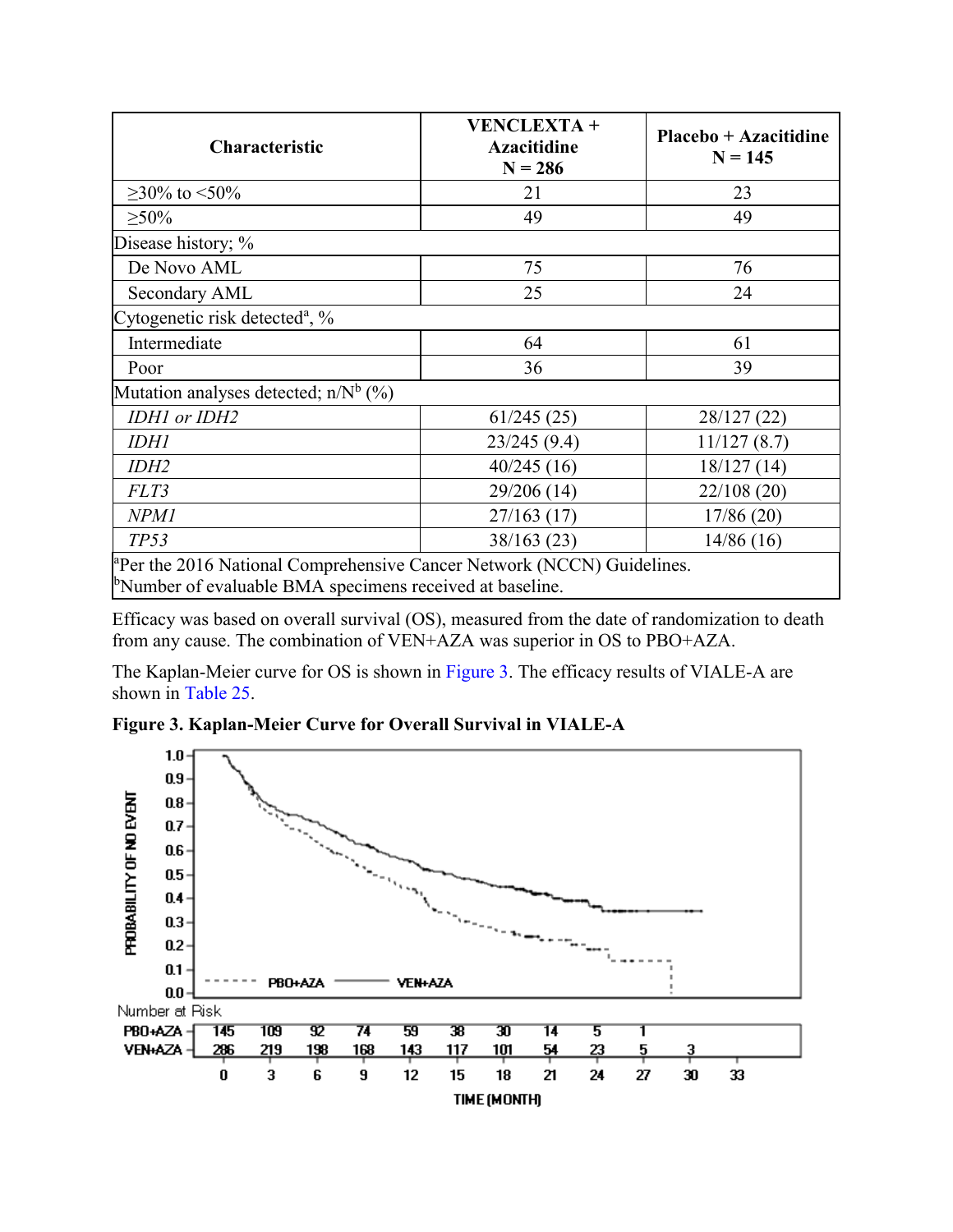| <b>Characteristic</b>                                                                              | <b>VENCLEXTA +</b><br><b>Azacitidine</b><br>$N = 286$ | Placebo + Azacitidine<br>$N = 145$ |
|----------------------------------------------------------------------------------------------------|-------------------------------------------------------|------------------------------------|
| $\geq$ 30% to <50%                                                                                 | 21                                                    | 23                                 |
| $\geq 50\%$                                                                                        | 49                                                    | 49                                 |
| Disease history; %                                                                                 |                                                       |                                    |
| De Novo AML                                                                                        | 75                                                    | 76                                 |
| Secondary AML                                                                                      | 25                                                    | 24                                 |
| Cytogenetic risk detected <sup>a</sup> , %                                                         |                                                       |                                    |
| Intermediate                                                                                       | 64                                                    | 61                                 |
| Poor                                                                                               | 36                                                    | 39                                 |
| Mutation analyses detected; $n/N^b$ (%)                                                            |                                                       |                                    |
| IDH1 or IDH2                                                                                       | 61/245(25)                                            | 28/127 (22)                        |
| <b>IDH1</b>                                                                                        | 23/245(9.4)                                           | 11/127(8.7)                        |
| IDH <sub>2</sub>                                                                                   | 40/245(16)                                            | 18/127(14)                         |
| FLT3                                                                                               | 29/206 (14)                                           | 22/108 (20)                        |
| NPM1                                                                                               | 27/163(17)                                            | 17/86(20)                          |
| TP53                                                                                               | 38/163(23)                                            | 14/86(16)                          |
| <sup>a</sup> Per the 2016 National Comprehensive Cancer Network (NCCN) Guidelines.<br>$\mathbf{b}$ |                                                       |                                    |

<sup>p</sup>Number of evaluable BMA specimens received at baseline.

Efficacy was based on overall survival (OS), measured from the date of randomization to death from any cause. The combination of VEN+AZA was superior in OS to PBO+AZA.

The Kaplan-Meier curve for OS is shown in [Figure 3.](#page-41-0) The efficacy results of VIALE-A are shown in [Table 25.](#page-42-0)

**Figure 3. Kaplan-Meier Curve for Overall Survival in VIALE-A**

<span id="page-41-0"></span>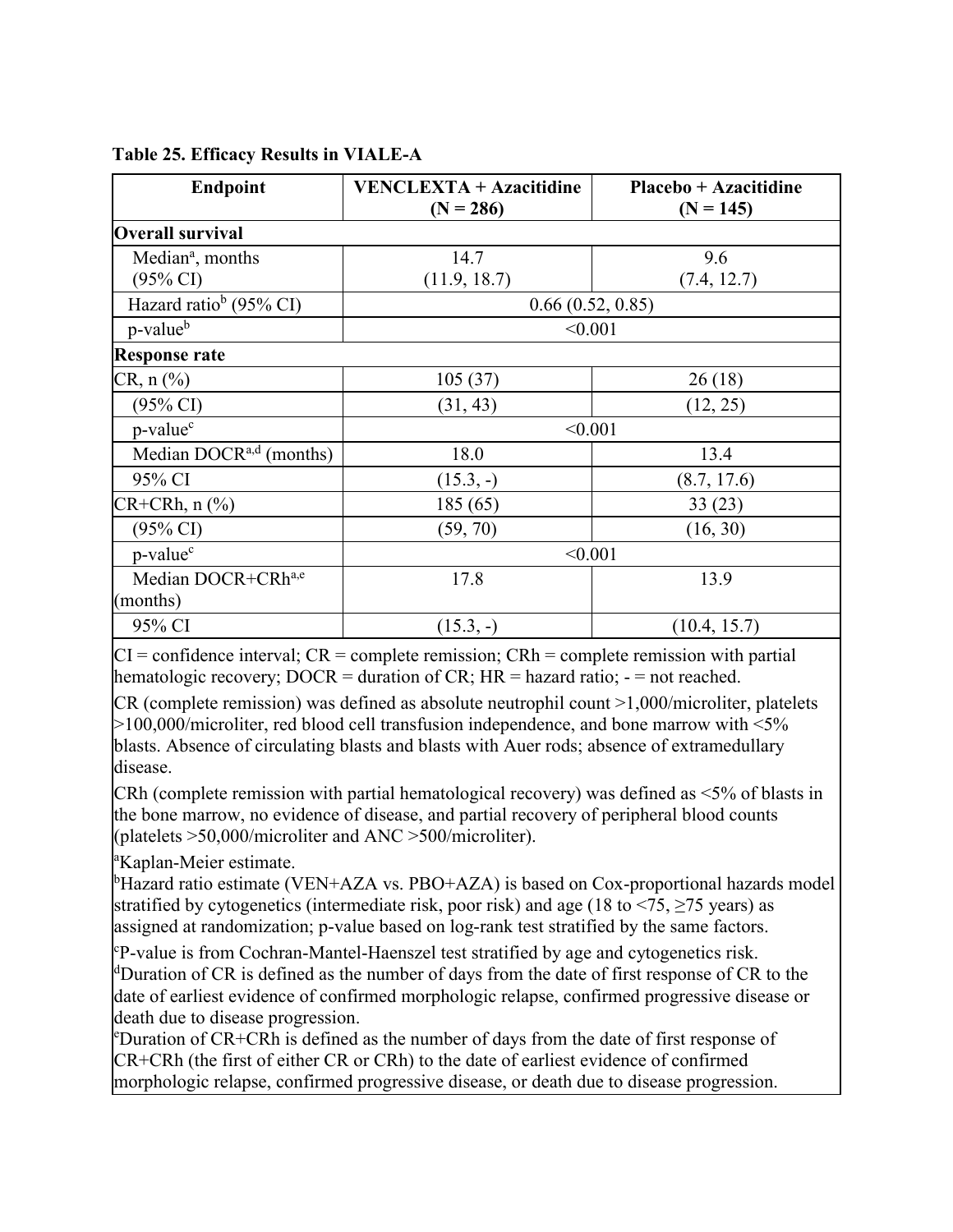| <b>Endpoint</b>                     | <b>VENCLEXTA + Azacitidine</b><br>$(N = 286)$ | Placebo + Azacitidine<br>$(N = 145)$ |
|-------------------------------------|-----------------------------------------------|--------------------------------------|
| <b>Overall survival</b>             |                                               |                                      |
| Median <sup>a</sup> , months        | 14.7                                          | 9.6                                  |
| $(95\% \text{ CI})$                 | (11.9, 18.7)                                  | (7.4, 12.7)                          |
| Hazard ratio <sup>b</sup> (95% CI)  | 0.66(0.52, 0.85)                              |                                      |
| p-value <sup>b</sup>                | < 0.001                                       |                                      |
| <b>Response rate</b>                |                                               |                                      |
| $CR, n (\%)$                        | 105(37)                                       | 26(18)                               |
| $(95\% \text{ CI})$                 | (31, 43)                                      | (12, 25)                             |
| p-value <sup>c</sup>                | < 0.001                                       |                                      |
| Median DOCR <sup>a,d</sup> (months) | 18.0                                          | 13.4                                 |
| 95% CI                              | $(15.3, -)$                                   | (8.7, 17.6)                          |
| $CR+CRh$ , n $(\% )$                | 185(65)                                       | 33(23)                               |
| $(95\% \text{ CI})$                 | (59, 70)                                      | (16, 30)                             |
| p-value <sup>c</sup>                | < 0.001                                       |                                      |
| Median DOCR+CRh <sup>a,e</sup>      | 17.8                                          | 13.9                                 |
| (months)                            |                                               |                                      |
| 95% CI                              | $(15.3, -)$                                   | (10.4, 15.7)                         |

### <span id="page-42-0"></span>**Table 25. Efficacy Results in VIALE-A**

 $CI =$  confidence interval;  $CR =$  complete remission;  $CRh =$  complete remission with partial hematologic recovery;  $DOCR = duration of CR$ ;  $HR = hazard ratio$ ;  $- = not reached$ .

CR (complete remission) was defined as absolute neutrophil count >1,000/microliter, platelets >100,000/microliter, red blood cell transfusion independence, and bone marrow with <5% blasts. Absence of circulating blasts and blasts with Auer rods; absence of extramedullary disease.

CRh (complete remission with partial hematological recovery) was defined as <5% of blasts in the bone marrow, no evidence of disease, and partial recovery of peripheral blood counts (platelets >50,000/microliter and ANC >500/microliter).

<sup>a</sup>Kaplan-Meier estimate.

 $b$ Hazard ratio estimate (VEN+AZA vs. PBO+AZA) is based on Cox-proportional hazards model stratified by cytogenetics (intermediate risk, poor risk) and age (18 to  $\leq$  75,  $\geq$  75 years) as assigned at randomization; p-value based on log-rank test stratified by the same factors.

<sup>c</sup>P-value is from Cochran-Mantel-Haenszel test stratified by age and cytogenetics risk. <sup>d</sup>Duration of CR is defined as the number of days from the date of first response of CR to the date of earliest evidence of confirmed morphologic relapse, confirmed progressive disease or death due to disease progression.

<sup>e</sup>Duration of CR+CRh is defined as the number of days from the date of first response of CR+CRh (the first of either CR or CRh) to the date of earliest evidence of confirmed morphologic relapse, confirmed progressive disease, or death due to disease progression.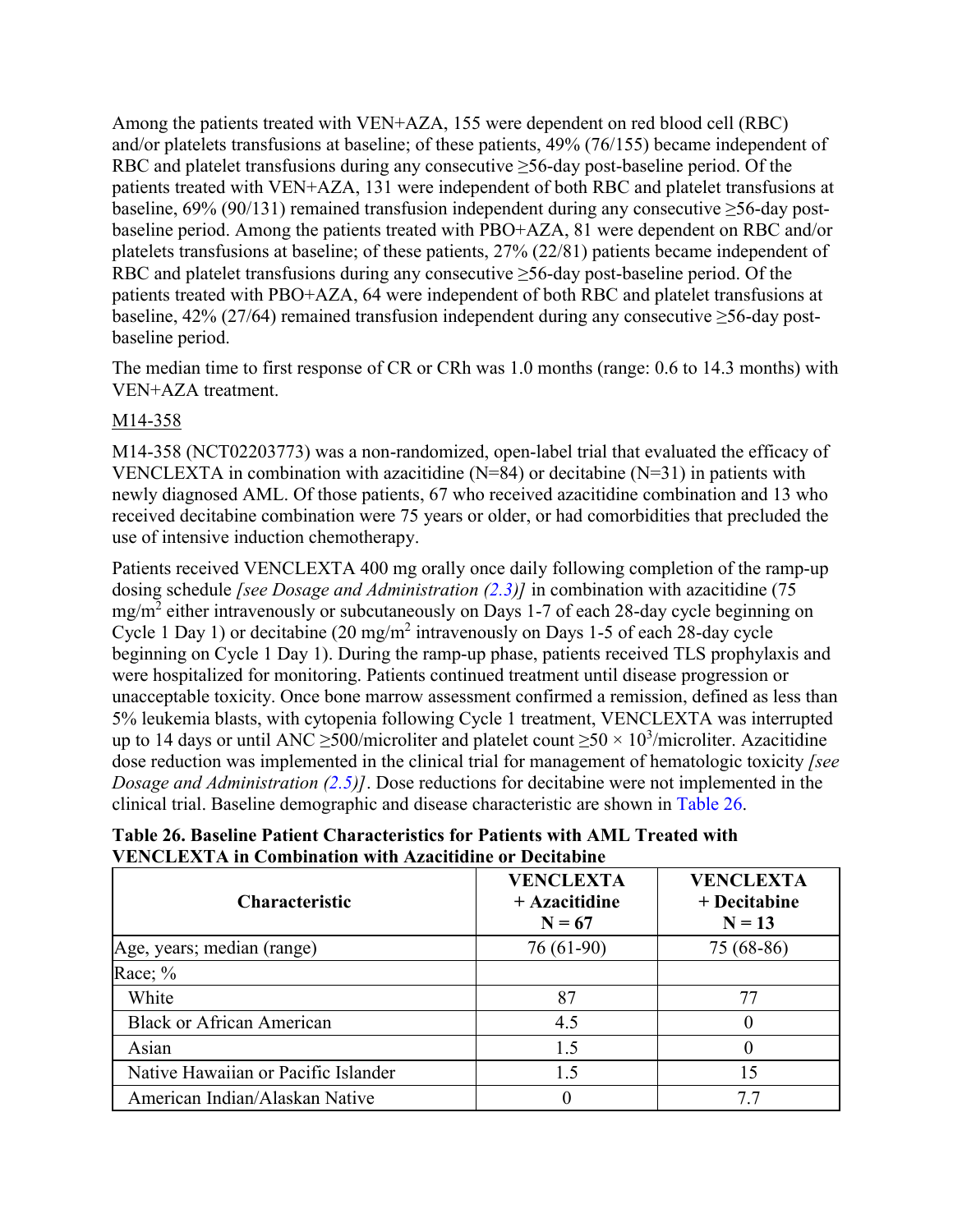Among the patients treated with VEN+AZA, 155 were dependent on red blood cell (RBC) and/or platelets transfusions at baseline; of these patients, 49% (76/155) became independent of RBC and platelet transfusions during any consecutive  $\geq$ 56-day post-baseline period. Of the patients treated with VEN+AZA, 131 were independent of both RBC and platelet transfusions at baseline,  $69\%$  (90/131) remained transfusion independent during any consecutive  $\geq 56$ -day postbaseline period. Among the patients treated with PBO+AZA, 81 were dependent on RBC and/or platelets transfusions at baseline; of these patients, 27% (22/81) patients became independent of RBC and platelet transfusions during any consecutive  $\geq$ 56-day post-baseline period. Of the patients treated with PBO+AZA, 64 were independent of both RBC and platelet transfusions at baseline, 42% (27/64) remained transfusion independent during any consecutive ≥56-day postbaseline period.

The median time to first response of CR or CRh was 1.0 months (range: 0.6 to 14.3 months) with VEN+AZA treatment.

### M14-358

M14-358 (NCT02203773) was a non-randomized, open-label trial that evaluated the efficacy of VENCLEXTA in combination with azacitidine  $(N=84)$  or decitabine  $(N=31)$  in patients with newly diagnosed AML. Of those patients, 67 who received azacitidine combination and 13 who received decitabine combination were 75 years or older, or had comorbidities that precluded the use of intensive induction chemotherapy.

Patients received VENCLEXTA 400 mg orally once daily following completion of the ramp-up dosing schedule *[see Dosage and Administration [\(2.3\)](#page-2-0)]* in combination with azacitidine (75 mg/m<sup>2</sup> either intravenously or subcutaneously on Days 1-7 of each 28-day cycle beginning on Cycle 1 Day 1) or decitabine  $(20 \text{ mg/m}^2 \text{ intravenously on Days 1-5 of each } 28 \text{-day cycle})$ beginning on Cycle 1 Day 1). During the ramp-up phase, patients received TLS prophylaxis and were hospitalized for monitoring. Patients continued treatment until disease progression or unacceptable toxicity. Once bone marrow assessment confirmed a remission, defined as less than 5% leukemia blasts, with cytopenia following Cycle 1 treatment, VENCLEXTA was interrupted up to 14 days or until ANC  $\geq$ 500/microliter and platelet count  $\geq$ 50  $\times$  10<sup>3</sup>/microliter. Azacitidine dose reduction was implemented in the clinical trial for management of hematologic toxicity *[see Dosage and Administration [\(2.5\)](#page-5-0)]*. Dose reductions for decitabine were not implemented in the clinical trial. Baseline demographic and disease characteristic are shown in [Table 26.](#page-48-0)

| <b>Characteristic</b>               | <b>VENCLEXTA</b><br>+ Azacitidine<br>$N = 67$ | <b>VENCLEXTA</b><br>+ Decitabine<br>$N = 13$ |
|-------------------------------------|-----------------------------------------------|----------------------------------------------|
| Age, years; median (range)          | 76 (61-90)                                    | 75 (68-86)                                   |
| Race; %                             |                                               |                                              |
| White                               | 87                                            | 77                                           |
| <b>Black or African American</b>    | 4.5                                           |                                              |
| Asian                               | 1.5                                           |                                              |
| Native Hawaiian or Pacific Islander | 1.5                                           | 15                                           |
| American Indian/Alaskan Native      |                                               | 77                                           |

**Table 26. Baseline Patient Characteristics for Patients with AML Treated with VENCLEXTA in Combination with Azacitidine or Decitabine**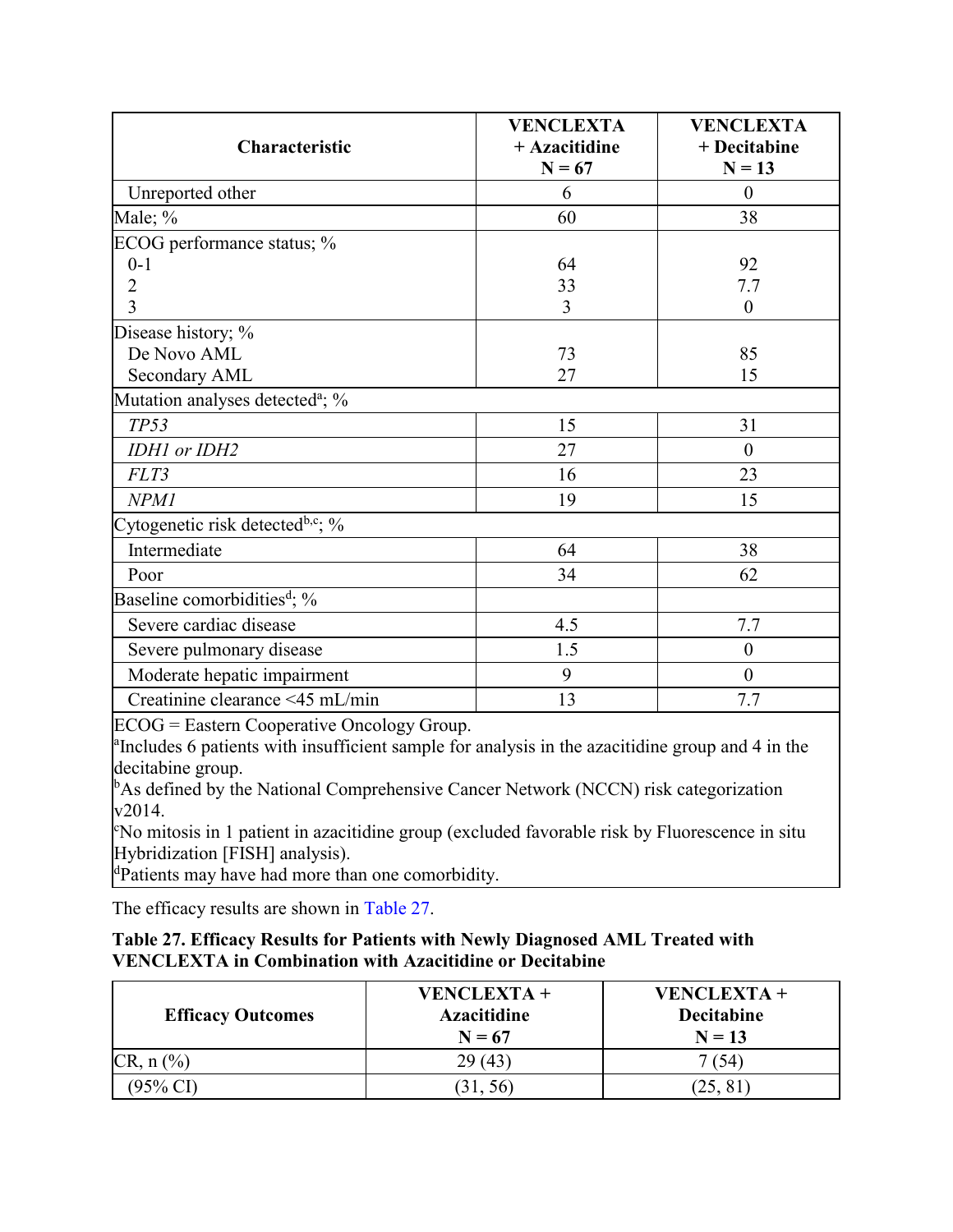| <b>Characteristic</b>                        | <b>VENCLEXTA</b><br>+ Azacitidine<br>$N = 67$ | <b>VENCLEXTA</b><br>+ Decitabine<br>$N = 13$ |
|----------------------------------------------|-----------------------------------------------|----------------------------------------------|
| Unreported other                             | 6                                             | $\theta$                                     |
| Male; %                                      | 60                                            | 38                                           |
| ECOG performance status; %                   |                                               |                                              |
| $0 - 1$                                      | 64                                            | 92                                           |
| $\overline{2}$                               | 33                                            | 7.7                                          |
| $\overline{3}$                               | $\overline{3}$                                | $\theta$                                     |
| Disease history; %                           |                                               |                                              |
| De Novo AML                                  | 73                                            | 85                                           |
| Secondary AML                                | 27                                            | 15                                           |
| Mutation analyses detected <sup>a</sup> ; %  |                                               |                                              |
| TP53                                         | 15                                            | 31                                           |
| IDH1 or IDH2                                 | 27                                            | $\theta$                                     |
| FLT3                                         | 16                                            | 23                                           |
| <b>NPM1</b>                                  | 19                                            | 15                                           |
| Cytogenetic risk detected <sup>b,c</sup> ; % |                                               |                                              |
| Intermediate                                 | 64                                            | 38                                           |
| Poor                                         | 34                                            | 62                                           |
| Baseline comorbidities <sup>d</sup> ; %      |                                               |                                              |
| Severe cardiac disease                       | 4.5                                           | 7.7                                          |
| Severe pulmonary disease                     | 1.5                                           | $\theta$                                     |
| Moderate hepatic impairment                  | 9                                             | $\boldsymbol{0}$                             |
| Creatinine clearance <45 mL/min              | 13                                            | 7.7                                          |

ECOG = Eastern Cooperative Oncology Group.

<sup>a</sup>Includes 6 patients with insufficient sample for analysis in the azacitidine group and 4 in the decitabine group.

 $\overline{b}$ As defined by the National Comprehensive Cancer Network (NCCN) risk categorization v2014.

 $\degree$ No mitosis in 1 patient in azacitidine group (excluded favorable risk by Fluorescence in situ Hybridization [FISH] analysis).

<sup>d</sup>Patients may have had more than one comorbidity.

The efficacy results are shown in [Table 27.](#page-44-0)

<span id="page-44-0"></span>

| Table 27. Efficacy Results for Patients with Newly Diagnosed AML Treated with |  |
|-------------------------------------------------------------------------------|--|
| <b>VENCLEXTA in Combination with Azacitidine or Decitabine</b>                |  |

| <b>Efficacy Outcomes</b> | <b>VENCLEXTA +</b><br><b>Azacitidine</b><br>$N = 67$ | VENCLEXTA +<br><b>Decitabine</b><br>$N = 13$ |
|--------------------------|------------------------------------------------------|----------------------------------------------|
| $CR, n (\%)$             | 29 (43)                                              | 7(54)                                        |
| (95% CI)                 | (31, 56)                                             | (25, 81)                                     |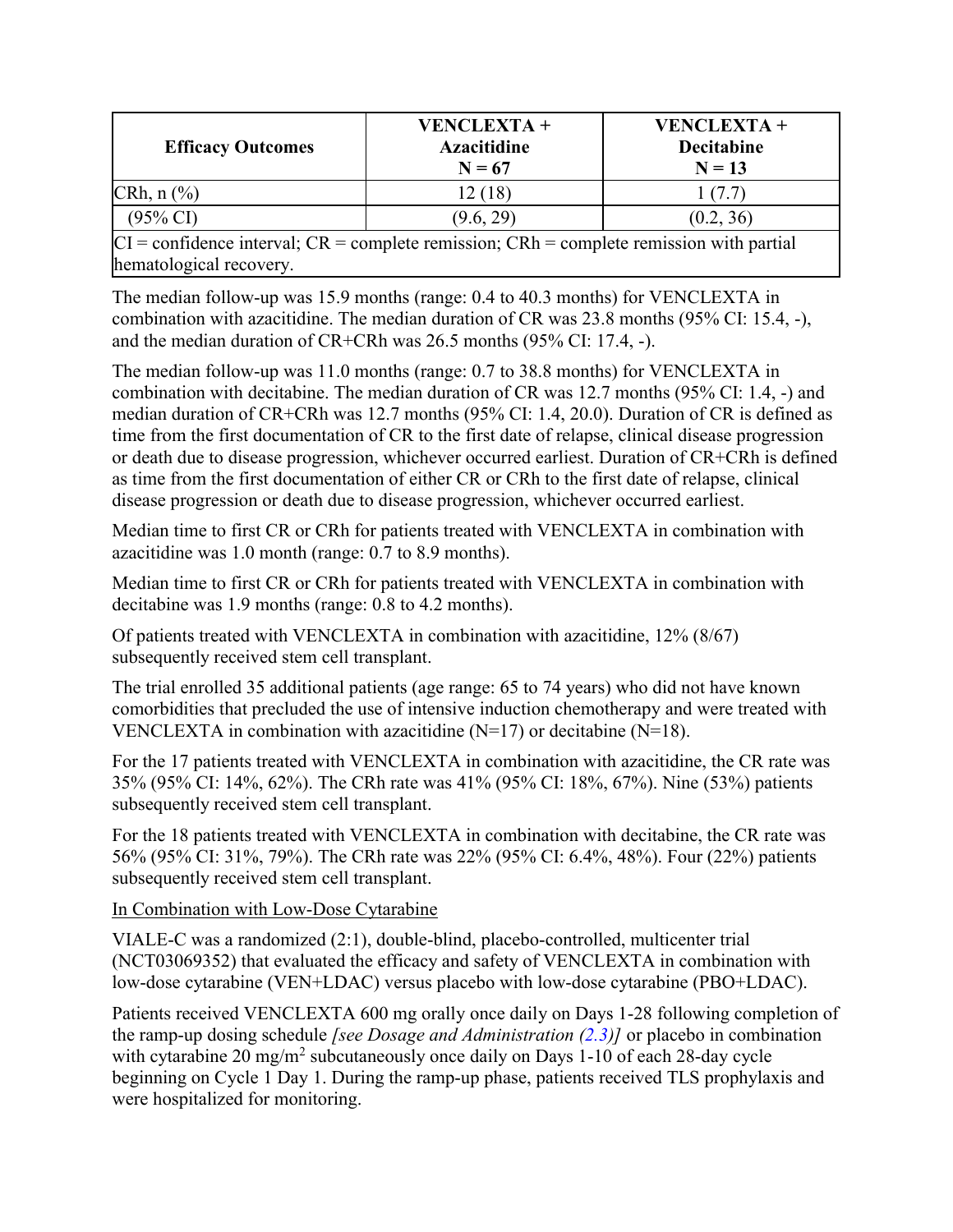| <b>Efficacy Outcomes</b>                                                                                                  | <b>VENCLEXTA +</b><br><b>Azacitidine</b><br>$N = 67$ | <b>VENCLEXTA +</b><br><b>Decitabine</b><br>$N = 13$ |  |  |
|---------------------------------------------------------------------------------------------------------------------------|------------------------------------------------------|-----------------------------------------------------|--|--|
| $CRh, n\ (\%)$                                                                                                            | 12(18)                                               | 1(7.7)                                              |  |  |
| $(95\% \text{ CI})$                                                                                                       | (9.6, 29)                                            | (0.2, 36)                                           |  |  |
| $CI =$ confidence interval; $CR =$ complete remission; $CRh =$ complete remission with partial<br>hematological recovery. |                                                      |                                                     |  |  |

The median follow-up was 15.9 months (range: 0.4 to 40.3 months) for VENCLEXTA in combination with azacitidine. The median duration of CR was 23.8 months (95% CI: 15.4, -), and the median duration of CR+CRh was 26.5 months (95% CI: 17.4, -).

The median follow-up was 11.0 months (range: 0.7 to 38.8 months) for VENCLEXTA in combination with decitabine. The median duration of CR was 12.7 months (95% CI: 1.4, -) and median duration of CR+CRh was 12.7 months (95% CI: 1.4, 20.0). Duration of CR is defined as time from the first documentation of CR to the first date of relapse, clinical disease progression or death due to disease progression, whichever occurred earliest. Duration of CR+CRh is defined as time from the first documentation of either CR or CRh to the first date of relapse, clinical disease progression or death due to disease progression, whichever occurred earliest.

Median time to first CR or CRh for patients treated with VENCLEXTA in combination with azacitidine was 1.0 month (range: 0.7 to 8.9 months).

Median time to first CR or CRh for patients treated with VENCLEXTA in combination with decitabine was 1.9 months (range: 0.8 to 4.2 months).

Of patients treated with VENCLEXTA in combination with azacitidine, 12% (8/67) subsequently received stem cell transplant.

The trial enrolled 35 additional patients (age range: 65 to 74 years) who did not have known comorbidities that precluded the use of intensive induction chemotherapy and were treated with VENCLEXTA in combination with azacitidine  $(N=17)$  or decitabine  $(N=18)$ .

For the 17 patients treated with VENCLEXTA in combination with azacitidine, the CR rate was 35% (95% CI: 14%, 62%). The CRh rate was 41% (95% CI: 18%, 67%). Nine (53%) patients subsequently received stem cell transplant.

For the 18 patients treated with VENCLEXTA in combination with decitabine, the CR rate was 56% (95% CI: 31%, 79%). The CRh rate was 22% (95% CI: 6.4%, 48%). Four (22%) patients subsequently received stem cell transplant.

In Combination with Low-Dose Cytarabine

VIALE-C was a randomized (2:1), double-blind, placebo-controlled, multicenter trial (NCT03069352) that evaluated the efficacy and safety of VENCLEXTA in combination with low-dose cytarabine (VEN+LDAC) versus placebo with low-dose cytarabine (PBO+LDAC).

Patients received VENCLEXTA 600 mg orally once daily on Days 1-28 following completion of the ramp-up dosing schedule *[see Dosage and Administration [\(2.3\)](#page-2-0)]* or placebo in combination with cytarabine 20 mg/m<sup>2</sup> subcutaneously once daily on Days 1-10 of each 28-day cycle beginning on Cycle 1 Day 1. During the ramp-up phase, patients received TLS prophylaxis and were hospitalized for monitoring.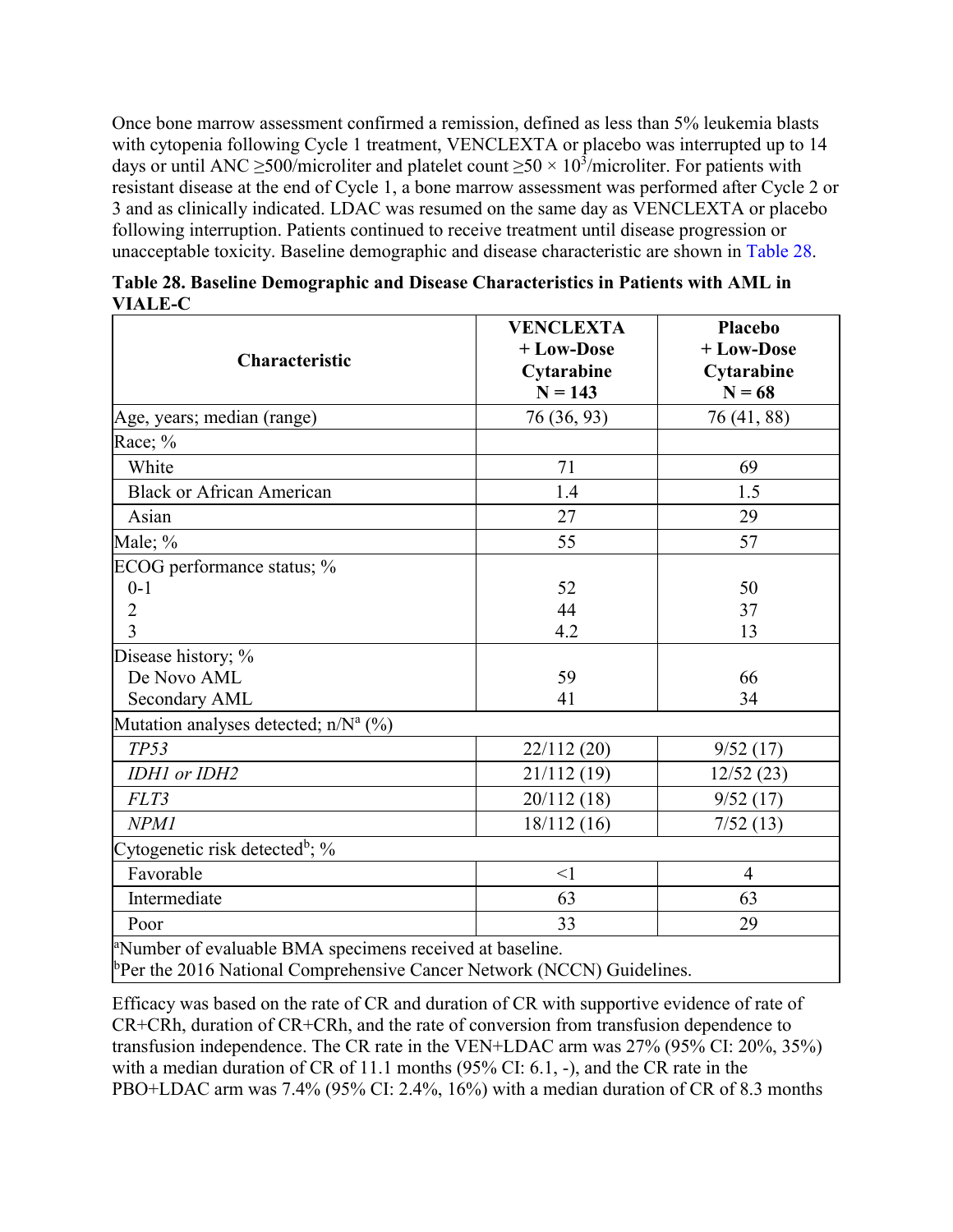Once bone marrow assessment confirmed a remission, defined as less than 5% leukemia blasts with cytopenia following Cycle 1 treatment, VENCLEXTA or placebo was interrupted up to 14 days or until ANC  $\geq$ 500/microliter and platelet count  $\geq$ 50  $\times$  10<sup>3</sup>/microliter. For patients with resistant disease at the end of Cycle 1, a bone marrow assessment was performed after Cycle 2 or 3 and as clinically indicated. LDAC was resumed on the same day as VENCLEXTA or placebo following interruption. Patients continued to receive treatment until disease progression or unacceptable toxicity. Baseline demographic and disease characteristic are shown in [Table 28.](#page-46-0)

| Characteristic                                                       | <b>VENCLEXTA</b><br>+ Low-Dose<br>Cytarabine<br>$N = 143$ | Placebo<br>+ Low-Dose<br>Cytarabine<br>$N = 68$ |
|----------------------------------------------------------------------|-----------------------------------------------------------|-------------------------------------------------|
| Age, years; median (range)                                           | 76 (36, 93)                                               | 76 (41, 88)                                     |
| Race; %                                                              |                                                           |                                                 |
| White                                                                | 71                                                        | 69                                              |
| <b>Black or African American</b>                                     | 1.4                                                       | 1.5                                             |
| Asian                                                                | 27                                                        | 29                                              |
| Male; %                                                              | 55                                                        | 57                                              |
| ECOG performance status; %                                           |                                                           |                                                 |
| $0 - 1$                                                              | 52                                                        | 50                                              |
| $\overline{2}$                                                       | 44                                                        | 37                                              |
| $\overline{3}$                                                       | 4.2                                                       | 13                                              |
| Disease history; %                                                   |                                                           |                                                 |
| De Novo AML                                                          | 59                                                        | 66                                              |
| Secondary AML                                                        | 41                                                        | 34                                              |
| Mutation analyses detected; n/N <sup>a</sup> (%)                     |                                                           |                                                 |
| TP53                                                                 | 22/112(20)                                                | 9/52(17)                                        |
| IDH1 or IDH2                                                         | 21/112(19)                                                | 12/52(23)                                       |
| FLT3                                                                 | 20/112(18)                                                | 9/52(17)                                        |
| <b>NPM1</b>                                                          | 18/112(16)                                                | 7/52(13)                                        |
| Cytogenetic risk detected <sup>b</sup> ; %                           |                                                           |                                                 |
| Favorable                                                            | <1                                                        | 4                                               |
| Intermediate                                                         | 63                                                        | 63                                              |
| Poor                                                                 | 33                                                        | 29                                              |
| <sup>a</sup> Number of evaluable BMA specimens received at baseline. |                                                           |                                                 |

<span id="page-46-0"></span>

|                | Table 28. Baseline Demographic and Disease Characteristics in Patients with AML in |  |  |
|----------------|------------------------------------------------------------------------------------|--|--|
| <b>VIALE-C</b> |                                                                                    |  |  |

 ${}^{\circ}$ Per the 2016 National Comprehensive Cancer Network (NCCN) Guidelines.

Efficacy was based on the rate of CR and duration of CR with supportive evidence of rate of CR+CRh, duration of CR+CRh, and the rate of conversion from transfusion dependence to transfusion independence. The CR rate in the VEN+LDAC arm was 27% (95% CI: 20%, 35%) with a median duration of CR of 11.1 months (95% CI: 6.1, -), and the CR rate in the PBO+LDAC arm was 7.4% (95% CI: 2.4%, 16%) with a median duration of CR of 8.3 months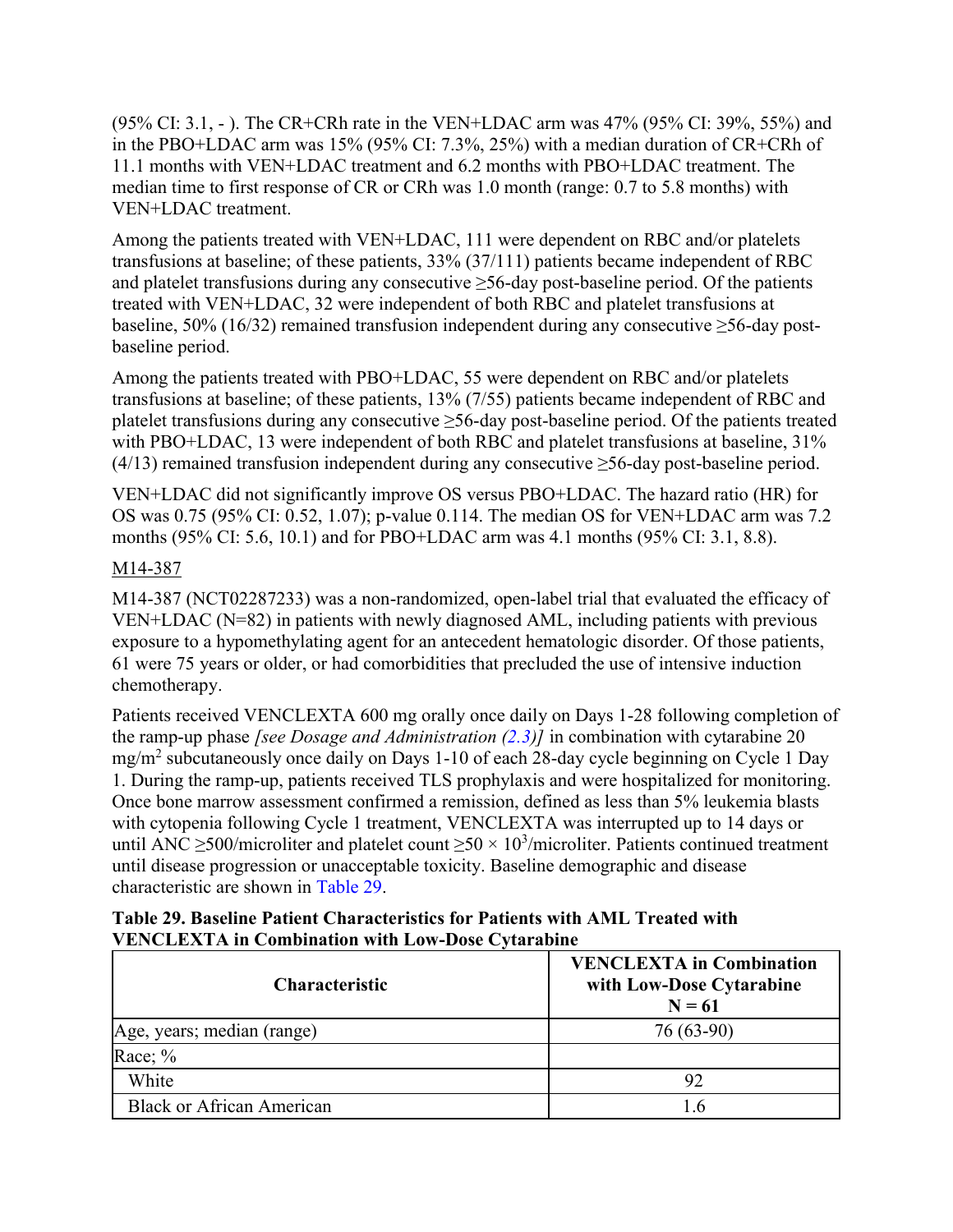(95% CI: 3.1, - ). The CR+CRh rate in the VEN+LDAC arm was 47% (95% CI: 39%, 55%) and in the PBO+LDAC arm was 15% (95% CI: 7.3%, 25%) with a median duration of CR+CRh of 11.1 months with VEN+LDAC treatment and 6.2 months with PBO+LDAC treatment. The median time to first response of CR or CRh was 1.0 month (range: 0.7 to 5.8 months) with VEN+LDAC treatment.

Among the patients treated with VEN+LDAC, 111 were dependent on RBC and/or platelets transfusions at baseline; of these patients, 33% (37/111) patients became independent of RBC and platelet transfusions during any consecutive  $\geq$ 56-day post-baseline period. Of the patients treated with VEN+LDAC, 32 were independent of both RBC and platelet transfusions at baseline, 50% (16/32) remained transfusion independent during any consecutive ≥56-day postbaseline period.

Among the patients treated with PBO+LDAC, 55 were dependent on RBC and/or platelets transfusions at baseline; of these patients, 13% (7/55) patients became independent of RBC and platelet transfusions during any consecutive ≥56-day post-baseline period. Of the patients treated with PBO+LDAC, 13 were independent of both RBC and platelet transfusions at baseline, 31% (4/13) remained transfusion independent during any consecutive ≥56-day post-baseline period.

VEN+LDAC did not significantly improve OS versus PBO+LDAC. The hazard ratio (HR) for OS was 0.75 (95% CI: 0.52, 1.07); p-value 0.114. The median OS for VEN+LDAC arm was 7.2 months (95% CI: 5.6, 10.1) and for PBO+LDAC arm was 4.1 months (95% CI: 3.1, 8.8).

### M14-387

M14-387 (NCT02287233) was a non-randomized, open-label trial that evaluated the efficacy of VEN+LDAC (N=82) in patients with newly diagnosed AML, including patients with previous exposure to a hypomethylating agent for an antecedent hematologic disorder. Of those patients, 61 were 75 years or older, or had comorbidities that precluded the use of intensive induction chemotherapy.

Patients received VENCLEXTA 600 mg orally once daily on Days 1-28 following completion of the ramp-up phase *[see Dosage and Administration [\(2.3\)](#page-2-0)]* in combination with cytarabine 20 mg/m<sup>2</sup> subcutaneously once daily on Days 1-10 of each 28-day cycle beginning on Cycle 1 Day 1. During the ramp-up, patients received TLS prophylaxis and were hospitalized for monitoring. Once bone marrow assessment confirmed a remission, defined as less than 5% leukemia blasts with cytopenia following Cycle 1 treatment, VENCLEXTA was interrupted up to 14 days or until ANC  $\geq$ 500/microliter and platelet count  $\geq$ 50 × 10<sup>3</sup>/microliter. Patients continued treatment until disease progression or unacceptable toxicity. Baseline demographic and disease characteristic are shown in [Table 29.](#page-47-0)

<span id="page-47-0"></span>

| Table 29. Baseline Patient Characteristics for Patients with AML Treated with |
|-------------------------------------------------------------------------------|
| <b>VENCLEXTA in Combination with Low-Dose Cytarabine</b>                      |

| <b>Characteristic</b>            | <b>VENCLEXTA in Combination</b><br>with Low-Dose Cytarabine<br>$N = 61$ |
|----------------------------------|-------------------------------------------------------------------------|
| Age, years; median (range)       | $76(63-90)$                                                             |
| Race; %                          |                                                                         |
| White                            | 92                                                                      |
| <b>Black or African American</b> |                                                                         |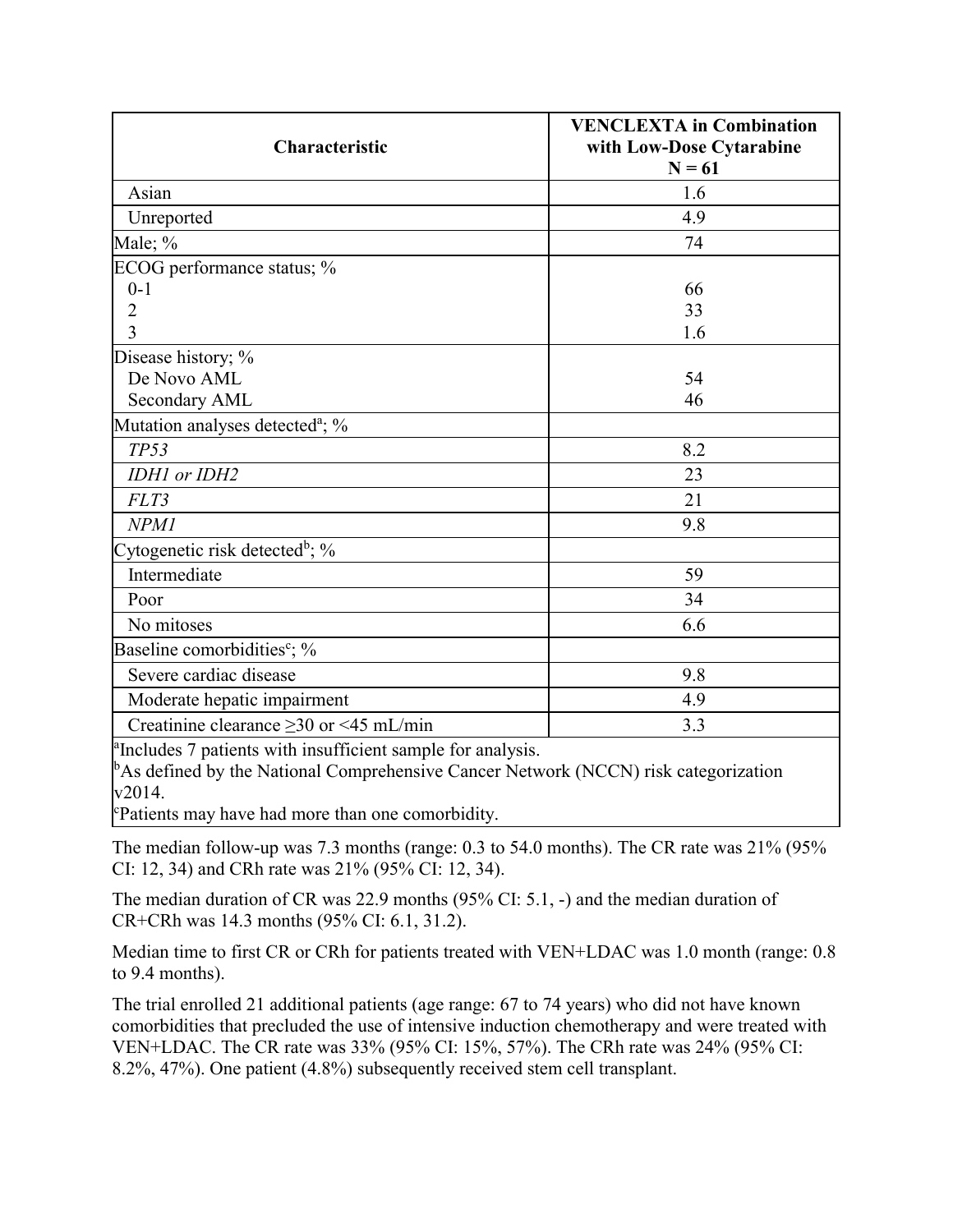| Characteristic                                | <b>VENCLEXTA</b> in Combination<br>with Low-Dose Cytarabine<br>$N = 61$ |
|-----------------------------------------------|-------------------------------------------------------------------------|
| Asian                                         | 1.6                                                                     |
| Unreported                                    | 4.9                                                                     |
| Male; %                                       | 74                                                                      |
| ECOG performance status; %                    |                                                                         |
| $0 - 1$                                       | 66                                                                      |
| $\overline{2}$                                | 33                                                                      |
| $\overline{3}$                                | 1.6                                                                     |
| Disease history; %                            |                                                                         |
| De Novo AML                                   | 54                                                                      |
| Secondary AML                                 | 46                                                                      |
| Mutation analyses detected <sup>a</sup> ; %   |                                                                         |
| TP53                                          | 8.2                                                                     |
| IDH1 or IDH2                                  | 23                                                                      |
| FLT3                                          | 21                                                                      |
| NPM1                                          | 9.8                                                                     |
| Cytogenetic risk detected <sup>b</sup> ; $\%$ |                                                                         |
| Intermediate                                  | 59                                                                      |
| Poor                                          | 34                                                                      |
| No mitoses                                    | 6.6                                                                     |
| Baseline comorbidities <sup>c</sup> ; %       |                                                                         |
| Severe cardiac disease                        | 9.8                                                                     |
| Moderate hepatic impairment                   | 4.9                                                                     |
| Creatinine clearance $\geq$ 30 or <45 mL/min  | 3.3                                                                     |

a Includes 7 patients with insufficient sample for analysis.

<sup>b</sup>As defined by the National Comprehensive Cancer Network (NCCN) risk categorization v2014.

 $\epsilon$ Patients may have had more than one comorbidity.

<span id="page-48-0"></span>The median follow-up was 7.3 months (range: 0.3 to 54.0 months). The CR rate was 21% (95% CI: 12, 34) and CRh rate was 21% (95% CI: 12, 34).

The median duration of CR was 22.9 months (95% CI: 5.1, -) and the median duration of CR+CRh was 14.3 months (95% CI: 6.1, 31.2).

Median time to first CR or CRh for patients treated with VEN+LDAC was 1.0 month (range: 0.8 to 9.4 months).

The trial enrolled 21 additional patients (age range: 67 to 74 years) who did not have known comorbidities that precluded the use of intensive induction chemotherapy and were treated with VEN+LDAC. The CR rate was 33% (95% CI: 15%, 57%). The CRh rate was 24% (95% CI: 8.2%, 47%). One patient (4.8%) subsequently received stem cell transplant.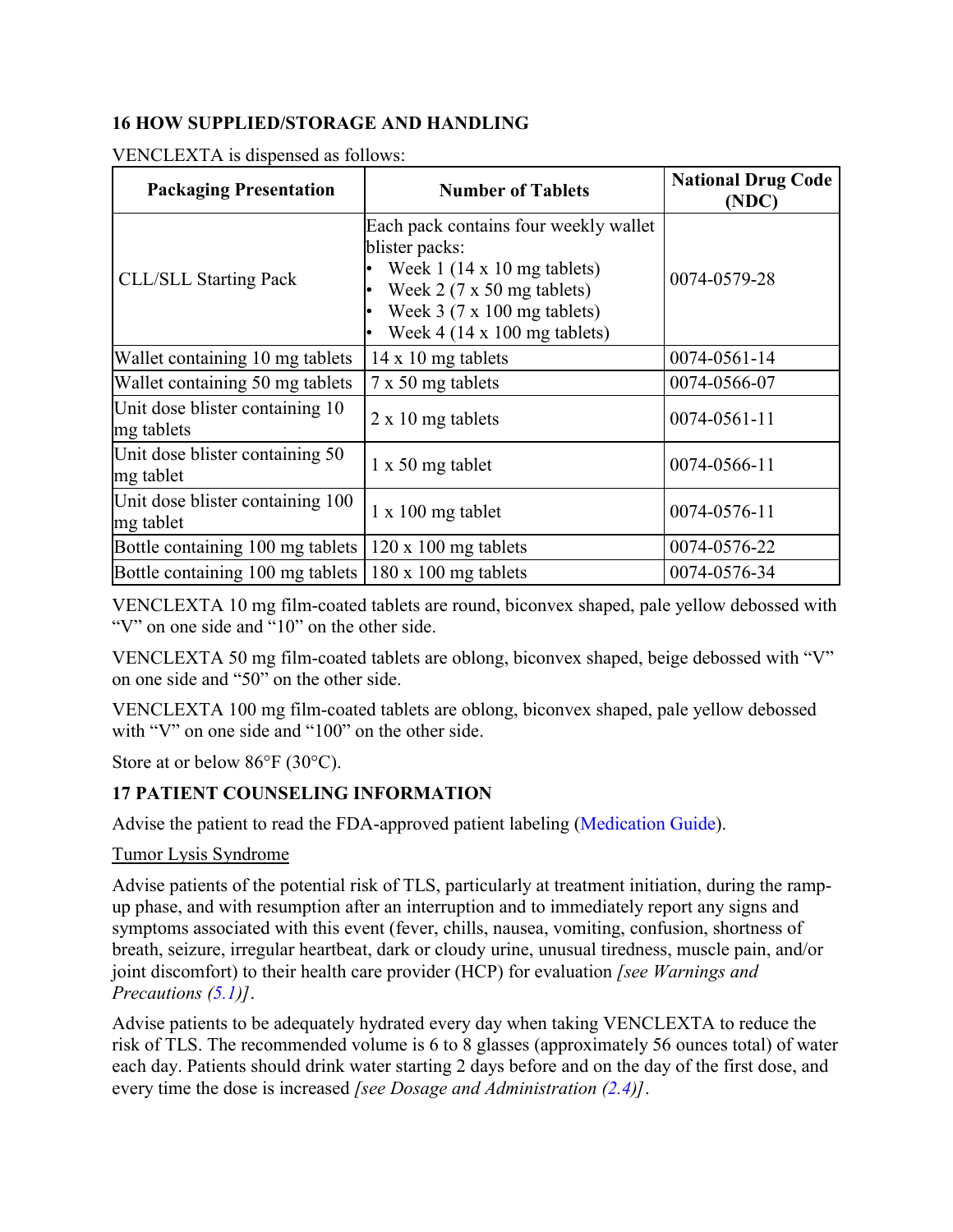### <span id="page-49-1"></span>**16 HOW SUPPLIED/STORAGE AND HANDLING**

| <b>Packaging Presentation</b>                 | <b>Number of Tablets</b>                                                                                                                                                                                                                                 | <b>National Drug Code</b><br>(NDC) |
|-----------------------------------------------|----------------------------------------------------------------------------------------------------------------------------------------------------------------------------------------------------------------------------------------------------------|------------------------------------|
| <b>CLL/SLL Starting Pack</b>                  | Each pack contains four weekly wallet<br>blister packs:<br>Week $1(14 \times 10 \text{ mg tablets})$<br>Week $2(7 \times 50 \text{ mg tablets})$<br>Week $3(7 \times 100 \text{ mg tablets})$<br>Week $4(14 \times 100 \text{ mg tablets})$<br>$\bullet$ | 0074-0579-28                       |
| Wallet containing 10 mg tablets               | $14 \times 10$ mg tablets                                                                                                                                                                                                                                | 0074-0561-14                       |
| Wallet containing 50 mg tablets               | 7 x 50 mg tablets                                                                                                                                                                                                                                        | 0074-0566-07                       |
| Unit dose blister containing 10<br>mg tablets | $2 \times 10$ mg tablets                                                                                                                                                                                                                                 | $0074 - 0561 - 11$                 |
| Unit dose blister containing 50<br>mg tablet  | $1 \times 50$ mg tablet                                                                                                                                                                                                                                  | 0074-0566-11                       |
| Unit dose blister containing 100<br>mg tablet | $1 \times 100$ mg tablet                                                                                                                                                                                                                                 | 0074-0576-11                       |
| Bottle containing 100 mg tablets              | $120 \times 100$ mg tablets                                                                                                                                                                                                                              | 0074-0576-22                       |
| Bottle containing 100 mg tablets              | $180 \times 100$ mg tablets                                                                                                                                                                                                                              | 0074-0576-34                       |

VENCLEXTA is dispensed as follows:

VENCLEXTA 10 mg film-coated tablets are round, biconvex shaped, pale yellow debossed with "V" on one side and "10" on the other side.

VENCLEXTA 50 mg film-coated tablets are oblong, biconvex shaped, beige debossed with "V" on one side and "50" on the other side.

VENCLEXTA 100 mg film-coated tablets are oblong, biconvex shaped, pale yellow debossed with "V" on one side and "100" on the other side.

Store at or below 86°F (30°C).

## <span id="page-49-0"></span>**17 PATIENT COUNSELING INFORMATION**

Advise the patient to read the FDA-approved patient labeling (Medication Guide).

### Tumor Lysis Syndrome

Advise patients of the potential risk of TLS, particularly at treatment initiation, during the rampup phase, and with resumption after an interruption and to immediately report any signs and symptoms associated with this event (fever, chills, nausea, vomiting, confusion, shortness of breath, seizure, irregular heartbeat, dark or cloudy urine, unusual tiredness, muscle pain, and/or joint discomfort) to their health care provider (HCP) for evaluation *[see Warnings and Precautions (5.1)]*.

Advise patients to be adequately hydrated every day when taking VENCLEXTA to reduce the risk of TLS. The recommended volume is 6 to 8 glasses (approximately 56 ounces total) of water each day. Patients should drink water starting 2 days before and on the day of the first dose, and every time the dose is increased *[see Dosage and Administration [\(2.4\)](#page-3-0)]*.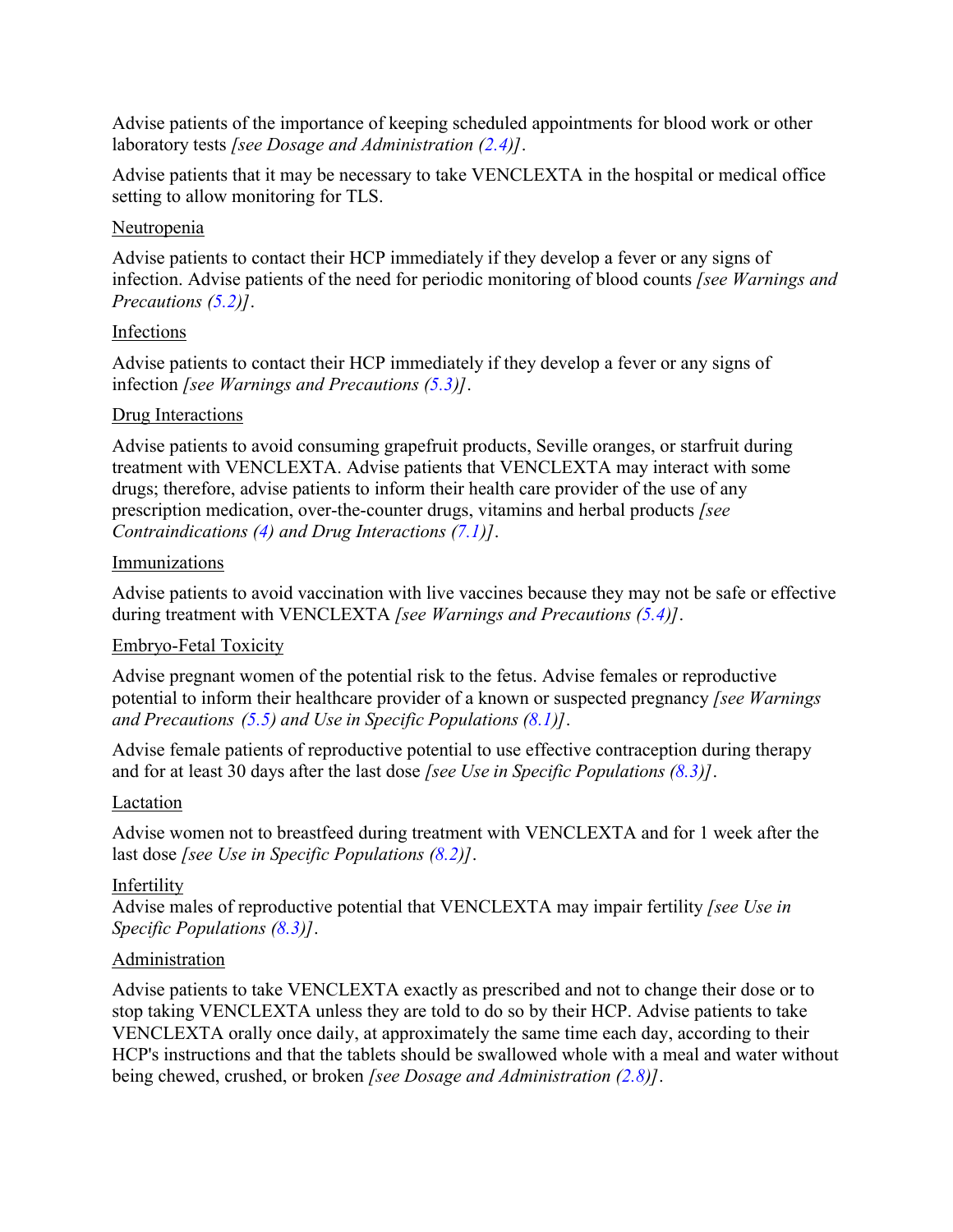Advise patients of the importance of keeping scheduled appointments for blood work or other laboratory tests *[see Dosage and Administration [\(2.4\)](#page-3-0)]*.

Advise patients that it may be necessary to take VENCLEXTA in the hospital or medical office setting to allow monitoring for TLS.

### Neutropenia

Advise patients to contact their HCP immediately if they develop a fever or any signs of infection. Advise patients of the need for periodic monitoring of blood counts *[see Warnings and Precautions [\(5.2\)](#page-10-5)]*.

### Infections

Advise patients to contact their HCP immediately if they develop a fever or any signs of infection *[see Warnings and Precautions [\(5.3\)](#page-10-4)]*.

## Drug Interactions

Advise patients to avoid consuming grapefruit products, Seville oranges, or starfruit during treatment with VENCLEXTA. Advise patients that VENCLEXTA may interact with some drugs; therefore, advise patients to inform their health care provider of the use of any prescription medication, over-the-counter drugs, vitamins and herbal products *[see Contraindications [\(4\)](#page-8-0) and Drug Interactions [\(7.1\)](#page-26-3)]*.

### Immunizations

Advise patients to avoid vaccination with live vaccines because they may not be safe or effective during treatment with VENCLEXTA *[see Warnings and Precautions [\(5.4\)](#page-10-3)]*.

## Embryo-Fetal Toxicity

Advise pregnant women of the potential risk to the fetus. Advise females or reproductive potential to inform their healthcare provider of a known or suspected pregnancy *[see Warnings and Precautions [\(5.5\)](#page-10-2) and Use in Specific Populations [\(8.1\)](#page-26-0)]*.

Advise female patients of reproductive potential to use effective contraception during therapy and for at least 30 days after the last dose *[see Use in Specific Populations [\(8.3\)](#page-27-0)]*.

### Lactation

Advise women not to breastfeed during treatment with VENCLEXTA and for 1 week after the last dose *[see Use in Specific Populations [\(8.2\)](#page-27-1)]*.

## Infertility

Advise males of reproductive potential that VENCLEXTA may impair fertility *[see Use in Specific Populations [\(8.3\)](#page-27-0)]*.

## Administration

Advise patients to take VENCLEXTA exactly as prescribed and not to change their dose or to stop taking VENCLEXTA unless they are told to do so by their HCP. Advise patients to take VENCLEXTA orally once daily, at approximately the same time each day, according to their HCP's instructions and that the tablets should be swallowed whole with a meal and water without being chewed, crushed, or broken *[see Dosage and Administration [\(2.8\)](#page-8-2)]*.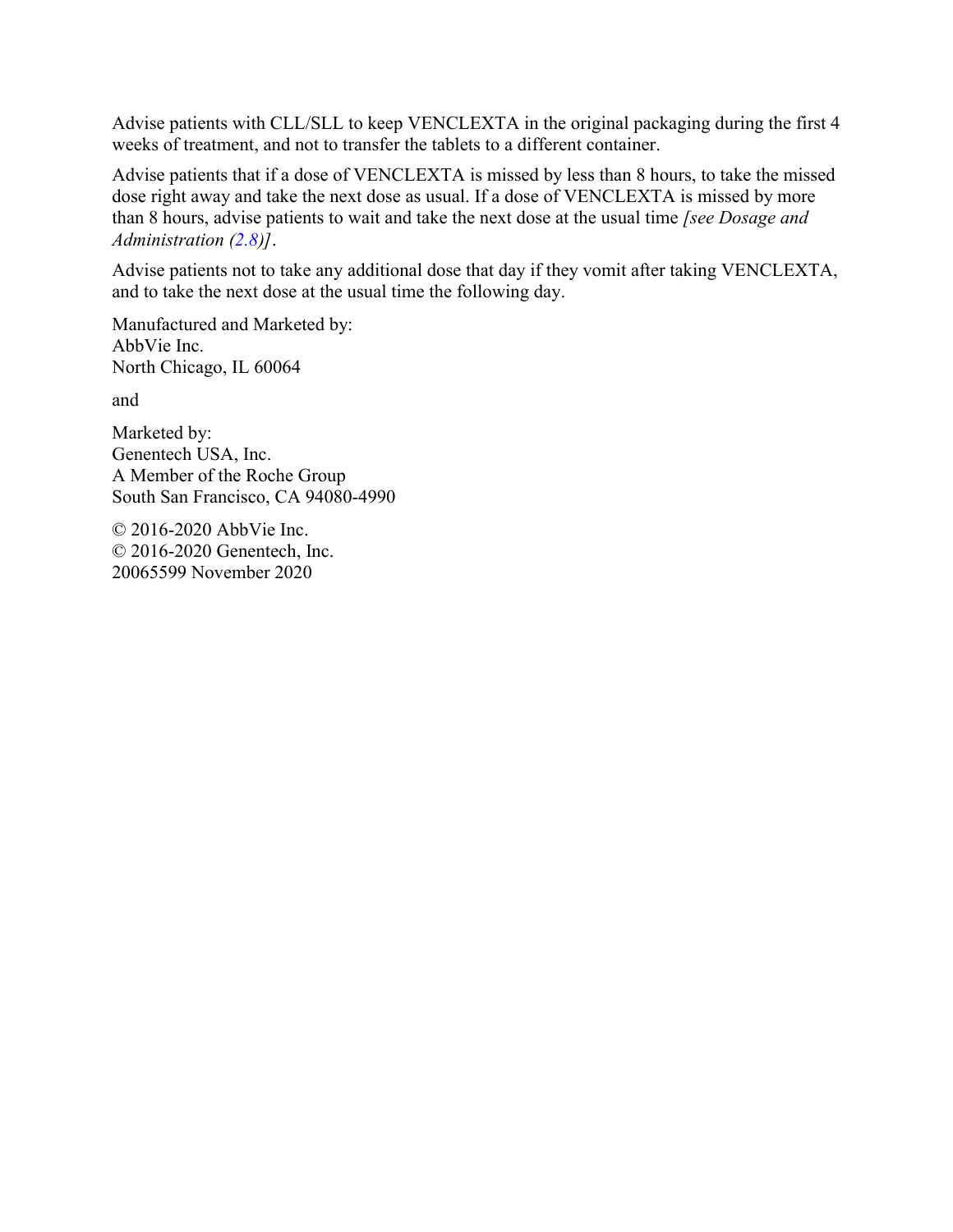Advise patients with CLL/SLL to keep VENCLEXTA in the original packaging during the first 4 weeks of treatment, and not to transfer the tablets to a different container.

Advise patients that if a dose of VENCLEXTA is missed by less than 8 hours, to take the missed dose right away and take the next dose as usual. If a dose of VENCLEXTA is missed by more than 8 hours, advise patients to wait and take the next dose at the usual time *[see Dosage and Administration [\(2.8\)](#page-8-2)]*.

Advise patients not to take any additional dose that day if they vomit after taking VENCLEXTA, and to take the next dose at the usual time the following day.

Manufactured and Marketed by: AbbVie Inc. North Chicago, IL 60064

and

Marketed by: Genentech USA, Inc. A Member of the Roche Group South San Francisco, CA 94080-4990

© 2016-2020 AbbVie Inc. © 2016-2020 Genentech, Inc. 20065599 November 2020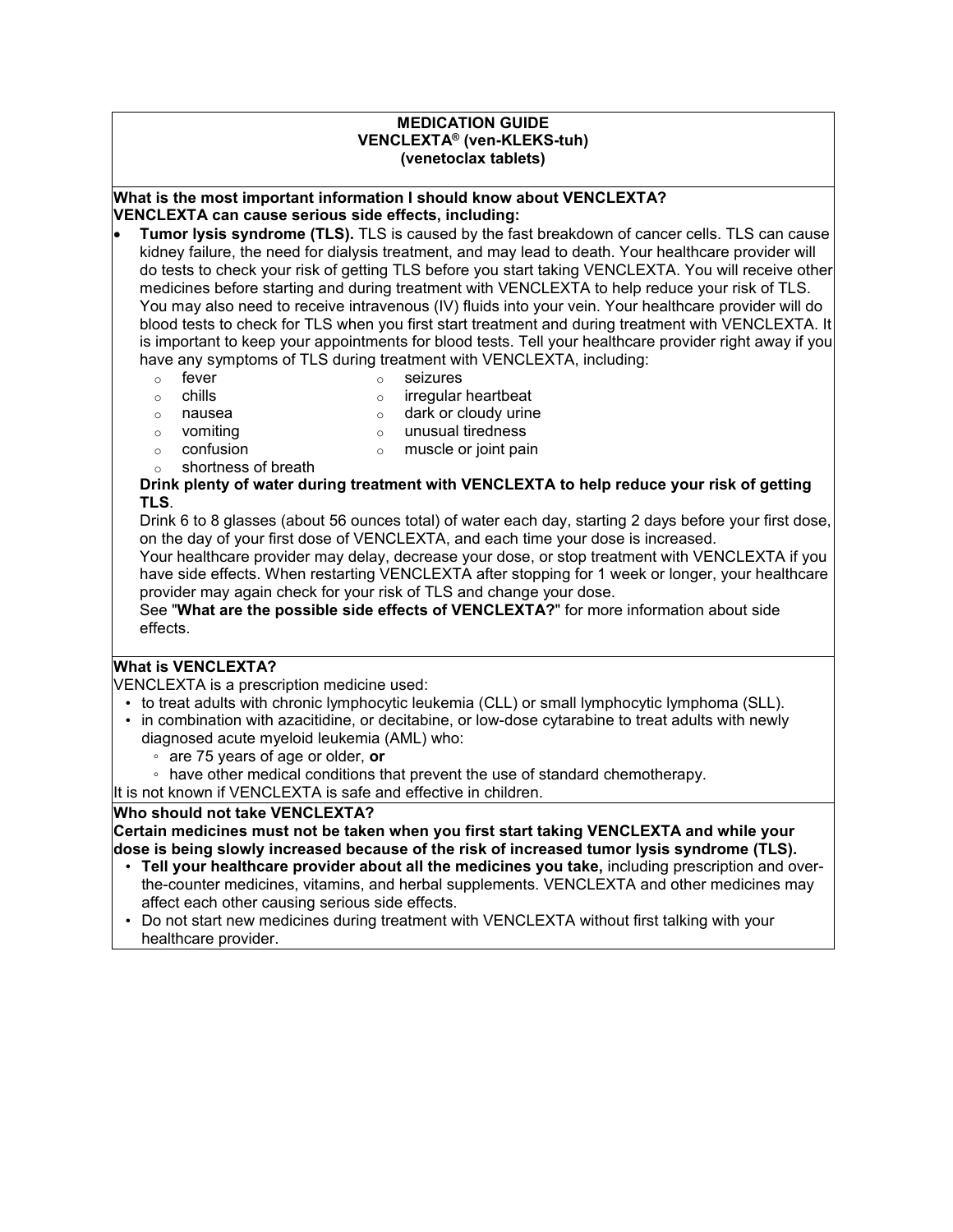#### **MEDICATION GUIDE VENCLEXTA® (ven-KLEKS-tuh) (venetoclax tablets)**

#### **What is the most important information I should know about VENCLEXTA? VENCLEXTA can cause serious side effects, including:**

- **Tumor lysis syndrome (TLS).** TLS is caused by the fast breakdown of cancer cells. TLS can cause kidney failure, the need for dialysis treatment, and may lead to death. Your healthcare provider will do tests to check your risk of getting TLS before you start taking VENCLEXTA. You will receive other medicines before starting and during treatment with VENCLEXTA to help reduce your risk of TLS. You may also need to receive intravenous (IV) fluids into your vein. Your healthcare provider will do blood tests to check for TLS when you first start treatment and during treatment with VENCLEXTA. It is important to keep your appointments for blood tests. Tell your healthcare provider right away if you have any symptoms of TLS during treatment with VENCLEXTA, including:
	- o fever
- o seizures
- o chills o irregular heartbeat
- o nausea
- o dark or cloudy urine o unusual tiredness
- o vomiting o confusion
- o muscle or joint pain
- shortness of breath

#### **Drink plenty of water during treatment with VENCLEXTA to help reduce your risk of getting TLS**.

Drink 6 to 8 glasses (about 56 ounces total) of water each day, starting 2 days before your first dose, on the day of your first dose of VENCLEXTA, and each time your dose is increased.

Your healthcare provider may delay, decrease your dose, or stop treatment with VENCLEXTA if you have side effects. When restarting VENCLEXTA after stopping for 1 week or longer, your healthcare provider may again check for your risk of TLS and change your dose.

See "**What are the possible side effects of VENCLEXTA?**" for more information about side effects.

### **What is VENCLEXTA?**

VENCLEXTA is a prescription medicine used:

- to treat adults with chronic lymphocytic leukemia (CLL) or small lymphocytic lymphoma (SLL).
- in combination with azacitidine, or decitabine, or low-dose cytarabine to treat adults with newly diagnosed acute myeloid leukemia (AML) who:
	- are 75 years of age or older, **or**
	- have other medical conditions that prevent the use of standard chemotherapy.
- It is not known if VENCLEXTA is safe and effective in children.

### **Who should not take VENCLEXTA?**

**Certain medicines must not be taken when you first start taking VENCLEXTA and while your dose is being slowly increased because of the risk of increased tumor lysis syndrome (TLS).**

- **Tell your healthcare provider about all the medicines you take,** including prescription and overthe-counter medicines, vitamins, and herbal supplements. VENCLEXTA and other medicines may affect each other causing serious side effects.
- Do not start new medicines during treatment with VENCLEXTA without first talking with your healthcare provider.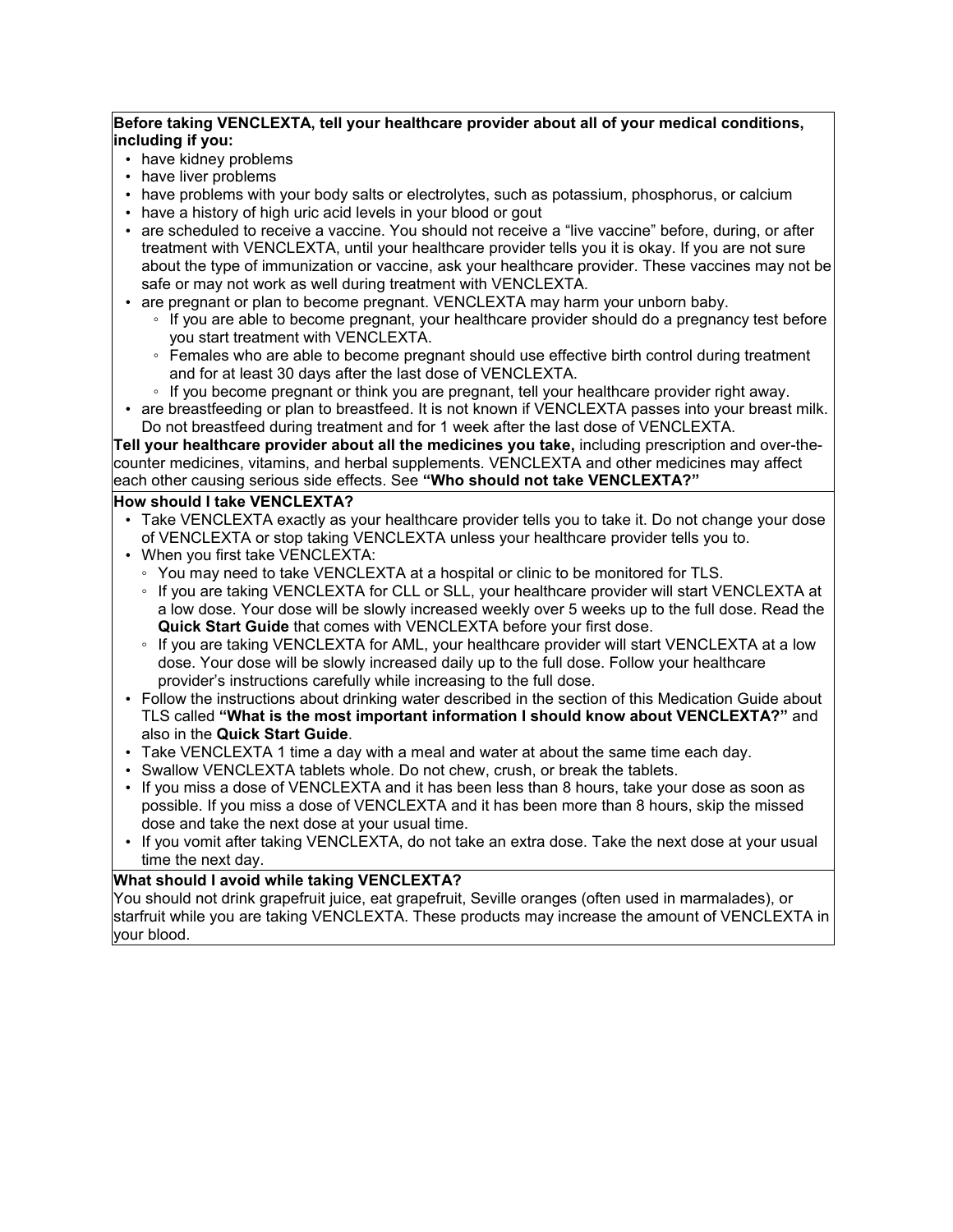#### **Before taking VENCLEXTA, tell your healthcare provider about all of your medical conditions, including if you:**

- have kidney problems
- have liver problems
- have problems with your body salts or electrolytes, such as potassium, phosphorus, or calcium
- have a history of high uric acid levels in your blood or gout
- are scheduled to receive a vaccine. You should not receive a "live vaccine" before, during, or after treatment with VENCLEXTA, until your healthcare provider tells you it is okay. If you are not sure about the type of immunization or vaccine, ask your healthcare provider. These vaccines may not be safe or may not work as well during treatment with VENCLEXTA.
- are pregnant or plan to become pregnant. VENCLEXTA may harm your unborn baby.
	- If you are able to become pregnant, your healthcare provider should do a pregnancy test before you start treatment with VENCLEXTA.
	- Females who are able to become pregnant should use effective birth control during treatment and for at least 30 days after the last dose of VENCLEXTA.
	- If you become pregnant or think you are pregnant, tell your healthcare provider right away.
- are breastfeeding or plan to breastfeed. It is not known if VENCLEXTA passes into your breast milk. Do not breastfeed during treatment and for 1 week after the last dose of VENCLEXTA.

**Tell your healthcare provider about all the medicines you take,** including prescription and over-thecounter medicines, vitamins, and herbal supplements. VENCLEXTA and other medicines may affect each other causing serious side effects. See **"Who should not take VENCLEXTA?"**

### **How should I take VENCLEXTA?**

- Take VENCLEXTA exactly as your healthcare provider tells you to take it. Do not change your dose of VENCLEXTA or stop taking VENCLEXTA unless your healthcare provider tells you to.
- When you first take VENCLEXTA:
	- You may need to take VENCLEXTA at a hospital or clinic to be monitored for TLS.
	- If you are taking VENCLEXTA for CLL or SLL, your healthcare provider will start VENCLEXTA at a low dose. Your dose will be slowly increased weekly over 5 weeks up to the full dose. Read the **Quick Start Guide** that comes with VENCLEXTA before your first dose.
	- If you are taking VENCLEXTA for AML, your healthcare provider will start VENCLEXTA at a low dose. Your dose will be slowly increased daily up to the full dose. Follow your healthcare provider's instructions carefully while increasing to the full dose.
- Follow the instructions about drinking water described in the section of this Medication Guide about TLS called **"What is the most important information I should know about VENCLEXTA?"** and also in the **Quick Start Guide**.
- Take VENCLEXTA 1 time a day with a meal and water at about the same time each day.
- Swallow VENCLEXTA tablets whole. Do not chew, crush, or break the tablets.
- If you miss a dose of VENCLEXTA and it has been less than 8 hours, take your dose as soon as possible. If you miss a dose of VENCLEXTA and it has been more than 8 hours, skip the missed dose and take the next dose at your usual time.
- If you vomit after taking VENCLEXTA, do not take an extra dose. Take the next dose at your usual time the next day.

### **What should I avoid while taking VENCLEXTA?**

You should not drink grapefruit juice, eat grapefruit, Seville oranges (often used in marmalades), or starfruit while you are taking VENCLEXTA. These products may increase the amount of VENCLEXTA in your blood.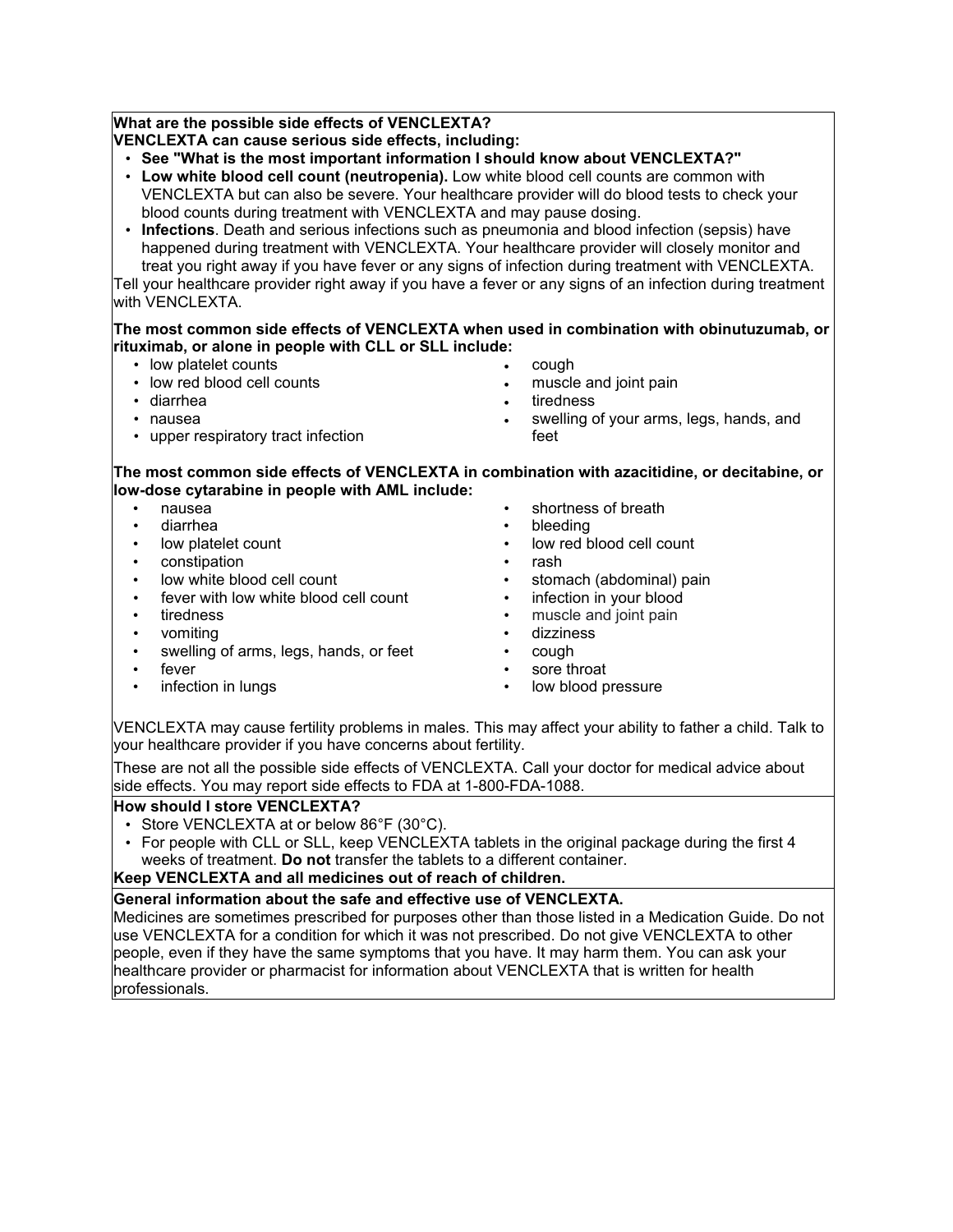### **What are the possible side effects of VENCLEXTA?**

**VENCLEXTA can cause serious side effects, including:**

- **See "What is the most important information I should know about VENCLEXTA?"**
- **Low white blood cell count (neutropenia).** Low white blood cell counts are common with VENCLEXTA but can also be severe. Your healthcare provider will do blood tests to check your blood counts during treatment with VENCLEXTA and may pause dosing.
- **Infections**. Death and serious infections such as pneumonia and blood infection (sepsis) have happened during treatment with VENCLEXTA. Your healthcare provider will closely monitor and treat you right away if you have fever or any signs of infection during treatment with VENCLEXTA.

Tell your healthcare provider right away if you have a fever or any signs of an infection during treatment with VENCLEXTA.

#### **The most common side effects of VENCLEXTA when used in combination with obinutuzumab, or rituximab, or alone in people with CLL or SLL include:**

- low platelet counts
- low red blood cell counts
- diarrhea
- nausea
- upper respiratory tract infection
- cough
- muscle and joint pain
- tiredness
- swelling of your arms, legs, hands, and feet

#### **The most common side effects of VENCLEXTA in combination with azacitidine, or decitabine, or low-dose cytarabine in people with AML include:**

- nausea
- diarrhea
- low platelet count
- constipation
- low white blood cell count
- fever with low white blood cell count
- tiredness
- vomiting
- swelling of arms, legs, hands, or feet
- fever
- infection in lungs
- shortness of breath
- bleeding
- low red blood cell count
- rash
- stomach (abdominal) pain
- infection in your blood
- muscle and joint pain
- dizziness
- cough
- sore throat
- low blood pressure

VENCLEXTA may cause fertility problems in males. This may affect your ability to father a child. Talk to your healthcare provider if you have concerns about fertility.

These are not all the possible side effects of VENCLEXTA. Call your doctor for medical advice about side effects. You may report side effects to FDA at 1-800-FDA-1088.

### **How should I store VENCLEXTA?**

- Store VENCLEXTA at or below 86°F (30°C).
- For people with CLL or SLL, keep VENCLEXTA tablets in the original package during the first 4 weeks of treatment. **Do not** transfer the tablets to a different container.

### **Keep VENCLEXTA and all medicines out of reach of children.**

### **General information about the safe and effective use of VENCLEXTA.**

Medicines are sometimes prescribed for purposes other than those listed in a Medication Guide. Do not use VENCLEXTA for a condition for which it was not prescribed. Do not give VENCLEXTA to other people, even if they have the same symptoms that you have. It may harm them. You can ask your healthcare provider or pharmacist for information about VENCLEXTA that is written for health professionals.